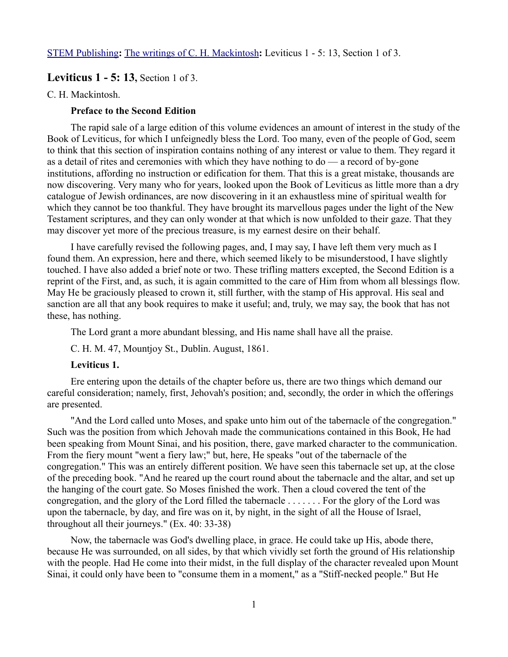[STEM Publishing](http://www.stempublishing.com/)**:** [The writings of C. H. Mackintosh](http://www.stempublishing.com/authors/mackintosh/index.html)**:** Leviticus 1 - 5: 13, Section 1 of 3.

# **Leviticus 1 - 5: 13,** Section 1 of 3.

### C. H. Mackintosh.

# **Preface to the Second Edition**

The rapid sale of a large edition of this volume evidences an amount of interest in the study of the Book of Leviticus, for which I unfeignedly bless the Lord. Too many, even of the people of God, seem to think that this section of inspiration contains nothing of any interest or value to them. They regard it as a detail of rites and ceremonies with which they have nothing to do — a record of by-gone institutions, affording no instruction or edification for them. That this is a great mistake, thousands are now discovering. Very many who for years, looked upon the Book of Leviticus as little more than a dry catalogue of Jewish ordinances, are now discovering in it an exhaustless mine of spiritual wealth for which they cannot be too thankful. They have brought its marvellous pages under the light of the New Testament scriptures, and they can only wonder at that which is now unfolded to their gaze. That they may discover yet more of the precious treasure, is my earnest desire on their behalf.

I have carefully revised the following pages, and, I may say, I have left them very much as I found them. An expression, here and there, which seemed likely to be misunderstood, I have slightly touched. I have also added a brief note or two. These trifling matters excepted, the Second Edition is a reprint of the First, and, as such, it is again committed to the care of Him from whom all blessings flow. May He be graciously pleased to crown it, still further, with the stamp of His approval. His seal and sanction are all that any book requires to make it useful; and, truly, we may say, the book that has not these, has nothing.

The Lord grant a more abundant blessing, and His name shall have all the praise.

C. H. M. 47, Mountjoy St., Dublin. August, 1861.

# **Leviticus 1.**

Ere entering upon the details of the chapter before us, there are two things which demand our careful consideration; namely, first, Jehovah's position; and, secondly, the order in which the offerings are presented.

"And the Lord called unto Moses, and spake unto him out of the tabernacle of the congregation." Such was the position from which Jehovah made the communications contained in this Book, He had been speaking from Mount Sinai, and his position, there, gave marked character to the communication. From the fiery mount "went a fiery law;" but, here, He speaks "out of the tabernacle of the congregation." This was an entirely different position. We have seen this tabernacle set up, at the close of the preceding book. "And he reared up the court round about the tabernacle and the altar, and set up the hanging of the court gate. So Moses finished the work. Then a cloud covered the tent of the congregation, and the glory of the Lord filled the tabernacle . . . . . . . For the glory of the Lord was upon the tabernacle, by day, and fire was on it, by night, in the sight of all the House of Israel, throughout all their journeys." (Ex. 40: 33-38)

Now, the tabernacle was God's dwelling place, in grace. He could take up His, abode there, because He was surrounded, on all sides, by that which vividly set forth the ground of His relationship with the people. Had He come into their midst, in the full display of the character revealed upon Mount Sinai, it could only have been to "consume them in a moment," as a "Stiff-necked people." But He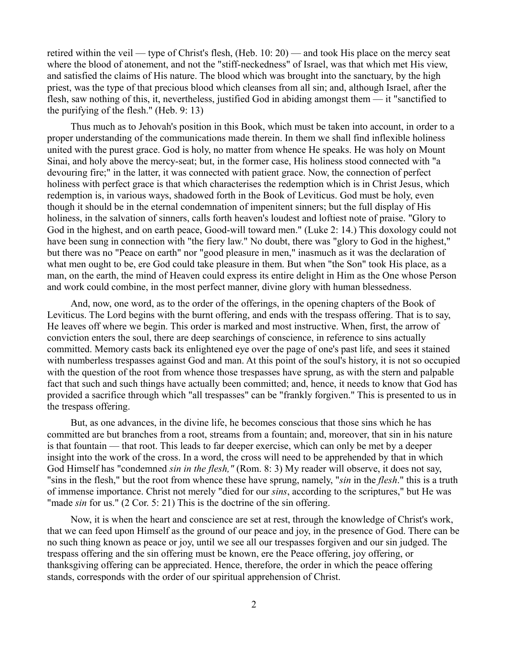retired within the veil — type of Christ's flesh, (Heb. 10: 20) — and took His place on the mercy seat where the blood of atonement, and not the "stiff-neckedness" of Israel, was that which met His view, and satisfied the claims of His nature. The blood which was brought into the sanctuary, by the high priest, was the type of that precious blood which cleanses from all sin; and, although Israel, after the flesh, saw nothing of this, it, nevertheless, justified God in abiding amongst them — it "sanctified to the purifying of the flesh." (Heb. 9: 13)

Thus much as to Jehovah's position in this Book, which must be taken into account, in order to a proper understanding of the communications made therein. In them we shall find inflexible holiness united with the purest grace. God is holy, no matter from whence He speaks. He was holy on Mount Sinai, and holy above the mercy-seat; but, in the former case, His holiness stood connected with "a devouring fire;" in the latter, it was connected with patient grace. Now, the connection of perfect holiness with perfect grace is that which characterises the redemption which is in Christ Jesus, which redemption is, in various ways, shadowed forth in the Book of Leviticus. God must be holy, even though it should be in the eternal condemnation of impenitent sinners; but the full display of His holiness, in the salvation of sinners, calls forth heaven's loudest and loftiest note of praise. "Glory to God in the highest, and on earth peace, Good-will toward men." (Luke 2: 14.) This doxology could not have been sung in connection with "the fiery law." No doubt, there was "glory to God in the highest," but there was no "Peace on earth" nor "good pleasure in men," inasmuch as it was the declaration of what men ought to be, ere God could take pleasure in them. But when "the Son" took His place, as a man, on the earth, the mind of Heaven could express its entire delight in Him as the One whose Person and work could combine, in the most perfect manner, divine glory with human blessedness.

And, now, one word, as to the order of the offerings, in the opening chapters of the Book of Leviticus. The Lord begins with the burnt offering, and ends with the trespass offering. That is to say, He leaves off where we begin. This order is marked and most instructive. When, first, the arrow of conviction enters the soul, there are deep searchings of conscience, in reference to sins actually committed. Memory casts back its enlightened eye over the page of one's past life, and sees it stained with numberless trespasses against God and man. At this point of the soul's history, it is not so occupied with the question of the root from whence those trespasses have sprung, as with the stern and palpable fact that such and such things have actually been committed; and, hence, it needs to know that God has provided a sacrifice through which "all trespasses" can be "frankly forgiven." This is presented to us in the trespass offering.

But, as one advances, in the divine life, he becomes conscious that those sins which he has committed are but branches from a root, streams from a fountain; and, moreover, that sin in his nature is that fountain — that root. This leads to far deeper exercise, which can only be met by a deeper insight into the work of the cross. In a word, the cross will need to be apprehended by that in which God Himself has "condemned *sin in the flesh,"* (Rom. 8: 3) My reader will observe, it does not say, "sins in the flesh," but the root from whence these have sprung, namely, "*sin* in the *flesh*." this is a truth of immense importance. Christ not merely "died for our *sins*, according to the scriptures," but He was "made *sin* for us." (2 Cor. 5: 21) This is the doctrine of the sin offering.

Now, it is when the heart and conscience are set at rest, through the knowledge of Christ's work, that we can feed upon Himself as the ground of our peace and joy, in the presence of God. There can be no such thing known as peace or joy, until we see all our trespasses forgiven and our sin judged. The trespass offering and the sin offering must be known, ere the Peace offering, joy offering, or thanksgiving offering can be appreciated. Hence, therefore, the order in which the peace offering stands, corresponds with the order of our spiritual apprehension of Christ.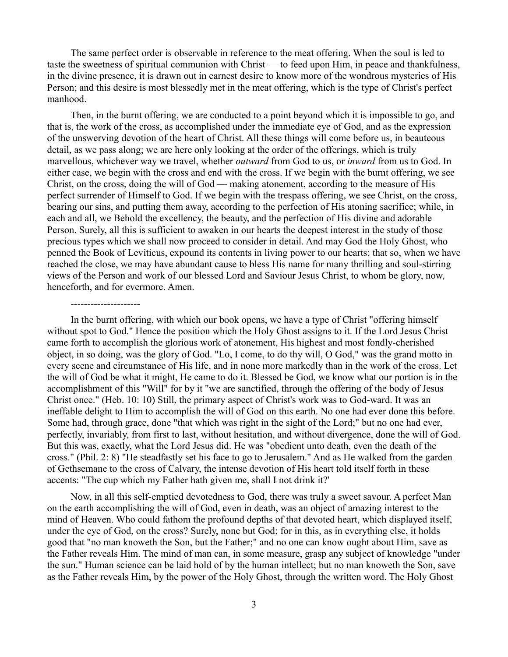The same perfect order is observable in reference to the meat offering. When the soul is led to taste the sweetness of spiritual communion with Christ — to feed upon Him, in peace and thankfulness, in the divine presence, it is drawn out in earnest desire to know more of the wondrous mysteries of His Person; and this desire is most blessedly met in the meat offering, which is the type of Christ's perfect manhood.

Then, in the burnt offering, we are conducted to a point beyond which it is impossible to go, and that is, the work of the cross, as accomplished under the immediate eye of God, and as the expression of the unswerving devotion of the heart of Christ. All these things will come before us, in beauteous detail, as we pass along; we are here only looking at the order of the offerings, which is truly marvellous, whichever way we travel, whether *outward* from God to us, or *inward* from us to God. In either case, we begin with the cross and end with the cross. If we begin with the burnt offering, we see Christ, on the cross, doing the will of God — making atonement, according to the measure of His perfect surrender of Himself to God. If we begin with the trespass offering, we see Christ, on the cross, bearing our sins, and putting them away, according to the perfection of His atoning sacrifice; while, in each and all, we Behold the excellency, the beauty, and the perfection of His divine and adorable Person. Surely, all this is sufficient to awaken in our hearts the deepest interest in the study of those precious types which we shall now proceed to consider in detail. And may God the Holy Ghost, who penned the Book of Leviticus, expound its contents in living power to our hearts; that so, when we have reached the close, we may have abundant cause to bless His name for many thrilling and soul-stirring views of the Person and work of our blessed Lord and Saviour Jesus Christ, to whom be glory, now, henceforth, and for evermore. Amen.

In the burnt offering, with which our book opens, we have a type of Christ "offering himself without spot to God." Hence the position which the Holy Ghost assigns to it. If the Lord Jesus Christ came forth to accomplish the glorious work of atonement, His highest and most fondly-cherished object, in so doing, was the glory of God. "Lo, I come, to do thy will, O God," was the grand motto in every scene and circumstance of His life, and in none more markedly than in the work of the cross. Let the will of God be what it might, He came to do it. Blessed be God, we know what our portion is in the accomplishment of this "Will" for by it "we are sanctified, through the offering of the body of Jesus Christ once." (Heb. 10: 10) Still, the primary aspect of Christ's work was to God-ward. It was an ineffable delight to Him to accomplish the will of God on this earth. No one had ever done this before. Some had, through grace, done "that which was right in the sight of the Lord;" but no one had ever, perfectly, invariably, from first to last, without hesitation, and without divergence, done the will of God. But this was, exactly, what the Lord Jesus did. He was "obedient unto death, even the death of the cross." (Phil. 2: 8) "He steadfastly set his face to go to Jerusalem." And as He walked from the garden of Gethsemane to the cross of Calvary, the intense devotion of His heart told itself forth in these accents: "The cup which my Father hath given me, shall I not drink it?'

---------------------

Now, in all this self-emptied devotedness to God, there was truly a sweet savour. A perfect Man on the earth accomplishing the will of God, even in death, was an object of amazing interest to the mind of Heaven. Who could fathom the profound depths of that devoted heart, which displayed itself, under the eye of God, on the cross? Surely, none but God; for in this, as in everything else, it holds good that "no man knoweth the Son, but the Father;" and no one can know ought about Him, save as the Father reveals Him. The mind of man can, in some measure, grasp any subject of knowledge "under the sun." Human science can be laid hold of by the human intellect; but no man knoweth the Son, save as the Father reveals Him, by the power of the Holy Ghost, through the written word. The Holy Ghost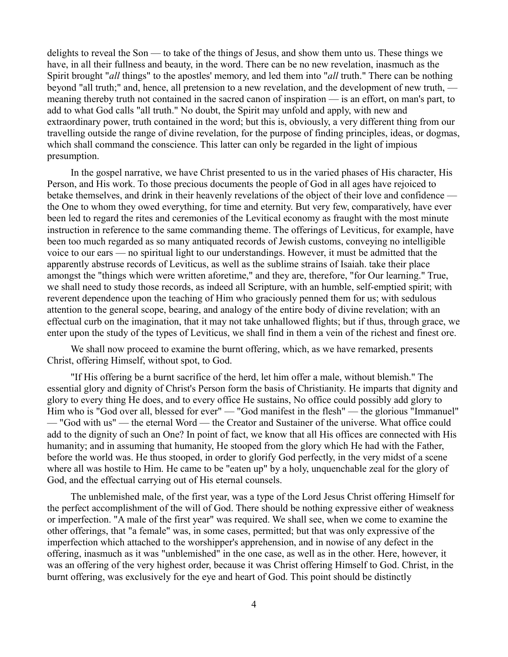delights to reveal the Son — to take of the things of Jesus, and show them unto us. These things we have, in all their fullness and beauty, in the word. There can be no new revelation, inasmuch as the Spirit brought "*all* things" to the apostles' memory, and led them into "*all* truth." There can be nothing beyond "all truth;" and, hence, all pretension to a new revelation, and the development of new truth, meaning thereby truth not contained in the sacred canon of inspiration — is an effort, on man's part, to add to what God calls "all truth." No doubt, the Spirit may unfold and apply, with new and extraordinary power, truth contained in the word; but this is, obviously, a very different thing from our travelling outside the range of divine revelation, for the purpose of finding principles, ideas, or dogmas, which shall command the conscience. This latter can only be regarded in the light of impious presumption.

In the gospel narrative, we have Christ presented to us in the varied phases of His character, His Person, and His work. To those precious documents the people of God in all ages have rejoiced to betake themselves, and drink in their heavenly revelations of the object of their love and confidence the One to whom they owed everything, for time and eternity. But very few, comparatively, have ever been led to regard the rites and ceremonies of the Levitical economy as fraught with the most minute instruction in reference to the same commanding theme. The offerings of Leviticus, for example, have been too much regarded as so many antiquated records of Jewish customs, conveying no intelligible voice to our ears — no spiritual light to our understandings. However, it must be admitted that the apparently abstruse records of Leviticus, as well as the sublime strains of Isaiah. take their place amongst the "things which were written aforetime," and they are, therefore, "for Our learning." True, we shall need to study those records, as indeed all Scripture, with an humble, self-emptied spirit; with reverent dependence upon the teaching of Him who graciously penned them for us; with sedulous attention to the general scope, bearing, and analogy of the entire body of divine revelation; with an effectual curb on the imagination, that it may not take unhallowed flights; but if thus, through grace, we enter upon the study of the types of Leviticus, we shall find in them a vein of the richest and finest ore.

We shall now proceed to examine the burnt offering, which, as we have remarked, presents Christ, offering Himself, without spot, to God.

"If His offering be a burnt sacrifice of the herd, let him offer a male, without blemish." The essential glory and dignity of Christ's Person form the basis of Christianity. He imparts that dignity and glory to every thing He does, and to every office He sustains, No office could possibly add glory to Him who is "God over all, blessed for ever" — "God manifest in the flesh" — the glorious "Immanuel" — "God with us" — the eternal Word — the Creator and Sustainer of the universe. What office could add to the dignity of such an One? In point of fact, we know that all His offices are connected with His humanity; and in assuming that humanity, He stooped from the glory which He had with the Father, before the world was. He thus stooped, in order to glorify God perfectly, in the very midst of a scene where all was hostile to Him. He came to be "eaten up" by a holy, unquenchable zeal for the glory of God, and the effectual carrying out of His eternal counsels.

The unblemished male, of the first year, was a type of the Lord Jesus Christ offering Himself for the perfect accomplishment of the will of God. There should be nothing expressive either of weakness or imperfection. "A male of the first year" was required. We shall see, when we come to examine the other offerings, that "a female" was, in some cases, permitted; but that was only expressive of the imperfection which attached to the worshipper's apprehension, and in nowise of any defect in the offering, inasmuch as it was "unblemished" in the one case, as well as in the other. Here, however, it was an offering of the very highest order, because it was Christ offering Himself to God. Christ, in the burnt offering, was exclusively for the eye and heart of God. This point should be distinctly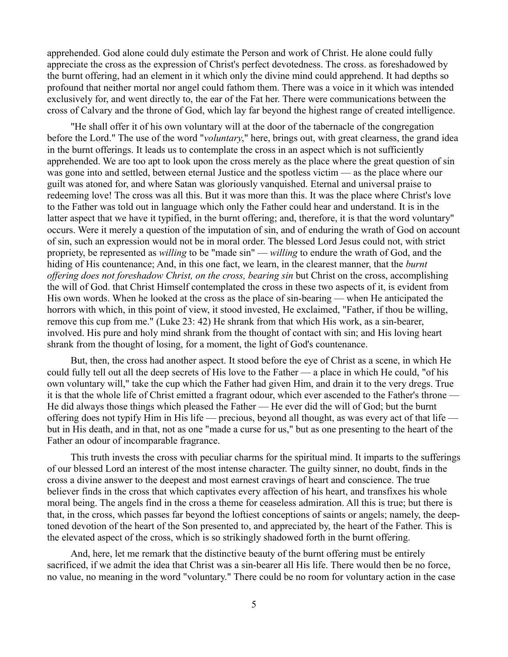apprehended. God alone could duly estimate the Person and work of Christ. He alone could fully appreciate the cross as the expression of Christ's perfect devotedness. The cross. as foreshadowed by the burnt offering, had an element in it which only the divine mind could apprehend. It had depths so profound that neither mortal nor angel could fathom them. There was a voice in it which was intended exclusively for, and went directly to, the ear of the Fat her. There were communications between the cross of Calvary and the throne of God, which lay far beyond the highest range of created intelligence.

"He shall offer it of his own voluntary will at the door of the tabernacle of the congregation before the Lord." The use of the word "*voluntary*," here, brings out, with great clearness, the grand idea in the burnt offerings. It leads us to contemplate the cross in an aspect which is not sufficiently apprehended. We are too apt to look upon the cross merely as the place where the great question of sin was gone into and settled, between eternal Justice and the spotless victim — as the place where our guilt was atoned for, and where Satan was gloriously vanquished. Eternal and universal praise to redeeming love! The cross was all this. But it was more than this. It was the place where Christ's love to the Father was told out in language which only the Father could hear and understand. It is in the latter aspect that we have it typified, in the burnt offering; and, therefore, it is that the word voluntary" occurs. Were it merely a question of the imputation of sin, and of enduring the wrath of God on account of sin, such an expression would not be in moral order. The blessed Lord Jesus could not, with strict propriety, be represented as *willing* to be "made sin" — *willing* to endure the wrath of God, and the hiding of His countenance; And, in this one fact, we learn, in the clearest manner, that the *burnt offering does not foreshadow Christ, on the cross, bearing sin* but Christ on the cross, accomplishing the will of God. that Christ Himself contemplated the cross in these two aspects of it, is evident from His own words. When he looked at the cross as the place of sin-bearing — when He anticipated the horrors with which, in this point of view, it stood invested, He exclaimed, "Father, if thou be willing, remove this cup from me." (Luke 23: 42) He shrank from that which His work, as a sin-bearer, involved. His pure and holy mind shrank from the thought of contact with sin; and His loving heart shrank from the thought of losing, for a moment, the light of God's countenance.

But, then, the cross had another aspect. It stood before the eye of Christ as a scene, in which He could fully tell out all the deep secrets of His love to the Father — a place in which He could, "of his own voluntary will," take the cup which the Father had given Him, and drain it to the very dregs. True it is that the whole life of Christ emitted a fragrant odour, which ever ascended to the Father's throne — He did always those things which pleased the Father — He ever did the will of God; but the burnt offering does not typify Him in His life — precious, beyond all thought, as was every act of that life but in His death, and in that, not as one "made a curse for us," but as one presenting to the heart of the Father an odour of incomparable fragrance.

This truth invests the cross with peculiar charms for the spiritual mind. It imparts to the sufferings of our blessed Lord an interest of the most intense character. The guilty sinner, no doubt, finds in the cross a divine answer to the deepest and most earnest cravings of heart and conscience. The true believer finds in the cross that which captivates every affection of his heart, and transfixes his whole moral being. The angels find in the cross a theme for ceaseless admiration. All this is true; but there is that, in the cross, which passes far beyond the loftiest conceptions of saints or angels; namely, the deeptoned devotion of the heart of the Son presented to, and appreciated by, the heart of the Father. This is the elevated aspect of the cross, which is so strikingly shadowed forth in the burnt offering.

And, here, let me remark that the distinctive beauty of the burnt offering must be entirely sacrificed, if we admit the idea that Christ was a sin-bearer all His life. There would then be no force, no value, no meaning in the word "voluntary." There could be no room for voluntary action in the case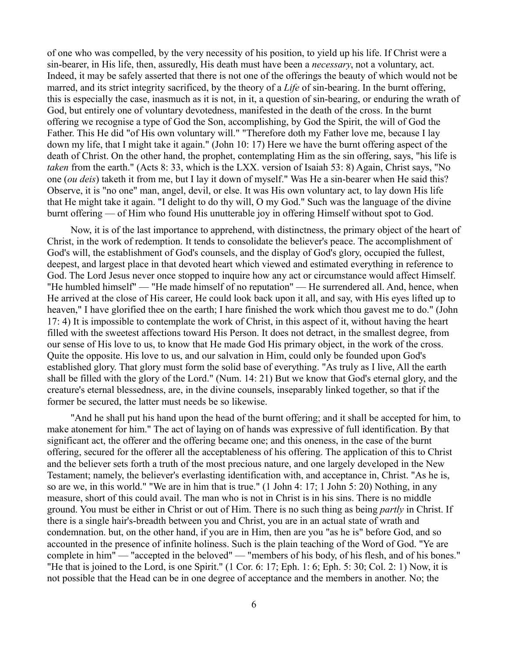of one who was compelled, by the very necessity of his position, to yield up his life. If Christ were a sin-bearer, in His life, then, assuredly, His death must have been a *necessary*, not a voluntary, act. Indeed, it may be safely asserted that there is not one of the offerings the beauty of which would not be marred, and its strict integrity sacrificed, by the theory of a *Life* of sin-bearing. In the burnt offering, this is especially the case, inasmuch as it is not, in it, a question of sin-bearing, or enduring the wrath of God, but entirely one of voluntary devotedness, manifested in the death of the cross. In the burnt offering we recognise a type of God the Son, accomplishing, by God the Spirit, the will of God the Father. This He did "of His own voluntary will." "Therefore doth my Father love me, because I lay down my life, that I might take it again." (John 10: 17) Here we have the burnt offering aspect of the death of Christ. On the other hand, the prophet, contemplating Him as the sin offering, says, "his life is *taken* from the earth." (Acts 8: 33, which is the LXX. version of Isaiah 53: 8) Again, Christ says, "No one (*ou deis*) taketh it from me, but I lay it down of myself." Was He a sin-bearer when He said this? Observe, it is "no one" man, angel, devil, or else. It was His own voluntary act, to lay down His life that He might take it again. "I delight to do thy will, O my God." Such was the language of the divine burnt offering — of Him who found His unutterable joy in offering Himself without spot to God.

Now, it is of the last importance to apprehend, with distinctness, the primary object of the heart of Christ, in the work of redemption. It tends to consolidate the believer's peace. The accomplishment of God's will, the establishment of God's counsels, and the display of God's glory, occupied the fullest, deepest, and largest place in that devoted heart which viewed and estimated everything in reference to God. The Lord Jesus never once stopped to inquire how any act or circumstance would affect Himself. "He humbled himself" — "He made himself of no reputation" — He surrendered all. And, hence, when He arrived at the close of His career, He could look back upon it all, and say, with His eyes lifted up to heaven," I have glorified thee on the earth; I hare finished the work which thou gavest me to do." (John 17: 4) It is impossible to contemplate the work of Christ, in this aspect of it, without having the heart filled with the sweetest affections toward His Person. It does not detract, in the smallest degree, from our sense of His love to us, to know that He made God His primary object, in the work of the cross. Quite the opposite. His love to us, and our salvation in Him, could only be founded upon God's established glory. That glory must form the solid base of everything. "As truly as I live, All the earth shall be filled with the glory of the Lord." (Num. 14: 21) But we know that God's eternal glory, and the creature's eternal blessedness, are, in the divine counsels, inseparably linked together, so that if the former be secured, the latter must needs be so likewise.

"And he shall put his hand upon the head of the burnt offering; and it shall be accepted for him, to make atonement for him." The act of laying on of hands was expressive of full identification. By that significant act, the offerer and the offering became one; and this oneness, in the case of the burnt offering, secured for the offerer all the acceptableness of his offering. The application of this to Christ and the believer sets forth a truth of the most precious nature, and one largely developed in the New Testament; namely, the believer's everlasting identification with, and acceptance in, Christ. "As he is, so are we, in this world." "We are in him that is true." (1 John 4: 17; 1 John 5: 20) Nothing, in any measure, short of this could avail. The man who is not in Christ is in his sins. There is no middle ground. You must be either in Christ or out of Him. There is no such thing as being *partly* in Christ. If there is a single hair's-breadth between you and Christ, you are in an actual state of wrath and condemnation. but, on the other hand, if you are in Him, then are you "as he is" before God, and so accounted in the presence of infinite holiness. Such is the plain teaching of the Word of God. "Ye are complete in him" — "accepted in the beloved" — "members of his body, of his flesh, and of his bones." "He that is joined to the Lord, is one Spirit." (1 Cor. 6: 17; Eph. 1: 6; Eph. 5: 30; Col. 2: 1) Now, it is not possible that the Head can be in one degree of acceptance and the members in another. No; the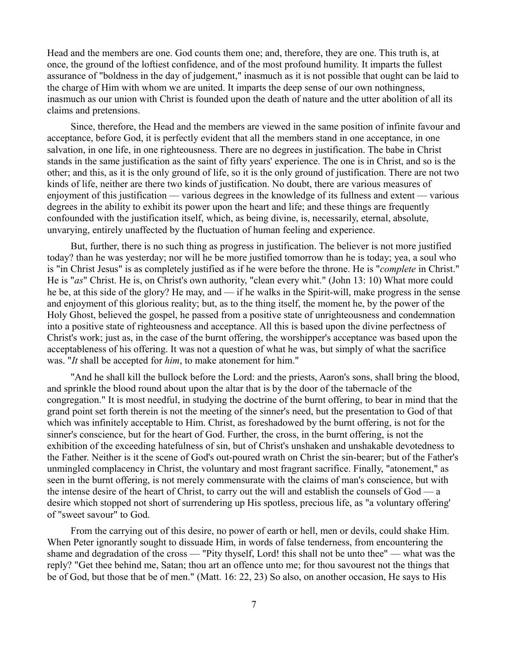Head and the members are one. God counts them one; and, therefore, they are one. This truth is, at once, the ground of the loftiest confidence, and of the most profound humility. It imparts the fullest assurance of "boldness in the day of judgement," inasmuch as it is not possible that ought can be laid to the charge of Him with whom we are united. It imparts the deep sense of our own nothingness, inasmuch as our union with Christ is founded upon the death of nature and the utter abolition of all its claims and pretensions.

Since, therefore, the Head and the members are viewed in the same position of infinite favour and acceptance, before God, it is perfectly evident that all the members stand in one acceptance, in one salvation, in one life, in one righteousness. There are no degrees in justification. The babe in Christ stands in the same justification as the saint of fifty years' experience. The one is in Christ, and so is the other; and this, as it is the only ground of life, so it is the only ground of justification. There are not two kinds of life, neither are there two kinds of justification. No doubt, there are various measures of enjoyment of this justification — various degrees in the knowledge of its fullness and extent — various degrees in the ability to exhibit its power upon the heart and life; and these things are frequently confounded with the justification itself, which, as being divine, is, necessarily, eternal, absolute, unvarying, entirely unaffected by the fluctuation of human feeling and experience.

But, further, there is no such thing as progress in justification. The believer is not more justified today? than he was yesterday; nor will he be more justified tomorrow than he is today; yea, a soul who is "in Christ Jesus" is as completely justified as if he were before the throne. He is "*complete* in Christ." He is "*as*" Christ. He is, on Christ's own authority, "clean every whit." (John 13: 10) What more could he be, at this side of the glory? He may, and — if he walks in the Spirit-will, make progress in the sense and enjoyment of this glorious reality; but, as to the thing itself, the moment he, by the power of the Holy Ghost, believed the gospel, he passed from a positive state of unrighteousness and condemnation into a positive state of righteousness and acceptance. All this is based upon the divine perfectness of Christ's work; just as, in the case of the burnt offering, the worshipper's acceptance was based upon the acceptableness of his offering. It was not a question of what he was, but simply of what the sacrifice was. "*It* shall be accepted for *him*, to make atonement for him."

"And he shall kill the bullock before the Lord: and the priests, Aaron's sons, shall bring the blood, and sprinkle the blood round about upon the altar that is by the door of the tabernacle of the congregation." It is most needful, in studying the doctrine of the burnt offering, to bear in mind that the grand point set forth therein is not the meeting of the sinner's need, but the presentation to God of that which was infinitely acceptable to Him. Christ, as foreshadowed by the burnt offering, is not for the sinner's conscience, but for the heart of God. Further, the cross, in the burnt offering, is not the exhibition of the exceeding hatefulness of sin, but of Christ's unshaken and unshakable devotedness to the Father. Neither is it the scene of God's out-poured wrath on Christ the sin-bearer; but of the Father's unmingled complacency in Christ, the voluntary and most fragrant sacrifice. Finally, "atonement," as seen in the burnt offering, is not merely commensurate with the claims of man's conscience, but with the intense desire of the heart of Christ, to carry out the will and establish the counsels of God — a desire which stopped not short of surrendering up His spotless, precious life, as "a voluntary offering' of "sweet savour" to God.

From the carrying out of this desire, no power of earth or hell, men or devils, could shake Him. When Peter ignorantly sought to dissuade Him, in words of false tenderness, from encountering the shame and degradation of the cross — "Pity thyself, Lord! this shall not be unto thee" — what was the reply? "Get thee behind me, Satan; thou art an offence unto me; for thou savourest not the things that be of God, but those that be of men." (Matt. 16: 22, 23) So also, on another occasion, He says to His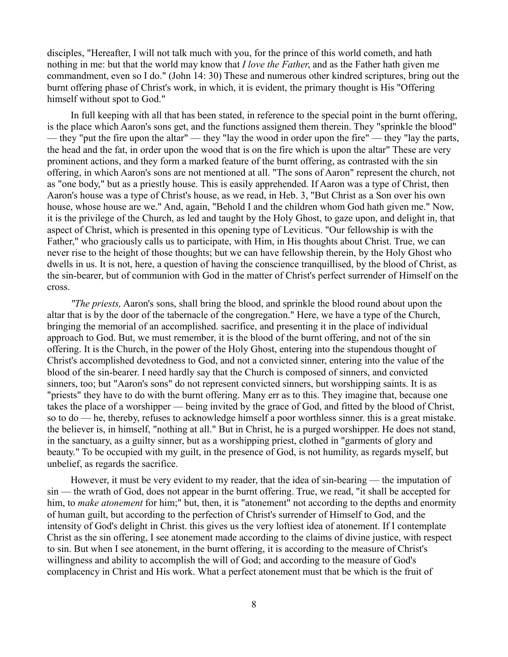disciples, "Hereafter, I will not talk much with you, for the prince of this world cometh, and hath nothing in me: but that the world may know that *I love the Father*, and as the Father hath given me commandment, even so I do." (John 14: 30) These and numerous other kindred scriptures, bring out the burnt offering phase of Christ's work, in which, it is evident, the primary thought is His "Offering himself without spot to God."

In full keeping with all that has been stated, in reference to the special point in the burnt offering, is the place which Aaron's sons get, and the functions assigned them therein. They "sprinkle the blood" — they "put the fire upon the altar" — they "lay the wood in order upon the fire" — they "lay the parts, the head and the fat, in order upon the wood that is on the fire which is upon the altar" These are very prominent actions, and they form a marked feature of the burnt offering, as contrasted with the sin offering, in which Aaron's sons are not mentioned at all. "The sons of Aaron" represent the church, not as "one body," but as a priestly house. This is easily apprehended. If Aaron was a type of Christ, then Aaron's house was a type of Christ's house, as we read, in Heb. 3, "But Christ as a Son over his own house, whose house are we." And, again, "Behold I and the children whom God hath given me." Now, it is the privilege of the Church, as led and taught by the Holy Ghost, to gaze upon, and delight in, that aspect of Christ, which is presented in this opening type of Leviticus. "Our fellowship is with the Father," who graciously calls us to participate, with Him, in His thoughts about Christ. True, we can never rise to the height of those thoughts; but we can have fellowship therein, by the Holy Ghost who dwells in us. It is not, here, a question of having the conscience tranquillised, by the blood of Christ, as the sin-bearer, but of communion with God in the matter of Christ's perfect surrender of Himself on the cross.

*"The priests,* Aaron's sons, shall bring the blood, and sprinkle the blood round about upon the altar that is by the door of the tabernacle of the congregation." Here, we have a type of the Church, bringing the memorial of an accomplished. sacrifice, and presenting it in the place of individual approach to God. But, we must remember, it is the blood of the burnt offering, and not of the sin offering. It is the Church, in the power of the Holy Ghost, entering into the stupendous thought of Christ's accomplished devotedness to God, and not a convicted sinner, entering into the value of the blood of the sin-bearer. I need hardly say that the Church is composed of sinners, and convicted sinners, too; but "Aaron's sons" do not represent convicted sinners, but worshipping saints. It is as "priests" they have to do with the burnt offering. Many err as to this. They imagine that, because one takes the place of a worshipper — being invited by the grace of God, and fitted by the blood of Christ, so to do — he, thereby, refuses to acknowledge himself a poor worthless sinner. this is a great mistake. the believer is, in himself, "nothing at all." But in Christ, he is a purged worshipper. He does not stand, in the sanctuary, as a guilty sinner, but as a worshipping priest, clothed in "garments of glory and beauty." To be occupied with my guilt, in the presence of God, is not humility, as regards myself, but unbelief, as regards the sacrifice.

However, it must be very evident to my reader, that the idea of sin-bearing — the imputation of sin — the wrath of God, does not appear in the burnt offering. True, we read, "it shall be accepted for him, to *make atonement* for him;" but, then, it is "atonement" not according to the depths and enormity of human guilt, but according to the perfection of Christ's surrender of Himself to God, and the intensity of God's delight in Christ. this gives us the very loftiest idea of atonement. If I contemplate Christ as the sin offering, I see atonement made according to the claims of divine justice, with respect to sin. But when I see atonement, in the burnt offering, it is according to the measure of Christ's willingness and ability to accomplish the will of God; and according to the measure of God's complacency in Christ and His work. What a perfect atonement must that be which is the fruit of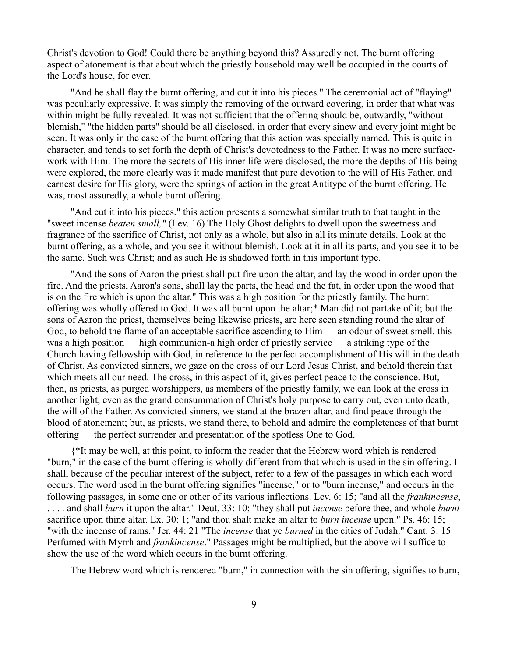Christ's devotion to God! Could there be anything beyond this? Assuredly not. The burnt offering aspect of atonement is that about which the priestly household may well be occupied in the courts of the Lord's house, for ever.

"And he shall flay the burnt offering, and cut it into his pieces." The ceremonial act of "flaying" was peculiarly expressive. It was simply the removing of the outward covering, in order that what was within might be fully revealed. It was not sufficient that the offering should be, outwardly, "without blemish," "the hidden parts" should be all disclosed, in order that every sinew and every joint might be seen. It was only in the case of the burnt offering that this action was specially named. This is quite in character, and tends to set forth the depth of Christ's devotedness to the Father. It was no mere surfacework with Him. The more the secrets of His inner life were disclosed, the more the depths of His being were explored, the more clearly was it made manifest that pure devotion to the will of His Father, and earnest desire for His glory, were the springs of action in the great Antitype of the burnt offering. He was, most assuredly, a whole burnt offering.

"And cut it into his pieces." this action presents a somewhat similar truth to that taught in the "sweet incense *beaten small,"* (Lev. 16) The Holy Ghost delights to dwell upon the sweetness and fragrance of the sacrifice of Christ, not only as a whole, but also in all its minute details. Look at the burnt offering, as a whole, and you see it without blemish. Look at it in all its parts, and you see it to be the same. Such was Christ; and as such He is shadowed forth in this important type.

"And the sons of Aaron the priest shall put fire upon the altar, and lay the wood in order upon the fire. And the priests, Aaron's sons, shall lay the parts, the head and the fat, in order upon the wood that is on the fire which is upon the altar." This was a high position for the priestly family. The burnt offering was wholly offered to God. It was all burnt upon the altar;\* Man did not partake of it; but the sons of Aaron the priest, themselves being likewise priests, are here seen standing round the altar of God, to behold the flame of an acceptable sacrifice ascending to Him — an odour of sweet smell. this was a high position — high communion-a high order of priestly service — a striking type of the Church having fellowship with God, in reference to the perfect accomplishment of His will in the death of Christ. As convicted sinners, we gaze on the cross of our Lord Jesus Christ, and behold therein that which meets all our need. The cross, in this aspect of it, gives perfect peace to the conscience. But, then, as priests, as purged worshippers, as members of the priestly family, we can look at the cross in another light, even as the grand consummation of Christ's holy purpose to carry out, even unto death, the will of the Father. As convicted sinners, we stand at the brazen altar, and find peace through the blood of atonement; but, as priests, we stand there, to behold and admire the completeness of that burnt offering — the perfect surrender and presentation of the spotless One to God.

{\*It may be well, at this point, to inform the reader that the Hebrew word which is rendered "burn," in the case of the burnt offering is wholly different from that which is used in the sin offering. I shall, because of the peculiar interest of the subject, refer to a few of the passages in which each word occurs. The word used in the burnt offering signifies "incense," or to "burn incense," and occurs in the following passages, in some one or other of its various inflections. Lev. 6: 15; "and all the *frankincense*, . . . . and shall *burn* it upon the altar." Deut, 33: 10; "they shall put *incense* before thee, and whole *burnt* sacrifice upon thine altar. Ex. 30: 1; "and thou shalt make an altar to *burn incense* upon." Ps. 46: 15; "with the incense of rams." Jer. 44: 21 "The *incense* that ye *burned* in the cities of Judah." Cant. 3: 15 Perfumed with Myrrh and *frankincense*." Passages might be multiplied, but the above will suffice to show the use of the word which occurs in the burnt offering.

The Hebrew word which is rendered "burn," in connection with the sin offering, signifies to burn,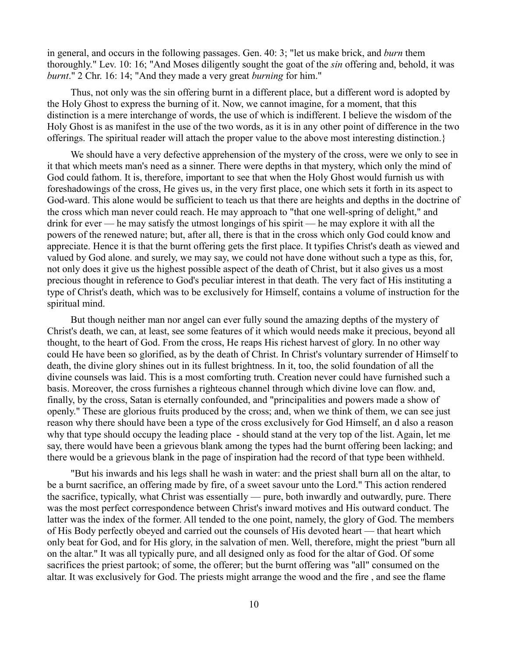in general, and occurs in the following passages. Gen. 40: 3; "let us make brick, and *burn* them thoroughly." Lev. 10: 16; "And Moses diligently sought the goat of the *sin* offering and, behold, it was *burnt*." 2 Chr. 16: 14; "And they made a very great *burning* for him."

Thus, not only was the sin offering burnt in a different place, but a different word is adopted by the Holy Ghost to express the burning of it. Now, we cannot imagine, for a moment, that this distinction is a mere interchange of words, the use of which is indifferent. I believe the wisdom of the Holy Ghost is as manifest in the use of the two words, as it is in any other point of difference in the two offerings. The spiritual reader will attach the proper value to the above most interesting distinction.}

We should have a very defective apprehension of the mystery of the cross, were we only to see in it that which meets man's need as a sinner. There were depths in that mystery, which only the mind of God could fathom. It is, therefore, important to see that when the Holy Ghost would furnish us with foreshadowings of the cross, He gives us, in the very first place, one which sets it forth in its aspect to God-ward. This alone would be sufficient to teach us that there are heights and depths in the doctrine of the cross which man never could reach. He may approach to "that one well-spring of delight," and drink for ever — he may satisfy the utmost longings of his spirit — he may explore it with all the powers of the renewed nature; but, after all, there is that in the cross which only God could know and appreciate. Hence it is that the burnt offering gets the first place. It typifies Christ's death as viewed and valued by God alone. and surely, we may say, we could not have done without such a type as this, for, not only does it give us the highest possible aspect of the death of Christ, but it also gives us a most precious thought in reference to God's peculiar interest in that death. The very fact of His instituting a type of Christ's death, which was to be exclusively for Himself, contains a volume of instruction for the spiritual mind.

But though neither man nor angel can ever fully sound the amazing depths of the mystery of Christ's death, we can, at least, see some features of it which would needs make it precious, beyond all thought, to the heart of God. From the cross, He reaps His richest harvest of glory. In no other way could He have been so glorified, as by the death of Christ. In Christ's voluntary surrender of Himself to death, the divine glory shines out in its fullest brightness. In it, too, the solid foundation of all the divine counsels was laid. This is a most comforting truth. Creation never could have furnished such a basis. Moreover, the cross furnishes a righteous channel through which divine love can flow. and, finally, by the cross, Satan is eternally confounded, and "principalities and powers made a show of openly." These are glorious fruits produced by the cross; and, when we think of them, we can see just reason why there should have been a type of the cross exclusively for God Himself, an d also a reason why that type should occupy the leading place - should stand at the very top of the list. Again, let me say, there would have been a grievous blank among the types had the burnt offering been lacking; and there would be a grievous blank in the page of inspiration had the record of that type been withheld.

"But his inwards and his legs shall he wash in water: and the priest shall burn all on the altar, to be a burnt sacrifice, an offering made by fire, of a sweet savour unto the Lord." This action rendered the sacrifice, typically, what Christ was essentially — pure, both inwardly and outwardly, pure. There was the most perfect correspondence between Christ's inward motives and His outward conduct. The latter was the index of the former. All tended to the one point, namely, the glory of God. The members of His Body perfectly obeyed and carried out the counsels of His devoted heart — that heart which only beat for God, and for His glory, in the salvation of men. Well, therefore, might the priest "burn all on the altar." It was all typically pure, and all designed only as food for the altar of God. Of some sacrifices the priest partook; of some, the offerer; but the burnt offering was "all" consumed on the altar. It was exclusively for God. The priests might arrange the wood and the fire , and see the flame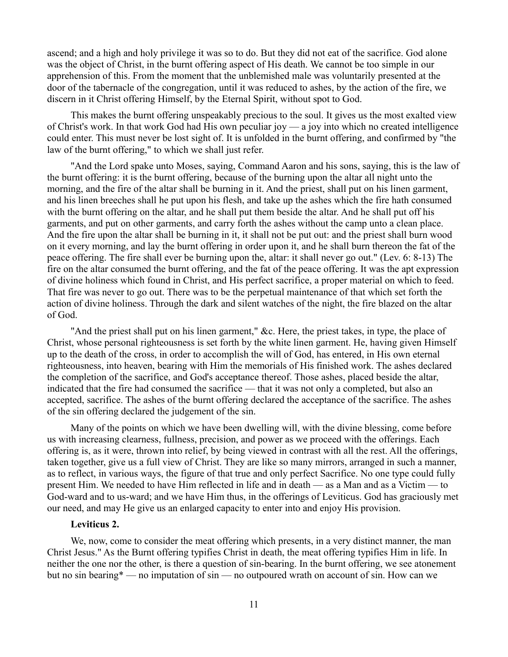ascend; and a high and holy privilege it was so to do. But they did not eat of the sacrifice. God alone was the object of Christ, in the burnt offering aspect of His death. We cannot be too simple in our apprehension of this. From the moment that the unblemished male was voluntarily presented at the door of the tabernacle of the congregation, until it was reduced to ashes, by the action of the fire, we discern in it Christ offering Himself, by the Eternal Spirit, without spot to God.

This makes the burnt offering unspeakably precious to the soul. It gives us the most exalted view of Christ's work. In that work God had His own peculiar joy — a joy into which no created intelligence could enter. This must never be lost sight of. It is unfolded in the burnt offering, and confirmed by "the law of the burnt offering," to which we shall just refer.

"And the Lord spake unto Moses, saying, Command Aaron and his sons, saying, this is the law of the burnt offering: it is the burnt offering, because of the burning upon the altar all night unto the morning, and the fire of the altar shall be burning in it. And the priest, shall put on his linen garment, and his linen breeches shall he put upon his flesh, and take up the ashes which the fire hath consumed with the burnt offering on the altar, and he shall put them beside the altar. And he shall put off his garments, and put on other garments, and carry forth the ashes without the camp unto a clean place. And the fire upon the altar shall be burning in it, it shall not be put out: and the priest shall burn wood on it every morning, and lay the burnt offering in order upon it, and he shall burn thereon the fat of the peace offering. The fire shall ever be burning upon the, altar: it shall never go out." (Lev. 6: 8-13) The fire on the altar consumed the burnt offering, and the fat of the peace offering. It was the apt expression of divine holiness which found in Christ, and His perfect sacrifice, a proper material on which to feed. That fire was never to go out. There was to be the perpetual maintenance of that which set forth the action of divine holiness. Through the dark and silent watches of the night, the fire blazed on the altar of God.

"And the priest shall put on his linen garment," &c. Here, the priest takes, in type, the place of Christ, whose personal righteousness is set forth by the white linen garment. He, having given Himself up to the death of the cross, in order to accomplish the will of God, has entered, in His own eternal righteousness, into heaven, bearing with Him the memorials of His finished work. The ashes declared the completion of the sacrifice, and God's acceptance thereof. Those ashes, placed beside the altar, indicated that the fire had consumed the sacrifice — that it was not only a completed, but also an accepted, sacrifice. The ashes of the burnt offering declared the acceptance of the sacrifice. The ashes of the sin offering declared the judgement of the sin.

Many of the points on which we have been dwelling will, with the divine blessing, come before us with increasing clearness, fullness, precision, and power as we proceed with the offerings. Each offering is, as it were, thrown into relief, by being viewed in contrast with all the rest. All the offerings, taken together, give us a full view of Christ. They are like so many mirrors, arranged in such a manner, as to reflect, in various ways, the figure of that true and only perfect Sacrifice. No one type could fully present Him. We needed to have Him reflected in life and in death — as a Man and as a Victim — to God-ward and to us-ward; and we have Him thus, in the offerings of Leviticus. God has graciously met our need, and may He give us an enlarged capacity to enter into and enjoy His provision.

### **Leviticus 2.**

We, now, come to consider the meat offering which presents, in a very distinct manner, the man Christ Jesus." As the Burnt offering typifies Christ in death, the meat offering typifies Him in life. In neither the one nor the other, is there a question of sin-bearing. In the burnt offering, we see atonement but no sin bearing\* — no imputation of sin — no outpoured wrath on account of sin. How can we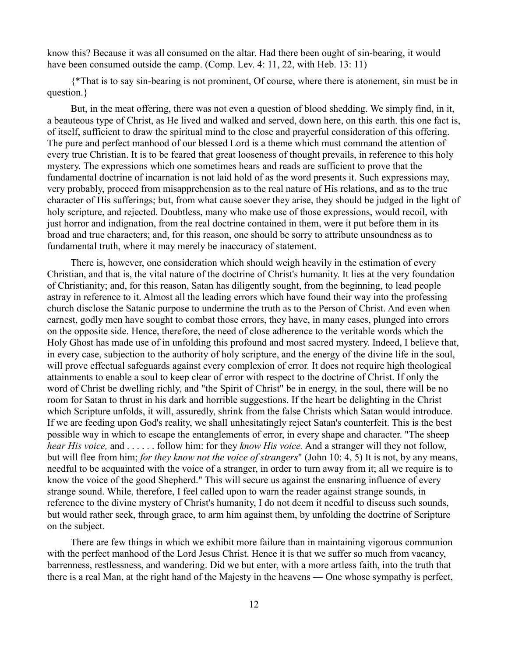know this? Because it was all consumed on the altar. Had there been ought of sin-bearing, it would have been consumed outside the camp. (Comp. Lev. 4: 11, 22, with Heb. 13: 11)

{\*That is to say sin-bearing is not prominent, Of course, where there is atonement, sin must be in question.}

But, in the meat offering, there was not even a question of blood shedding. We simply find, in it, a beauteous type of Christ, as He lived and walked and served, down here, on this earth. this one fact is, of itself, sufficient to draw the spiritual mind to the close and prayerful consideration of this offering. The pure and perfect manhood of our blessed Lord is a theme which must command the attention of every true Christian. It is to be feared that great looseness of thought prevails, in reference to this holy mystery. The expressions which one sometimes hears and reads are sufficient to prove that the fundamental doctrine of incarnation is not laid hold of as the word presents it. Such expressions may, very probably, proceed from misapprehension as to the real nature of His relations, and as to the true character of His sufferings; but, from what cause soever they arise, they should be judged in the light of holy scripture, and rejected. Doubtless, many who make use of those expressions, would recoil, with just horror and indignation, from the real doctrine contained in them, were it put before them in its broad and true characters; and, for this reason, one should be sorry to attribute unsoundness as to fundamental truth, where it may merely be inaccuracy of statement.

There is, however, one consideration which should weigh heavily in the estimation of every Christian, and that is, the vital nature of the doctrine of Christ's humanity. It lies at the very foundation of Christianity; and, for this reason, Satan has diligently sought, from the beginning, to lead people astray in reference to it. Almost all the leading errors which have found their way into the professing church disclose the Satanic purpose to undermine the truth as to the Person of Christ. And even when earnest, godly men have sought to combat those errors, they have, in many cases, plunged into errors on the opposite side. Hence, therefore, the need of close adherence to the veritable words which the Holy Ghost has made use of in unfolding this profound and most sacred mystery. Indeed, I believe that, in every case, subjection to the authority of holy scripture, and the energy of the divine life in the soul, will prove effectual safeguards against every complexion of error. It does not require high theological attainments to enable a soul to keep clear of error with respect to the doctrine of Christ. If only the word of Christ be dwelling richly, and "the Spirit of Christ" be in energy, in the soul, there will be no room for Satan to thrust in his dark and horrible suggestions. If the heart be delighting in the Christ which Scripture unfolds, it will, assuredly, shrink from the false Christs which Satan would introduce. If we are feeding upon God's reality, we shall unhesitatingly reject Satan's counterfeit. This is the best possible way in which to escape the entanglements of error, in every shape and character. "The sheep *hear His voice,* and . . . . . . follow him: for they *know His voice.* And a stranger will they not follow, but will flee from him; *for they know not the voice of strangers*" (John 10: 4, 5) It is not, by any means, needful to be acquainted with the voice of a stranger, in order to turn away from it; all we require is to know the voice of the good Shepherd." This will secure us against the ensnaring influence of every strange sound. While, therefore, I feel called upon to warn the reader against strange sounds, in reference to the divine mystery of Christ's humanity, I do not deem it needful to discuss such sounds, but would rather seek, through grace, to arm him against them, by unfolding the doctrine of Scripture on the subject.

There are few things in which we exhibit more failure than in maintaining vigorous communion with the perfect manhood of the Lord Jesus Christ. Hence it is that we suffer so much from vacancy, barrenness, restlessness, and wandering. Did we but enter, with a more artless faith, into the truth that there is a real Man, at the right hand of the Majesty in the heavens — One whose sympathy is perfect,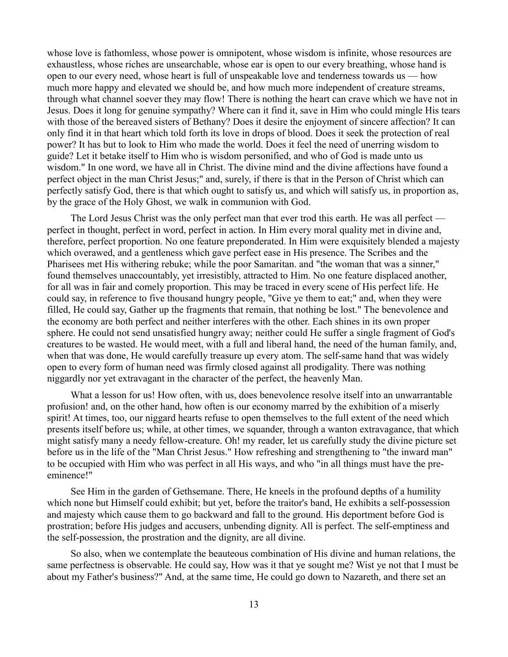whose love is fathomless, whose power is omnipotent, whose wisdom is infinite, whose resources are exhaustless, whose riches are unsearchable, whose ear is open to our every breathing, whose hand is open to our every need, whose heart is full of unspeakable love and tenderness towards us — how much more happy and elevated we should be, and how much more independent of creature streams, through what channel soever they may flow! There is nothing the heart can crave which we have not in Jesus. Does it long for genuine sympathy? Where can it find it, save in Him who could mingle His tears with those of the bereaved sisters of Bethany? Does it desire the enjoyment of sincere affection? It can only find it in that heart which told forth its love in drops of blood. Does it seek the protection of real power? It has but to look to Him who made the world. Does it feel the need of unerring wisdom to guide? Let it betake itself to Him who is wisdom personified, and who of God is made unto us wisdom." In one word, we have all in Christ. The divine mind and the divine affections have found a perfect object in the man Christ Jesus;" and, surely, if there is that in the Person of Christ which can perfectly satisfy God, there is that which ought to satisfy us, and which will satisfy us, in proportion as, by the grace of the Holy Ghost, we walk in communion with God.

The Lord Jesus Christ was the only perfect man that ever trod this earth. He was all perfect perfect in thought, perfect in word, perfect in action. In Him every moral quality met in divine and, therefore, perfect proportion. No one feature preponderated. In Him were exquisitely blended a majesty which overawed, and a gentleness which gave perfect ease in His presence. The Scribes and the Pharisees met His withering rebuke; while the poor Samaritan. and "the woman that was a sinner," found themselves unaccountably, yet irresistibly, attracted to Him. No one feature displaced another, for all was in fair and comely proportion. This may be traced in every scene of His perfect life. He could say, in reference to five thousand hungry people, "Give ye them to eat;" and, when they were filled, He could say, Gather up the fragments that remain, that nothing be lost." The benevolence and the economy are both perfect and neither interferes with the other. Each shines in its own proper sphere. He could not send unsatisfied hungry away; neither could He suffer a single fragment of God's creatures to be wasted. He would meet, with a full and liberal hand, the need of the human family, and, when that was done, He would carefully treasure up every atom. The self-same hand that was widely open to every form of human need was firmly closed against all prodigality. There was nothing niggardly nor yet extravagant in the character of the perfect, the heavenly Man.

What a lesson for us! How often, with us, does benevolence resolve itself into an unwarrantable profusion! and, on the other hand, how often is our economy marred by the exhibition of a miserly spirit! At times, too, our niggard hearts refuse to open themselves to the full extent of the need which presents itself before us; while, at other times, we squander, through a wanton extravagance, that which might satisfy many a needy fellow-creature. Oh! my reader, let us carefully study the divine picture set before us in the life of the "Man Christ Jesus." How refreshing and strengthening to "the inward man" to be occupied with Him who was perfect in all His ways, and who "in all things must have the preeminence!"

See Him in the garden of Gethsemane. There, He kneels in the profound depths of a humility which none but Himself could exhibit; but yet, before the traitor's band, He exhibits a self-possession and majesty which cause them to go backward and fall to the ground. His deportment before God is prostration; before His judges and accusers, unbending dignity. All is perfect. The self-emptiness and the self-possession, the prostration and the dignity, are all divine.

So also, when we contemplate the beauteous combination of His divine and human relations, the same perfectness is observable. He could say, How was it that ye sought me? Wist ye not that I must be about my Father's business?" And, at the same time, He could go down to Nazareth, and there set an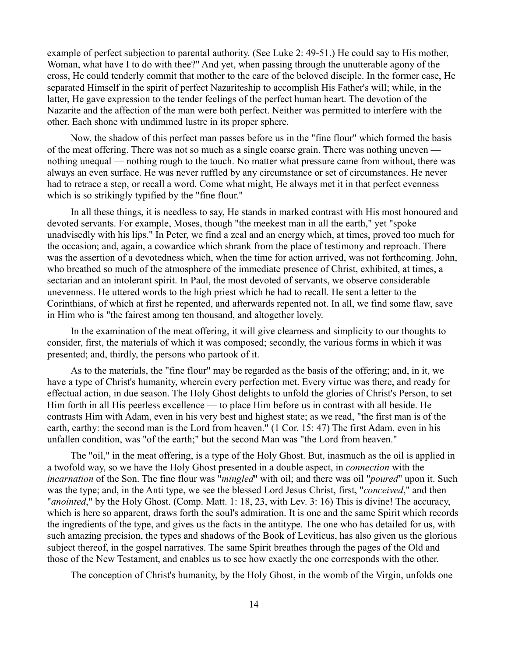example of perfect subjection to parental authority. (See Luke 2: 49-51.) He could say to His mother, Woman, what have I to do with thee?" And yet, when passing through the unutterable agony of the cross, He could tenderly commit that mother to the care of the beloved disciple. In the former case, He separated Himself in the spirit of perfect Nazariteship to accomplish His Father's will; while, in the latter, He gave expression to the tender feelings of the perfect human heart. The devotion of the Nazarite and the affection of the man were both perfect. Neither was permitted to interfere with the other. Each shone with undimmed lustre in its proper sphere.

Now, the shadow of this perfect man passes before us in the "fine flour" which formed the basis of the meat offering. There was not so much as a single coarse grain. There was nothing uneven nothing unequal — nothing rough to the touch. No matter what pressure came from without, there was always an even surface. He was never ruffled by any circumstance or set of circumstances. He never had to retrace a step, or recall a word. Come what might, He always met it in that perfect evenness which is so strikingly typified by the "fine flour."

In all these things, it is needless to say, He stands in marked contrast with His most honoured and devoted servants. For example, Moses, though "the meekest man in all the earth," yet "spoke unadvisedly with his lips." In Peter, we find a zeal and an energy which, at times, proved too much for the occasion; and, again, a cowardice which shrank from the place of testimony and reproach. There was the assertion of a devotedness which, when the time for action arrived, was not forthcoming. John, who breathed so much of the atmosphere of the immediate presence of Christ, exhibited, at times, a sectarian and an intolerant spirit. In Paul, the most devoted of servants, we observe considerable unevenness. He uttered words to the high priest which he had to recall. He sent a letter to the Corinthians, of which at first he repented, and afterwards repented not. In all, we find some flaw, save in Him who is "the fairest among ten thousand, and altogether lovely.

In the examination of the meat offering, it will give clearness and simplicity to our thoughts to consider, first, the materials of which it was composed; secondly, the various forms in which it was presented; and, thirdly, the persons who partook of it.

As to the materials, the "fine flour" may be regarded as the basis of the offering; and, in it, we have a type of Christ's humanity, wherein every perfection met. Every virtue was there, and ready for effectual action, in due season. The Holy Ghost delights to unfold the glories of Christ's Person, to set Him forth in all His peerless excellence — to place Him before us in contrast with all beside. He contrasts Him with Adam, even in his very best and highest state; as we read, "the first man is of the earth, earthy: the second man is the Lord from heaven." (1 Cor. 15: 47) The first Adam, even in his unfallen condition, was "of the earth;" but the second Man was "the Lord from heaven."

The "oil," in the meat offering, is a type of the Holy Ghost. But, inasmuch as the oil is applied in a twofold way, so we have the Holy Ghost presented in a double aspect, in *connection* with the *incarnation* of the Son. The fine flour was "*mingled*" with oil; and there was oil "*poured*" upon it. Such was the type; and, in the Anti type, we see the blessed Lord Jesus Christ, first, "*conceived*," and then "*anointed*," by the Holy Ghost. (Comp. Matt. 1: 18, 23, with Lev. 3: 16) This is divine! The accuracy, which is here so apparent, draws forth the soul's admiration. It is one and the same Spirit which records the ingredients of the type, and gives us the facts in the antitype. The one who has detailed for us, with such amazing precision, the types and shadows of the Book of Leviticus, has also given us the glorious subject thereof, in the gospel narratives. The same Spirit breathes through the pages of the Old and those of the New Testament, and enables us to see how exactly the one corresponds with the other.

The conception of Christ's humanity, by the Holy Ghost, in the womb of the Virgin, unfolds one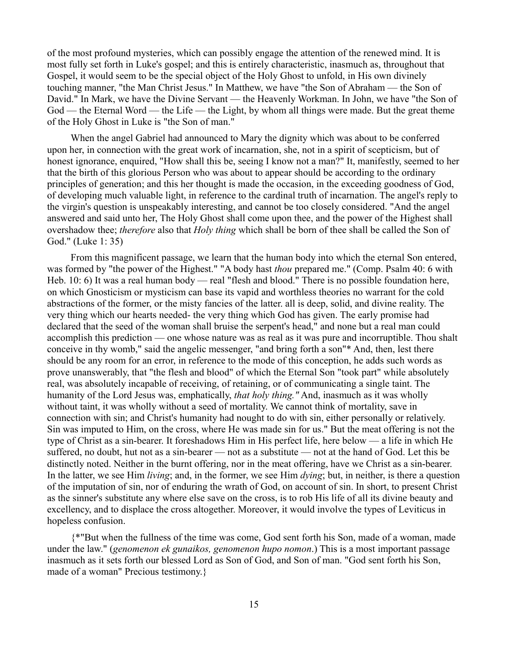of the most profound mysteries, which can possibly engage the attention of the renewed mind. It is most fully set forth in Luke's gospel; and this is entirely characteristic, inasmuch as, throughout that Gospel, it would seem to be the special object of the Holy Ghost to unfold, in His own divinely touching manner, "the Man Christ Jesus." In Matthew, we have "the Son of Abraham — the Son of David." In Mark, we have the Divine Servant — the Heavenly Workman. In John, we have "the Son of God — the Eternal Word — the Life — the Light, by whom all things were made. But the great theme of the Holy Ghost in Luke is "the Son of man."

When the angel Gabriel had announced to Mary the dignity which was about to be conferred upon her, in connection with the great work of incarnation, she, not in a spirit of scepticism, but of honest ignorance, enquired, "How shall this be, seeing I know not a man?" It, manifestly, seemed to her that the birth of this glorious Person who was about to appear should be according to the ordinary principles of generation; and this her thought is made the occasion, in the exceeding goodness of God, of developing much valuable light, in reference to the cardinal truth of incarnation. The angel's reply to the virgin's question is unspeakably interesting, and cannot be too closely considered. "And the angel answered and said unto her, The Holy Ghost shall come upon thee, and the power of the Highest shall overshadow thee; *therefore* also that *Holy thing* which shall be born of thee shall be called the Son of God." (Luke 1: 35)

From this magnificent passage, we learn that the human body into which the eternal Son entered, was formed by "the power of the Highest." "A body hast *thou* prepared me." (Comp. Psalm 40: 6 with Heb. 10: 6) It was a real human body — real "flesh and blood." There is no possible foundation here, on which Gnosticism or mysticism can base its vapid and worthless theories no warrant for the cold abstractions of the former, or the misty fancies of the latter. all is deep, solid, and divine reality. The very thing which our hearts needed- the very thing which God has given. The early promise had declared that the seed of the woman shall bruise the serpent's head," and none but a real man could accomplish this prediction — one whose nature was as real as it was pure and incorruptible. Thou shalt conceive in thy womb," said the angelic messenger, "and bring forth a son"\* And, then, lest there should be any room for an error, in reference to the mode of this conception, he adds such words as prove unanswerably, that "the flesh and blood" of which the Eternal Son "took part" while absolutely real, was absolutely incapable of receiving, of retaining, or of communicating a single taint. The humanity of the Lord Jesus was, emphatically, *that holy thing."* And, inasmuch as it was wholly without taint, it was wholly without a seed of mortality. We cannot think of mortality, save in connection with sin; and Christ's humanity had nought to do with sin, either personally or relatively. Sin was imputed to Him, on the cross, where He was made sin for us." But the meat offering is not the type of Christ as a sin-bearer. It foreshadows Him in His perfect life, here below — a life in which He suffered, no doubt, hut not as a sin-bearer — not as a substitute — not at the hand of God. Let this be distinctly noted. Neither in the burnt offering, nor in the meat offering, have we Christ as a sin-bearer. In the latter, we see Him *living*; and, in the former, we see Him *dying*; but, in neither, is there a question of the imputation of sin, nor of enduring the wrath of God, on account of sin. In short, to present Christ as the sinner's substitute any where else save on the cross, is to rob His life of all its divine beauty and excellency, and to displace the cross altogether. Moreover, it would involve the types of Leviticus in hopeless confusion.

{\*"But when the fullness of the time was come, God sent forth his Son, made of a woman, made under the law." (*genomenon ek gunaikos, genomenon hupo nomon*.) This is a most important passage inasmuch as it sets forth our blessed Lord as Son of God, and Son of man. "God sent forth his Son, made of a woman" Precious testimony.}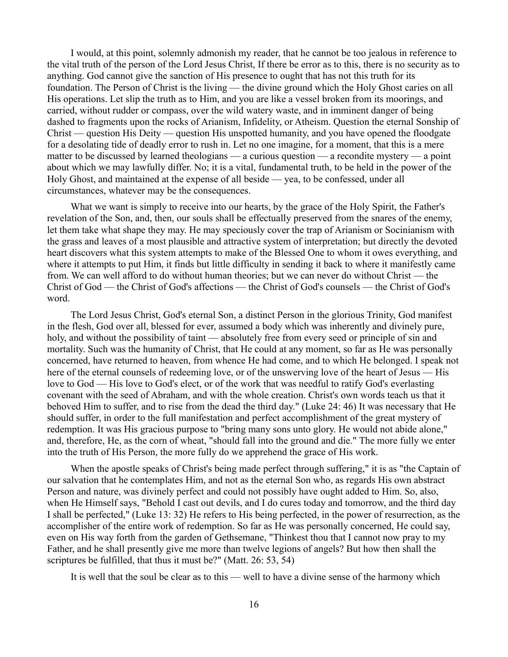I would, at this point, solemnly admonish my reader, that he cannot be too jealous in reference to the vital truth of the person of the Lord Jesus Christ, If there be error as to this, there is no security as to anything. God cannot give the sanction of His presence to ought that has not this truth for its foundation. The Person of Christ is the living — the divine ground which the Holy Ghost caries on all His operations. Let slip the truth as to Him, and you are like a vessel broken from its moorings, and carried, without rudder or compass, over the wild watery waste, and in imminent danger of being dashed to fragments upon the rocks of Arianism, Infidelity, or Atheism. Question the eternal Sonship of Christ — question His Deity — question His unspotted humanity, and you have opened the floodgate for a desolating tide of deadly error to rush in. Let no one imagine, for a moment, that this is a mere matter to be discussed by learned theologians — a curious question — a recondite mystery — a point about which we may lawfully differ. No; it is a vital, fundamental truth, to be held in the power of the Holy Ghost, and maintained at the expense of all beside — yea, to be confessed, under all circumstances, whatever may be the consequences.

What we want is simply to receive into our hearts, by the grace of the Holy Spirit, the Father's revelation of the Son, and, then, our souls shall be effectually preserved from the snares of the enemy, let them take what shape they may. He may speciously cover the trap of Arianism or Socinianism with the grass and leaves of a most plausible and attractive system of interpretation; but directly the devoted heart discovers what this system attempts to make of the Blessed One to whom it owes everything, and where it attempts to put Him, it finds but little difficulty in sending it back to where it manifestly came from. We can well afford to do without human theories; but we can never do without Christ — the Christ of God — the Christ of God's affections — the Christ of God's counsels — the Christ of God's word.

The Lord Jesus Christ, God's eternal Son, a distinct Person in the glorious Trinity, God manifest in the flesh, God over all, blessed for ever, assumed a body which was inherently and divinely pure, holy, and without the possibility of taint — absolutely free from every seed or principle of sin and mortality. Such was the humanity of Christ, that He could at any moment, so far as He was personally concerned, have returned to heaven, from whence He had come, and to which He belonged. I speak not here of the eternal counsels of redeeming love, or of the unswerving love of the heart of Jesus — His love to God — His love to God's elect, or of the work that was needful to ratify God's everlasting covenant with the seed of Abraham, and with the whole creation. Christ's own words teach us that it behoved Him to suffer, and to rise from the dead the third day." (Luke 24: 46) It was necessary that He should suffer, in order to the full manifestation and perfect accomplishment of the great mystery of redemption. It was His gracious purpose to "bring many sons unto glory. He would not abide alone," and, therefore, He, as the corn of wheat, "should fall into the ground and die." The more fully we enter into the truth of His Person, the more fully do we apprehend the grace of His work.

When the apostle speaks of Christ's being made perfect through suffering," it is as "the Captain of our salvation that he contemplates Him, and not as the eternal Son who, as regards His own abstract Person and nature, was divinely perfect and could not possibly have ought added to Him. So, also, when He Himself says, "Behold I cast out devils, and I do cures today and tomorrow, and the third day I shall be perfected," (Luke 13: 32) He refers to His being perfected, in the power of resurrection, as the accomplisher of the entire work of redemption. So far as He was personally concerned, He could say, even on His way forth from the garden of Gethsemane, "Thinkest thou that I cannot now pray to my Father, and he shall presently give me more than twelve legions of angels? But how then shall the scriptures be fulfilled, that thus it must be?" (Matt. 26: 53, 54)

It is well that the soul be clear as to this — well to have a divine sense of the harmony which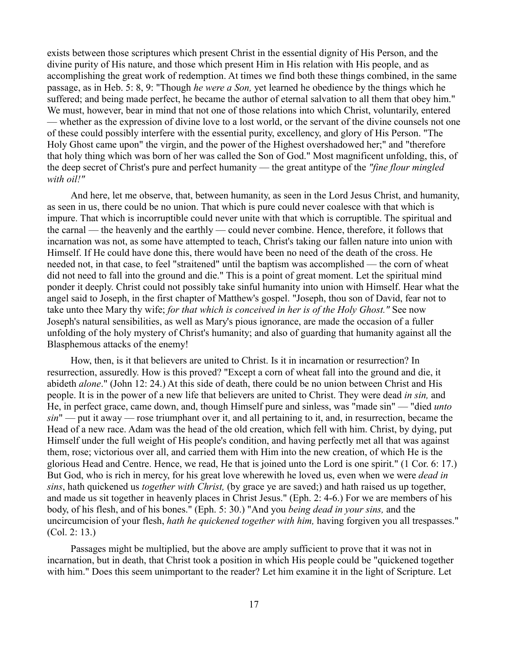exists between those scriptures which present Christ in the essential dignity of His Person, and the divine purity of His nature, and those which present Him in His relation with His people, and as accomplishing the great work of redemption. At times we find both these things combined, in the same passage, as in Heb. 5: 8, 9: "Though *he were a Son,* yet learned he obedience by the things which he suffered; and being made perfect, he became the author of eternal salvation to all them that obey him." We must, however, bear in mind that not one of those relations into which Christ, voluntarily, entered — whether as the expression of divine love to a lost world, or the servant of the divine counsels not one of these could possibly interfere with the essential purity, excellency, and glory of His Person. "The Holy Ghost came upon" the virgin, and the power of the Highest overshadowed her;" and "therefore that holy thing which was born of her was called the Son of God." Most magnificent unfolding, this, of the deep secret of Christ's pure and perfect humanity — the great antitype of the *"fine flour mingled with oil!"*

And here, let me observe, that, between humanity, as seen in the Lord Jesus Christ, and humanity, as seen in us, there could be no union. That which is pure could never coalesce with that which is impure. That which is incorruptible could never unite with that which is corruptible. The spiritual and the carnal — the heavenly and the earthly — could never combine. Hence, therefore, it follows that incarnation was not, as some have attempted to teach, Christ's taking our fallen nature into union with Himself. If He could have done this, there would have been no need of the death of the cross. He needed not, in that case, to feel "straitened" until the baptism was accomplished — the corn of wheat did not need to fall into the ground and die." This is a point of great moment. Let the spiritual mind ponder it deeply. Christ could not possibly take sinful humanity into union with Himself. Hear what the angel said to Joseph, in the first chapter of Matthew's gospel. "Joseph, thou son of David, fear not to take unto thee Mary thy wife; *for that which is conceived in her is of the Holy Ghost."* See now Joseph's natural sensibilities, as well as Mary's pious ignorance, are made the occasion of a fuller unfolding of the holy mystery of Christ's humanity; and also of guarding that humanity against all the Blasphemous attacks of the enemy!

How, then, is it that believers are united to Christ. Is it in incarnation or resurrection? In resurrection, assuredly. How is this proved? "Except a corn of wheat fall into the ground and die, it abideth *alone*." (John 12: 24.) At this side of death, there could be no union between Christ and His people. It is in the power of a new life that believers are united to Christ. They were dead *in sin,* and He, in perfect grace, came down, and, though Himself pure and sinless, was "made sin" — "died *unto sin*" — put it away — rose triumphant over it, and all pertaining to it, and, in resurrection, became the Head of a new race. Adam was the head of the old creation, which fell with him. Christ, by dying, put Himself under the full weight of His people's condition, and having perfectly met all that was against them, rose; victorious over all, and carried them with Him into the new creation, of which He is the glorious Head and Centre. Hence, we read, He that is joined unto the Lord is one spirit." (1 Cor. 6: 17.) But God, who is rich in mercy, for his great love wherewith he loved us, even when we were *dead in sins*, hath quickened us *together with Christ,* (by grace ye are saved;) and hath raised us up together, and made us sit together in heavenly places in Christ Jesus." (Eph. 2: 4-6.) For we are members of his body, of his flesh, and of his bones." (Eph. 5: 30.) "And you *being dead in your sins,* and the uncircumcision of your flesh, *hath he quickened together with him,* having forgiven you all trespasses." (Col. 2: 13.)

Passages might be multiplied, but the above are amply sufficient to prove that it was not in incarnation, but in death, that Christ took a position in which His people could be "quickened together with him." Does this seem unimportant to the reader? Let him examine it in the light of Scripture. Let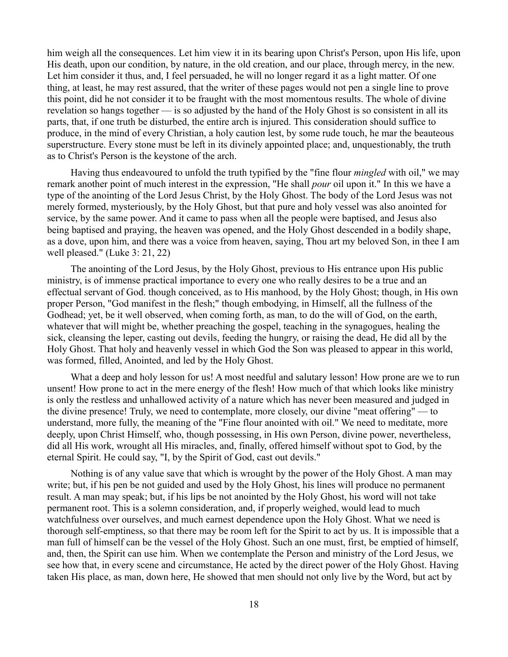him weigh all the consequences. Let him view it in its bearing upon Christ's Person, upon His life, upon His death, upon our condition, by nature, in the old creation, and our place, through mercy, in the new. Let him consider it thus, and, I feel persuaded, he will no longer regard it as a light matter. Of one thing, at least, he may rest assured, that the writer of these pages would not pen a single line to prove this point, did he not consider it to be fraught with the most momentous results. The whole of divine revelation so hangs together — is so adjusted by the hand of the Holy Ghost is so consistent in all its parts, that, if one truth be disturbed, the entire arch is injured. This consideration should suffice to produce, in the mind of every Christian, a holy caution lest, by some rude touch, he mar the beauteous superstructure. Every stone must be left in its divinely appointed place; and, unquestionably, the truth as to Christ's Person is the keystone of the arch.

Having thus endeavoured to unfold the truth typified by the "fine flour *mingled* with oil," we may remark another point of much interest in the expression, "He shall *pour* oil upon it." In this we have a type of the anointing of the Lord Jesus Christ, by the Holy Ghost. The body of the Lord Jesus was not merely formed, mysteriously, by the Holy Ghost, but that pure and holy vessel was also anointed for service, by the same power. And it came to pass when all the people were baptised, and Jesus also being baptised and praying, the heaven was opened, and the Holy Ghost descended in a bodily shape, as a dove, upon him, and there was a voice from heaven, saying, Thou art my beloved Son, in thee I am well pleased." (Luke 3: 21, 22)

The anointing of the Lord Jesus, by the Holy Ghost, previous to His entrance upon His public ministry, is of immense practical importance to every one who really desires to be a true and an effectual servant of God. though conceived, as to His manhood, by the Holy Ghost; though, in His own proper Person, "God manifest in the flesh;" though embodying, in Himself, all the fullness of the Godhead; yet, be it well observed, when coming forth, as man, to do the will of God, on the earth, whatever that will might be, whether preaching the gospel, teaching in the synagogues, healing the sick, cleansing the leper, casting out devils, feeding the hungry, or raising the dead, He did all by the Holy Ghost. That holy and heavenly vessel in which God the Son was pleased to appear in this world, was formed, filled, Anointed, and led by the Holy Ghost.

What a deep and holy lesson for us! A most needful and salutary lesson! How prone are we to run unsent! How prone to act in the mere energy of the flesh! How much of that which looks like ministry is only the restless and unhallowed activity of a nature which has never been measured and judged in the divine presence! Truly, we need to contemplate, more closely, our divine "meat offering" — to understand, more fully, the meaning of the "Fine flour anointed with oil." We need to meditate, more deeply, upon Christ Himself, who, though possessing, in His own Person, divine power, nevertheless, did all His work, wrought all His miracles, and, finally, offered himself without spot to God, by the eternal Spirit. He could say, "I, by the Spirit of God, cast out devils."

Nothing is of any value save that which is wrought by the power of the Holy Ghost. A man may write; but, if his pen be not guided and used by the Holy Ghost, his lines will produce no permanent result. A man may speak; but, if his lips be not anointed by the Holy Ghost, his word will not take permanent root. This is a solemn consideration, and, if properly weighed, would lead to much watchfulness over ourselves, and much earnest dependence upon the Holy Ghost. What we need is thorough self-emptiness, so that there may be room left for the Spirit to act by us. It is impossible that a man full of himself can be the vessel of the Holy Ghost. Such an one must, first, be emptied of himself, and, then, the Spirit can use him. When we contemplate the Person and ministry of the Lord Jesus, we see how that, in every scene and circumstance, He acted by the direct power of the Holy Ghost. Having taken His place, as man, down here, He showed that men should not only live by the Word, but act by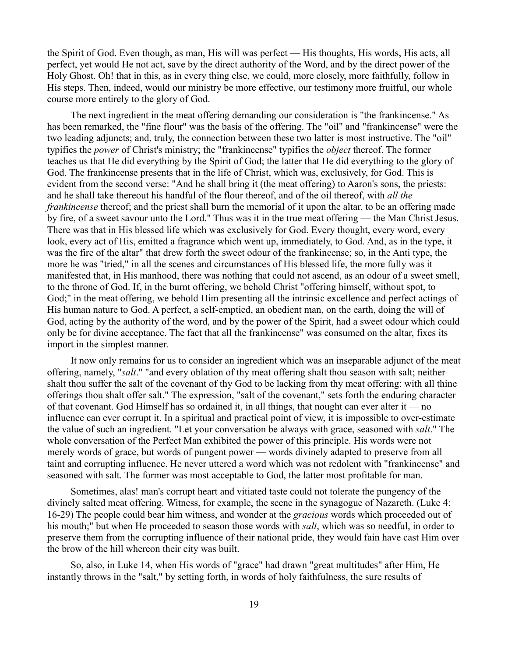the Spirit of God. Even though, as man, His will was perfect — His thoughts, His words, His acts, all perfect, yet would He not act, save by the direct authority of the Word, and by the direct power of the Holy Ghost. Oh! that in this, as in every thing else, we could, more closely, more faithfully, follow in His steps. Then, indeed, would our ministry be more effective, our testimony more fruitful, our whole course more entirely to the glory of God.

The next ingredient in the meat offering demanding our consideration is "the frankincense." As has been remarked, the "fine flour" was the basis of the offering. The "oil" and "frankincense" were the two leading adjuncts; and, truly, the connection between these two latter is most instructive. The "oil" typifies the *power* of Christ's ministry; the "frankincense" typifies the *object* thereof. The former teaches us that He did everything by the Spirit of God; the latter that He did everything to the glory of God. The frankincense presents that in the life of Christ, which was, exclusively, for God. This is evident from the second verse: "And he shall bring it (the meat offering) to Aaron's sons, the priests: and he shall take thereout his handful of the flour thereof, and of the oil thereof, with *all the frankincense* thereof; and the priest shall burn the memorial of it upon the altar, to be an offering made by fire, of a sweet savour unto the Lord." Thus was it in the true meat offering — the Man Christ Jesus. There was that in His blessed life which was exclusively for God. Every thought, every word, every look, every act of His, emitted a fragrance which went up, immediately, to God. And, as in the type, it was the fire of the altar" that drew forth the sweet odour of the frankincense; so, in the Anti type, the more he was "tried," in all the scenes and circumstances of His blessed life, the more fully was it manifested that, in His manhood, there was nothing that could not ascend, as an odour of a sweet smell, to the throne of God. If, in the burnt offering, we behold Christ "offering himself, without spot, to God;" in the meat offering, we behold Him presenting all the intrinsic excellence and perfect actings of His human nature to God. A perfect, a self-emptied, an obedient man, on the earth, doing the will of God, acting by the authority of the word, and by the power of the Spirit, had a sweet odour which could only be for divine acceptance. The fact that all the frankincense" was consumed on the altar, fixes its import in the simplest manner.

It now only remains for us to consider an ingredient which was an inseparable adjunct of the meat offering, namely, "*salt*." "and every oblation of thy meat offering shalt thou season with salt; neither shalt thou suffer the salt of the covenant of thy God to be lacking from thy meat offering: with all thine offerings thou shalt offer salt." The expression, "salt of the covenant," sets forth the enduring character of that covenant. God Himself has so ordained it, in all things, that nought can ever alter it — no influence can ever corrupt it. In a spiritual and practical point of view, it is impossible to over-estimate the value of such an ingredient. "Let your conversation be always with grace, seasoned with *salt*." The whole conversation of the Perfect Man exhibited the power of this principle. His words were not merely words of grace, but words of pungent power — words divinely adapted to preserve from all taint and corrupting influence. He never uttered a word which was not redolent with "frankincense" and seasoned with salt. The former was most acceptable to God, the latter most profitable for man.

Sometimes, alas! man's corrupt heart and vitiated taste could not tolerate the pungency of the divinely salted meat offering. Witness, for example, the scene in the synagogue of Nazareth. (Luke 4: 16-29) The people could bear him witness, and wonder at the *gracious* words which proceeded out of his mouth;" but when He proceeded to season those words with *salt*, which was so needful, in order to preserve them from the corrupting influence of their national pride, they would fain have cast Him over the brow of the hill whereon their city was built.

So, also, in Luke 14, when His words of "grace" had drawn "great multitudes" after Him, He instantly throws in the "salt," by setting forth, in words of holy faithfulness, the sure results of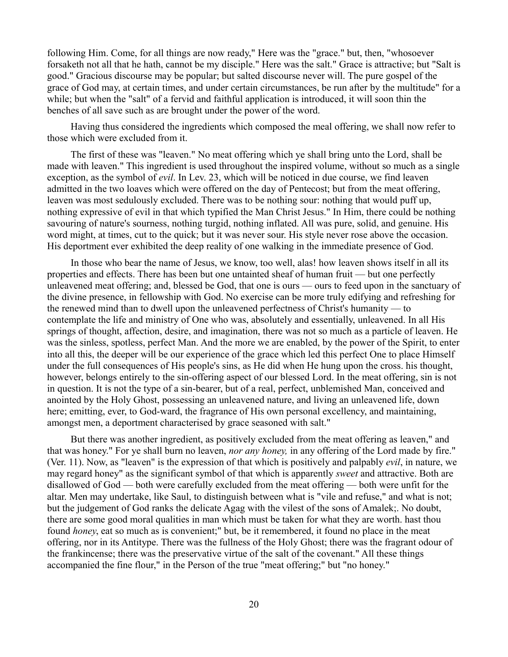following Him. Come, for all things are now ready," Here was the "grace." but, then, "whosoever forsaketh not all that he hath, cannot be my disciple." Here was the salt." Grace is attractive; but "Salt is good." Gracious discourse may be popular; but salted discourse never will. The pure gospel of the grace of God may, at certain times, and under certain circumstances, be run after by the multitude" for a while; but when the "salt" of a fervid and faithful application is introduced, it will soon thin the benches of all save such as are brought under the power of the word.

Having thus considered the ingredients which composed the meal offering, we shall now refer to those which were excluded from it.

The first of these was "leaven." No meat offering which ye shall bring unto the Lord, shall be made with leaven." This ingredient is used throughout the inspired volume, without so much as a single exception, as the symbol of *evil*. In Lev. 23, which will be noticed in due course, we find leaven admitted in the two loaves which were offered on the day of Pentecost; but from the meat offering, leaven was most sedulously excluded. There was to be nothing sour: nothing that would puff up, nothing expressive of evil in that which typified the Man Christ Jesus." In Him, there could be nothing savouring of nature's sourness, nothing turgid, nothing inflated. All was pure, solid, and genuine. His word might, at times, cut to the quick; but it was never sour. His style never rose above the occasion. His deportment ever exhibited the deep reality of one walking in the immediate presence of God.

In those who bear the name of Jesus, we know, too well, alas! how leaven shows itself in all its properties and effects. There has been but one untainted sheaf of human fruit — but one perfectly unleavened meat offering; and, blessed be God, that one is ours — ours to feed upon in the sanctuary of the divine presence, in fellowship with God. No exercise can be more truly edifying and refreshing for the renewed mind than to dwell upon the unleavened perfectness of Christ's humanity — to contemplate the life and ministry of One who was, absolutely and essentially, unleavened. In all His springs of thought, affection, desire, and imagination, there was not so much as a particle of leaven. He was the sinless, spotless, perfect Man. And the more we are enabled, by the power of the Spirit, to enter into all this, the deeper will be our experience of the grace which led this perfect One to place Himself under the full consequences of His people's sins, as He did when He hung upon the cross. his thought, however, belongs entirely to the sin-offering aspect of our blessed Lord. In the meat offering, sin is not in question. It is not the type of a sin-bearer, but of a real, perfect, unblemished Man, conceived and anointed by the Holy Ghost, possessing an unleavened nature, and living an unleavened life, down here; emitting, ever, to God-ward, the fragrance of His own personal excellency, and maintaining, amongst men, a deportment characterised by grace seasoned with salt."

But there was another ingredient, as positively excluded from the meat offering as leaven," and that was honey." For ye shall burn no leaven, *nor any honey,* in any offering of the Lord made by fire." (Ver. 11). Now, as "leaven" is the expression of that which is positively and palpably *evil*, in nature, we may regard honey" as the significant symbol of that which is apparently *sweet* and attractive. Both are disallowed of God — both were carefully excluded from the meat offering — both were unfit for the altar. Men may undertake, like Saul, to distinguish between what is "vile and refuse," and what is not; but the judgement of God ranks the delicate Agag with the vilest of the sons of Amalek;. No doubt, there are some good moral qualities in man which must be taken for what they are worth. hast thou found *honey*, eat so much as is convenient;" but, be it remembered, it found no place in the meat offering, nor in its Antitype. There was the fullness of the Holy Ghost; there was the fragrant odour of the frankincense; there was the preservative virtue of the salt of the covenant." All these things accompanied the fine flour," in the Person of the true "meat offering;" but "no honey."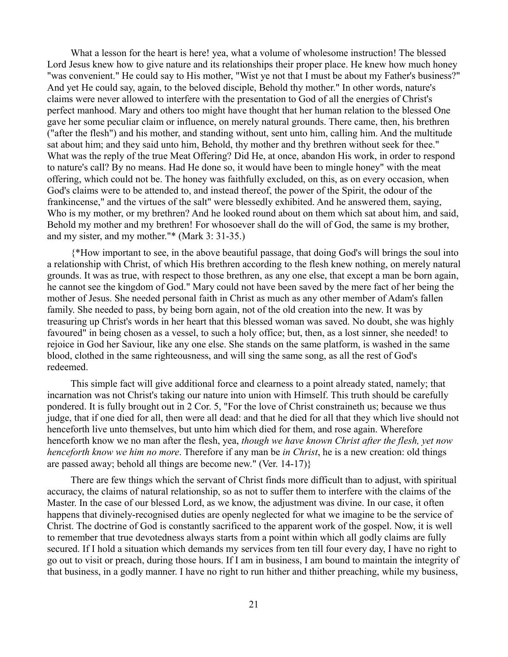What a lesson for the heart is here! yea, what a volume of wholesome instruction! The blessed Lord Jesus knew how to give nature and its relationships their proper place. He knew how much honey "was convenient." He could say to His mother, "Wist ye not that I must be about my Father's business?" And yet He could say, again, to the beloved disciple, Behold thy mother." In other words, nature's claims were never allowed to interfere with the presentation to God of all the energies of Christ's perfect manhood. Mary and others too might have thought that her human relation to the blessed One gave her some peculiar claim or influence, on merely natural grounds. There came, then, his brethren ("after the flesh") and his mother, and standing without, sent unto him, calling him. And the multitude sat about him; and they said unto him, Behold, thy mother and thy brethren without seek for thee." What was the reply of the true Meat Offering? Did He, at once, abandon His work, in order to respond to nature's call? By no means. Had He done so, it would have been to mingle honey" with the meat offering, which could not be. The honey was faithfully excluded, on this, as on every occasion, when God's claims were to be attended to, and instead thereof, the power of the Spirit, the odour of the frankincense," and the virtues of the salt" were blessedly exhibited. And he answered them, saying, Who is my mother, or my brethren? And he looked round about on them which sat about him, and said, Behold my mother and my brethren! For whosoever shall do the will of God, the same is my brother, and my sister, and my mother."\* (Mark 3: 31-35.)

{\*How important to see, in the above beautiful passage, that doing God's will brings the soul into a relationship with Christ, of which His brethren according to the flesh knew nothing, on merely natural grounds. It was as true, with respect to those brethren, as any one else, that except a man be born again, he cannot see the kingdom of God." Mary could not have been saved by the mere fact of her being the mother of Jesus. She needed personal faith in Christ as much as any other member of Adam's fallen family. She needed to pass, by being born again, not of the old creation into the new. It was by treasuring up Christ's words in her heart that this blessed woman was saved. No doubt, she was highly favoured" in being chosen as a vessel, to such a holy office; but, then, as a lost sinner, she needed! to rejoice in God her Saviour, like any one else. She stands on the same platform, is washed in the same blood, clothed in the same righteousness, and will sing the same song, as all the rest of God's redeemed.

This simple fact will give additional force and clearness to a point already stated, namely; that incarnation was not Christ's taking our nature into union with Himself. This truth should be carefully pondered. It is fully brought out in 2 Cor. 5, "For the love of Christ constraineth us; because we thus judge, that if one died for all, then were all dead: and that he died for all that they which live should not henceforth live unto themselves, but unto him which died for them, and rose again. Wherefore henceforth know we no man after the flesh, yea, *though we have known Christ after the flesh, yet now henceforth know we him no more*. Therefore if any man be *in Christ*, he is a new creation: old things are passed away; behold all things are become new." (Ver. 14-17)}

There are few things which the servant of Christ finds more difficult than to adjust, with spiritual accuracy, the claims of natural relationship, so as not to suffer them to interfere with the claims of the Master. In the case of our blessed Lord, as we know, the adjustment was divine. In our case, it often happens that divinely-recognised duties are openly neglected for what we imagine to be the service of Christ. The doctrine of God is constantly sacrificed to the apparent work of the gospel. Now, it is well to remember that true devotedness always starts from a point within which all godly claims are fully secured. If I hold a situation which demands my services from ten till four every day, I have no right to go out to visit or preach, during those hours. If I am in business, I am bound to maintain the integrity of that business, in a godly manner. I have no right to run hither and thither preaching, while my business,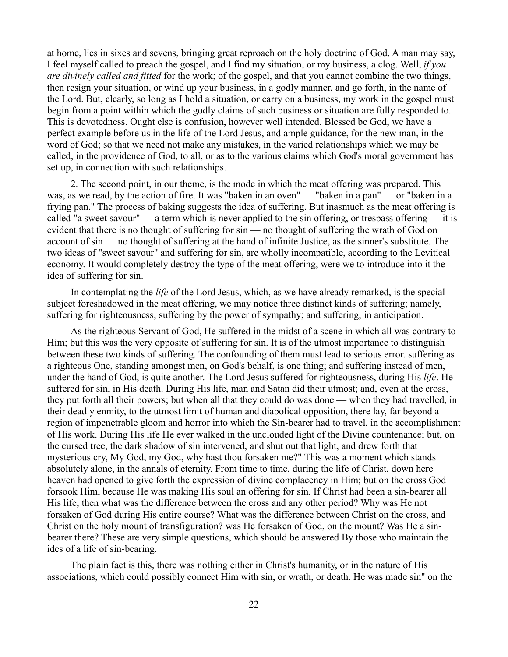at home, lies in sixes and sevens, bringing great reproach on the holy doctrine of God. A man may say, I feel myself called to preach the gospel, and I find my situation, or my business, a clog. Well, *if you are divinely called and fitted* for the work; of the gospel, and that you cannot combine the two things, then resign your situation, or wind up your business, in a godly manner, and go forth, in the name of the Lord. But, clearly, so long as I hold a situation, or carry on a business, my work in the gospel must begin from a point within which the godly claims of such business or situation are fully responded to. This is devotedness. Ought else is confusion, however well intended. Blessed be God, we have a perfect example before us in the life of the Lord Jesus, and ample guidance, for the new man, in the word of God; so that we need not make any mistakes, in the varied relationships which we may be called, in the providence of God, to all, or as to the various claims which God's moral government has set up, in connection with such relationships.

2. The second point, in our theme, is the mode in which the meat offering was prepared. This was, as we read, by the action of fire. It was "baken in an oven" — "baken in a pan" — or "baken in a frying pan." The process of baking suggests the idea of suffering. But inasmuch as the meat offering is called "a sweet savour" — a term which is never applied to the sin offering, or trespass offering — it is evident that there is no thought of suffering for sin — no thought of suffering the wrath of God on account of sin — no thought of suffering at the hand of infinite Justice, as the sinner's substitute. The two ideas of "sweet savour" and suffering for sin, are wholly incompatible, according to the Levitical economy. It would completely destroy the type of the meat offering, were we to introduce into it the idea of suffering for sin.

In contemplating the *life* of the Lord Jesus, which, as we have already remarked, is the special subject foreshadowed in the meat offering, we may notice three distinct kinds of suffering; namely, suffering for righteousness; suffering by the power of sympathy; and suffering, in anticipation.

As the righteous Servant of God, He suffered in the midst of a scene in which all was contrary to Him; but this was the very opposite of suffering for sin. It is of the utmost importance to distinguish between these two kinds of suffering. The confounding of them must lead to serious error. suffering as a righteous One, standing amongst men, on God's behalf, is one thing; and suffering instead of men, under the hand of God, is quite another. The Lord Jesus suffered for righteousness, during His *life*. He suffered for sin, in His death. During His life, man and Satan did their utmost; and, even at the cross, they put forth all their powers; but when all that they could do was done — when they had travelled, in their deadly enmity, to the utmost limit of human and diabolical opposition, there lay, far beyond a region of impenetrable gloom and horror into which the Sin-bearer had to travel, in the accomplishment of His work. During His life He ever walked in the unclouded light of the Divine countenance; but, on the cursed tree, the dark shadow of sin intervened, and shut out that light, and drew forth that mysterious cry, My God, my God, why hast thou forsaken me?" This was a moment which stands absolutely alone, in the annals of eternity. From time to time, during the life of Christ, down here heaven had opened to give forth the expression of divine complacency in Him; but on the cross God forsook Him, because He was making His soul an offering for sin. If Christ had been a sin-bearer all His life, then what was the difference between the cross and any other period? Why was He not forsaken of God during His entire course? What was the difference between Christ on the cross, and Christ on the holy mount of transfiguration? was He forsaken of God, on the mount? Was He a sinbearer there? These are very simple questions, which should be answered By those who maintain the ides of a life of sin-bearing.

The plain fact is this, there was nothing either in Christ's humanity, or in the nature of His associations, which could possibly connect Him with sin, or wrath, or death. He was made sin" on the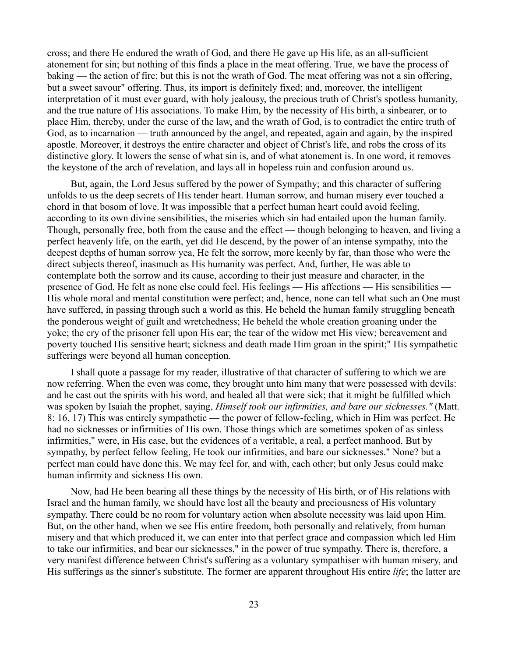cross; and there He endured the wrath of God, and there He gave up His life, as an all-sufficient atonement for sin; but nothing of this finds a place in the meat offering. True, we have the process of baking — the action of fire; but this is not the wrath of God. The meat offering was not a sin offering, but a sweet savour" offering. Thus, its import is definitely fixed; and, moreover, the intelligent interpretation of it must ever guard, with holy jealousy, the precious truth of Christ's spotless humanity, and the true nature of His associations. To make Him, by the necessity of His birth, a sinbearer, or to place Him, thereby, under the curse of the law, and the wrath of God, is to contradict the entire truth of God, as to incarnation — truth announced by the angel, and repeated, again and again, by the inspired apostle. Moreover, it destroys the entire character and object of Christ's life, and robs the cross of its distinctive glory. It lowers the sense of what sin is, and of what atonement is. In one word, it removes the keystone of the arch of revelation, and lays all in hopeless ruin and confusion around us.

But, again, the Lord Jesus suffered by the power of Sympathy; and this character of suffering unfolds to us the deep secrets of His tender heart. Human sorrow, and human misery ever touched a chord in that bosom of love. It was impossible that a perfect human heart could avoid feeling, according to its own divine sensibilities, the miseries which sin had entailed upon the human family. Though, personally free, both from the cause and the effect — though belonging to heaven, and living a perfect heavenly life, on the earth, yet did He descend, by the power of an intense sympathy, into the deepest depths of human sorrow yea, He felt the sorrow, more keenly by far, than those who were the direct subjects thereof, inasmuch as His humanity was perfect. And, further, He was able to contemplate both the sorrow and its cause, according to their just measure and character, in the presence of God. He felt as none else could feel. His feelings — His affections — His sensibilities — His whole moral and mental constitution were perfect; and, hence, none can tell what such an One must have suffered, in passing through such a world as this. He beheld the human family struggling beneath the ponderous weight of guilt and wretchedness; He beheld the whole creation groaning under the yoke; the cry of the prisoner fell upon His ear; the tear of the widow met His view; bereavement and poverty touched His sensitive heart; sickness and death made Him groan in the spirit;" His sympathetic sufferings were beyond all human conception.

I shall quote a passage for my reader, illustrative of that character of suffering to which we are now referring. When the even was come, they brought unto him many that were possessed with devils: and he cast out the spirits with his word, and healed all that were sick; that it might be fulfilled which was spoken by Isaiah the prophet, saying, *Himself took our infirmities, and bare our sicknesses."* (Matt. 8: 16, 17) This was entirely sympathetic — the power of fellow-feeling, which in Him was perfect. He had no sicknesses or infirmities of His own. Those things which are sometimes spoken of as sinless infirmities," were, in His case, but the evidences of a veritable, a real, a perfect manhood. But by sympathy, by perfect fellow feeling, He took our infirmities, and bare our sicknesses." None? but a perfect man could have done this. We may feel for, and with, each other; but only Jesus could make human infirmity and sickness His own.

Now, had He been bearing all these things by the necessity of His birth, or of His relations with Israel and the human family, we should have lost all the beauty and preciousness of His voluntary sympathy. There could be no room for voluntary action when absolute necessity was laid upon Him. But, on the other hand, when we see His entire freedom, both personally and relatively, from human misery and that which produced it, we can enter into that perfect grace and compassion which led Him to take our infirmities, and bear our sicknesses," in the power of true sympathy. There is, therefore, a very manifest difference between Christ's suffering as a voluntary sympathiser with human misery, and His sufferings as the sinner's substitute. The former are apparent throughout His entire *life*; the latter are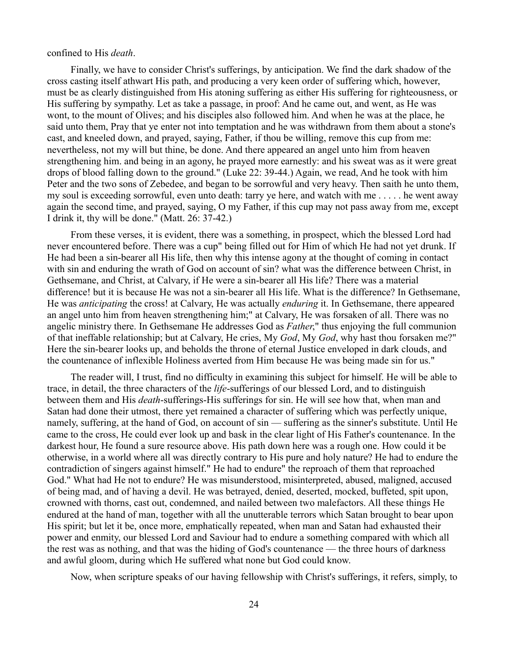### confined to His *death*.

Finally, we have to consider Christ's sufferings, by anticipation. We find the dark shadow of the cross casting itself athwart His path, and producing a very keen order of suffering which, however, must be as clearly distinguished from His atoning suffering as either His suffering for righteousness, or His suffering by sympathy. Let as take a passage, in proof: And he came out, and went, as He was wont, to the mount of Olives; and his disciples also followed him. And when he was at the place, he said unto them, Pray that ye enter not into temptation and he was withdrawn from them about a stone's cast, and kneeled down, and prayed, saying, Father, if thou be willing, remove this cup from me: nevertheless, not my will but thine, be done. And there appeared an angel unto him from heaven strengthening him. and being in an agony, he prayed more earnestly: and his sweat was as it were great drops of blood falling down to the ground." (Luke 22: 39-44.) Again, we read, And he took with him Peter and the two sons of Zebedee, and began to be sorrowful and very heavy. Then saith he unto them, my soul is exceeding sorrowful, even unto death: tarry ye here, and watch with me . . . . . he went away again the second time, and prayed, saying, O my Father, if this cup may not pass away from me, except I drink it, thy will be done." (Matt. 26: 37-42.)

From these verses, it is evident, there was a something, in prospect, which the blessed Lord had never encountered before. There was a cup" being filled out for Him of which He had not yet drunk. If He had been a sin-bearer all His life, then why this intense agony at the thought of coming in contact with sin and enduring the wrath of God on account of sin? what was the difference between Christ, in Gethsemane, and Christ, at Calvary, if He were a sin-bearer all His life? There was a material difference! but it is because He was not a sin-bearer all His life. What is the difference? In Gethsemane, He was *anticipating* the cross! at Calvary, He was actually *enduring* it. In Gethsemane, there appeared an angel unto him from heaven strengthening him;" at Calvary, He was forsaken of all. There was no angelic ministry there. In Gethsemane He addresses God as *Father*," thus enjoying the full communion of that ineffable relationship; but at Calvary, He cries, My *God*, My *God*, why hast thou forsaken me?" Here the sin-bearer looks up, and beholds the throne of eternal Justice enveloped in dark clouds, and the countenance of inflexible Holiness averted from Him because He was being made sin for us."

The reader will, I trust, find no difficulty in examining this subject for himself. He will be able to trace, in detail, the three characters of the *life*-sufferings of our blessed Lord, and to distinguish between them and His *death*-sufferings-His sufferings for sin. He will see how that, when man and Satan had done their utmost, there yet remained a character of suffering which was perfectly unique, namely, suffering, at the hand of God, on account of sin — suffering as the sinner's substitute. Until He came to the cross, He could ever look up and bask in the clear light of His Father's countenance. In the darkest hour, He found a sure resource above. His path down here was a rough one. How could it be otherwise, in a world where all was directly contrary to His pure and holy nature? He had to endure the contradiction of singers against himself." He had to endure" the reproach of them that reproached God." What had He not to endure? He was misunderstood, misinterpreted, abused, maligned, accused of being mad, and of having a devil. He was betrayed, denied, deserted, mocked, buffeted, spit upon, crowned with thorns, cast out, condemned, and nailed between two malefactors. All these things He endured at the hand of man, together with all the unutterable terrors which Satan brought to bear upon His spirit; but let it be, once more, emphatically repeated, when man and Satan had exhausted their power and enmity, our blessed Lord and Saviour had to endure a something compared with which all the rest was as nothing, and that was the hiding of God's countenance — the three hours of darkness and awful gloom, during which He suffered what none but God could know.

Now, when scripture speaks of our having fellowship with Christ's sufferings, it refers, simply, to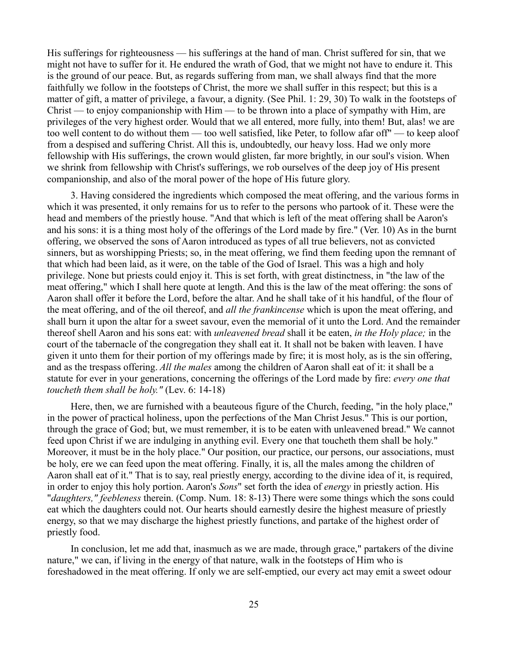His sufferings for righteousness — his sufferings at the hand of man. Christ suffered for sin, that we might not have to suffer for it. He endured the wrath of God, that we might not have to endure it. This is the ground of our peace. But, as regards suffering from man, we shall always find that the more faithfully we follow in the footsteps of Christ, the more we shall suffer in this respect; but this is a matter of gift, a matter of privilege, a favour, a dignity. (See Phil. 1: 29, 30) To walk in the footsteps of Christ — to enjoy companionship with  $\lim$  — to be thrown into a place of sympathy with  $\lim$ , are privileges of the very highest order. Would that we all entered, more fully, into them! But, alas! we are too well content to do without them — too well satisfied, like Peter, to follow afar off" — to keep aloof from a despised and suffering Christ. All this is, undoubtedly, our heavy loss. Had we only more fellowship with His sufferings, the crown would glisten, far more brightly, in our soul's vision. When we shrink from fellowship with Christ's sufferings, we rob ourselves of the deep joy of His present companionship, and also of the moral power of the hope of His future glory.

3. Having considered the ingredients which composed the meat offering, and the various forms in which it was presented, it only remains for us to refer to the persons who partook of it. These were the head and members of the priestly house. "And that which is left of the meat offering shall be Aaron's and his sons: it is a thing most holy of the offerings of the Lord made by fire." (Ver. 10) As in the burnt offering, we observed the sons of Aaron introduced as types of all true believers, not as convicted sinners, but as worshipping Priests; so, in the meat offering, we find them feeding upon the remnant of that which had been laid, as it were, on the table of the God of Israel. This was a high and holy privilege. None but priests could enjoy it. This is set forth, with great distinctness, in "the law of the meat offering," which I shall here quote at length. And this is the law of the meat offering: the sons of Aaron shall offer it before the Lord, before the altar. And he shall take of it his handful, of the flour of the meat offering, and of the oil thereof, and *all the frankincense* which is upon the meat offering, and shall burn it upon the altar for a sweet savour, even the memorial of it unto the Lord. And the remainder thereof shell Aaron and his sons eat: with *unleavened bread* shall it be eaten, *in the Holy place;* in the court of the tabernacle of the congregation they shall eat it. It shall not be baken with leaven. I have given it unto them for their portion of my offerings made by fire; it is most holy, as is the sin offering, and as the trespass offering. *All the males* among the children of Aaron shall eat of it: it shall be a statute for ever in your generations, concerning the offerings of the Lord made by fire: *every one that toucheth them shall be holy."* (Lev. 6: 14-18)

Here, then, we are furnished with a beauteous figure of the Church, feeding, "in the holy place," in the power of practical holiness, upon the perfections of the Man Christ Jesus." This is our portion, through the grace of God; but, we must remember, it is to be eaten with unleavened bread." We cannot feed upon Christ if we are indulging in anything evil. Every one that toucheth them shall be holy." Moreover, it must be in the holy place." Our position, our practice, our persons, our associations, must be holy, ere we can feed upon the meat offering. Finally, it is, all the males among the children of Aaron shall eat of it." That is to say, real priestly energy, according to the divine idea of it, is required, in order to enjoy this holy portion. Aaron's *Sons*" set forth the idea of *energy* in priestly action. His "*daughters," feebleness* therein. (Comp. Num. 18: 8-13) There were some things which the sons could eat which the daughters could not. Our hearts should earnestly desire the highest measure of priestly energy, so that we may discharge the highest priestly functions, and partake of the highest order of priestly food.

In conclusion, let me add that, inasmuch as we are made, through grace," partakers of the divine nature," we can, if living in the energy of that nature, walk in the footsteps of Him who is foreshadowed in the meat offering. If only we are self-emptied, our every act may emit a sweet odour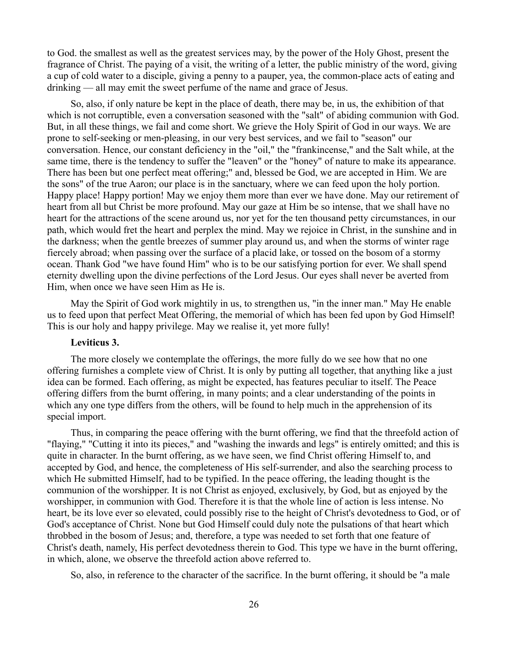to God. the smallest as well as the greatest services may, by the power of the Holy Ghost, present the fragrance of Christ. The paying of a visit, the writing of a letter, the public ministry of the word, giving a cup of cold water to a disciple, giving a penny to a pauper, yea, the common-place acts of eating and drinking — all may emit the sweet perfume of the name and grace of Jesus.

So, also, if only nature be kept in the place of death, there may be, in us, the exhibition of that which is not corruptible, even a conversation seasoned with the "salt" of abiding communion with God. But, in all these things, we fail and come short. We grieve the Holy Spirit of God in our ways. We are prone to self-seeking or men-pleasing, in our very best services, and we fail to "season" our conversation. Hence, our constant deficiency in the "oil," the "frankincense," and the Salt while, at the same time, there is the tendency to suffer the "leaven" or the "honey" of nature to make its appearance. There has been but one perfect meat offering;" and, blessed be God, we are accepted in Him. We are the sons" of the true Aaron; our place is in the sanctuary, where we can feed upon the holy portion. Happy place! Happy portion! May we enjoy them more than ever we have done. May our retirement of heart from all but Christ be more profound. May our gaze at Him be so intense, that we shall have no heart for the attractions of the scene around us, nor yet for the ten thousand petty circumstances, in our path, which would fret the heart and perplex the mind. May we rejoice in Christ, in the sunshine and in the darkness; when the gentle breezes of summer play around us, and when the storms of winter rage fiercely abroad; when passing over the surface of a placid lake, or tossed on the bosom of a stormy ocean. Thank God "we have found Him" who is to be our satisfying portion for ever. We shall spend eternity dwelling upon the divine perfections of the Lord Jesus. Our eyes shall never be averted from Him, when once we have seen Him as He is.

May the Spirit of God work mightily in us, to strengthen us, "in the inner man." May He enable us to feed upon that perfect Meat Offering, the memorial of which has been fed upon by God Himself! This is our holy and happy privilege. May we realise it, yet more fully!

# **Leviticus 3.**

The more closely we contemplate the offerings, the more fully do we see how that no one offering furnishes a complete view of Christ. It is only by putting all together, that anything like a just idea can be formed. Each offering, as might be expected, has features peculiar to itself. The Peace offering differs from the burnt offering, in many points; and a clear understanding of the points in which any one type differs from the others, will be found to help much in the apprehension of its special import.

Thus, in comparing the peace offering with the burnt offering, we find that the threefold action of "flaying," "Cutting it into its pieces," and "washing the inwards and legs" is entirely omitted; and this is quite in character. In the burnt offering, as we have seen, we find Christ offering Himself to, and accepted by God, and hence, the completeness of His self-surrender, and also the searching process to which He submitted Himself, had to be typified. In the peace offering, the leading thought is the communion of the worshipper. It is not Christ as enjoyed, exclusively, by God, but as enjoyed by the worshipper, in communion with God. Therefore it is that the whole line of action is less intense. No heart, be its love ever so elevated, could possibly rise to the height of Christ's devotedness to God, or of God's acceptance of Christ. None but God Himself could duly note the pulsations of that heart which throbbed in the bosom of Jesus; and, therefore, a type was needed to set forth that one feature of Christ's death, namely, His perfect devotedness therein to God. This type we have in the burnt offering, in which, alone, we observe the threefold action above referred to.

So, also, in reference to the character of the sacrifice. In the burnt offering, it should be "a male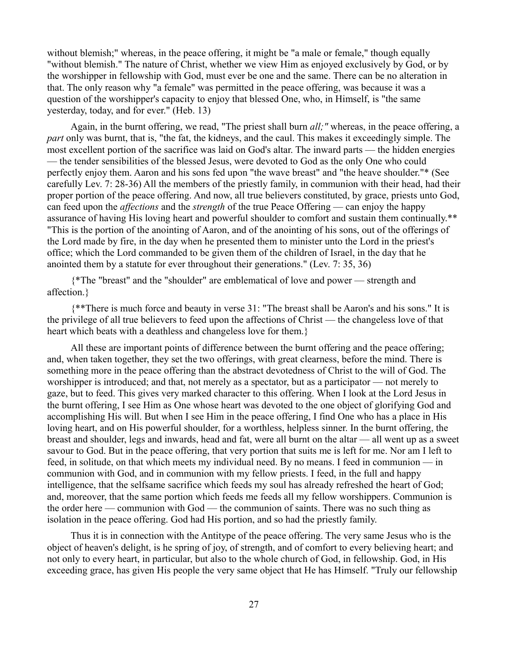without blemish;" whereas, in the peace offering, it might be "a male or female," though equally "without blemish." The nature of Christ, whether we view Him as enjoyed exclusively by God, or by the worshipper in fellowship with God, must ever be one and the same. There can be no alteration in that. The only reason why "a female" was permitted in the peace offering, was because it was a question of the worshipper's capacity to enjoy that blessed One, who, in Himself, is "the same yesterday, today, and for ever." (Heb. 13)

Again, in the burnt offering, we read, "The priest shall burn *all;"* whereas, in the peace offering, a *part* only was burnt, that is, "the fat, the kidneys, and the caul. This makes it exceedingly simple. The most excellent portion of the sacrifice was laid on God's altar. The inward parts — the hidden energies — the tender sensibilities of the blessed Jesus, were devoted to God as the only One who could perfectly enjoy them. Aaron and his sons fed upon "the wave breast" and "the heave shoulder."\* (See carefully Lev. 7: 28-36) All the members of the priestly family, in communion with their head, had their proper portion of the peace offering. And now, all true believers constituted, by grace, priests unto God, can feed upon the *affections* and the *strength* of the true Peace Offering — can enjoy the happy assurance of having His loving heart and powerful shoulder to comfort and sustain them continually.\*\* "This is the portion of the anointing of Aaron, and of the anointing of his sons, out of the offerings of the Lord made by fire, in the day when he presented them to minister unto the Lord in the priest's office; which the Lord commanded to be given them of the children of Israel, in the day that he anointed them by a statute for ever throughout their generations." (Lev. 7: 35, 36)

{\*The "breast" and the "shoulder" are emblematical of love and power — strength and affection.}

{\*\*There is much force and beauty in verse 31: "The breast shall be Aaron's and his sons." It is the privilege of all true believers to feed upon the affections of Christ — the changeless love of that heart which beats with a deathless and changeless love for them.}

All these are important points of difference between the burnt offering and the peace offering; and, when taken together, they set the two offerings, with great clearness, before the mind. There is something more in the peace offering than the abstract devotedness of Christ to the will of God. The worshipper is introduced; and that, not merely as a spectator, but as a participator — not merely to gaze, but to feed. This gives very marked character to this offering. When I look at the Lord Jesus in the burnt offering, I see Him as One whose heart was devoted to the one object of glorifying God and accomplishing His will. But when I see Him in the peace offering, I find One who has a place in His loving heart, and on His powerful shoulder, for a worthless, helpless sinner. In the burnt offering, the breast and shoulder, legs and inwards, head and fat, were all burnt on the altar — all went up as a sweet savour to God. But in the peace offering, that very portion that suits me is left for me. Nor am I left to feed, in solitude, on that which meets my individual need. By no means. I feed in communion — in communion with God, and in communion with my fellow priests. I feed, in the full and happy intelligence, that the selfsame sacrifice which feeds my soul has already refreshed the heart of God; and, moreover, that the same portion which feeds me feeds all my fellow worshippers. Communion is the order here — communion with God — the communion of saints. There was no such thing as isolation in the peace offering. God had His portion, and so had the priestly family.

Thus it is in connection with the Antitype of the peace offering. The very same Jesus who is the object of heaven's delight, is he spring of joy, of strength, and of comfort to every believing heart; and not only to every heart, in particular, but also to the whole church of God, in fellowship. God, in His exceeding grace, has given His people the very same object that He has Himself. "Truly our fellowship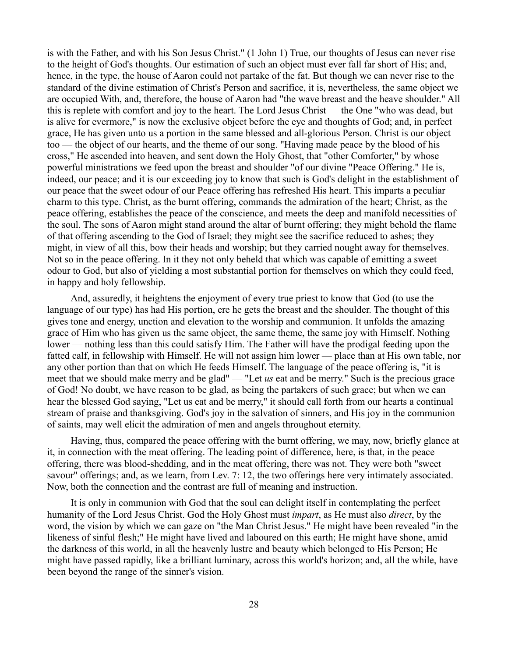is with the Father, and with his Son Jesus Christ." (1 John 1) True, our thoughts of Jesus can never rise to the height of God's thoughts. Our estimation of such an object must ever fall far short of His; and, hence, in the type, the house of Aaron could not partake of the fat. But though we can never rise to the standard of the divine estimation of Christ's Person and sacrifice, it is, nevertheless, the same object we are occupied With, and, therefore, the house of Aaron had "the wave breast and the heave shoulder." All this is replete with comfort and joy to the heart. The Lord Jesus Christ — the One "who was dead, but is alive for evermore," is now the exclusive object before the eye and thoughts of God; and, in perfect grace, He has given unto us a portion in the same blessed and all-glorious Person. Christ is our object too — the object of our hearts, and the theme of our song. "Having made peace by the blood of his cross," He ascended into heaven, and sent down the Holy Ghost, that "other Comforter," by whose powerful ministrations we feed upon the breast and shoulder "of our divine "Peace Offering." He is, indeed, our peace; and it is our exceeding joy to know that such is God's delight in the establishment of our peace that the sweet odour of our Peace offering has refreshed His heart. This imparts a peculiar charm to this type. Christ, as the burnt offering, commands the admiration of the heart; Christ, as the peace offering, establishes the peace of the conscience, and meets the deep and manifold necessities of the soul. The sons of Aaron might stand around the altar of burnt offering; they might behold the flame of that offering ascending to the God of Israel; they might see the sacrifice reduced to ashes; they might, in view of all this, bow their heads and worship; but they carried nought away for themselves. Not so in the peace offering. In it they not only beheld that which was capable of emitting a sweet odour to God, but also of yielding a most substantial portion for themselves on which they could feed, in happy and holy fellowship.

And, assuredly, it heightens the enjoyment of every true priest to know that God (to use the language of our type) has had His portion, ere he gets the breast and the shoulder. The thought of this gives tone and energy, unction and elevation to the worship and communion. It unfolds the amazing grace of Him who has given us the same object, the same theme, the same joy with Himself. Nothing lower — nothing less than this could satisfy Him. The Father will have the prodigal feeding upon the fatted calf, in fellowship with Himself. He will not assign him lower — place than at His own table, nor any other portion than that on which He feeds Himself. The language of the peace offering is, "it is meet that we should make merry and be glad" — "Let *us* eat and be merry." Such is the precious grace of God! No doubt, we have reason to be glad, as being the partakers of such grace; but when we can hear the blessed God saying, "Let us eat and be merry," it should call forth from our hearts a continual stream of praise and thanksgiving. God's joy in the salvation of sinners, and His joy in the communion of saints, may well elicit the admiration of men and angels throughout eternity.

Having, thus, compared the peace offering with the burnt offering, we may, now, briefly glance at it, in connection with the meat offering. The leading point of difference, here, is that, in the peace offering, there was blood-shedding, and in the meat offering, there was not. They were both "sweet savour" offerings; and, as we learn, from Lev. 7: 12, the two offerings here very intimately associated. Now, both the connection and the contrast are full of meaning and instruction.

It is only in communion with God that the soul can delight itself in contemplating the perfect humanity of the Lord Jesus Christ. God the Holy Ghost must *impart*, as He must also *direct*, by the word, the vision by which we can gaze on "the Man Christ Jesus." He might have been revealed "in the likeness of sinful flesh;" He might have lived and laboured on this earth; He might have shone, amid the darkness of this world, in all the heavenly lustre and beauty which belonged to His Person; He might have passed rapidly, like a brilliant luminary, across this world's horizon; and, all the while, have been beyond the range of the sinner's vision.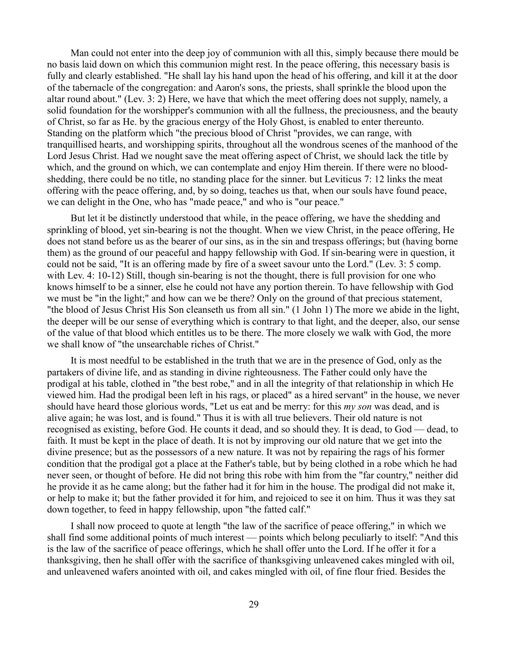Man could not enter into the deep joy of communion with all this, simply because there mould be no basis laid down on which this communion might rest. In the peace offering, this necessary basis is fully and clearly established. "He shall lay his hand upon the head of his offering, and kill it at the door of the tabernacle of the congregation: and Aaron's sons, the priests, shall sprinkle the blood upon the altar round about." (Lev. 3: 2) Here, we have that which the meet offering does not supply, namely, a solid foundation for the worshipper's communion with all the fullness, the preciousness, and the beauty of Christ, so far as He. by the gracious energy of the Holy Ghost, is enabled to enter thereunto. Standing on the platform which "the precious blood of Christ "provides, we can range, with tranquillised hearts, and worshipping spirits, throughout all the wondrous scenes of the manhood of the Lord Jesus Christ. Had we nought save the meat offering aspect of Christ, we should lack the title by which, and the ground on which, we can contemplate and enjoy Him therein. If there were no bloodshedding, there could be no title, no standing place for the sinner. but Leviticus 7: 12 links the meat offering with the peace offering, and, by so doing, teaches us that, when our souls have found peace, we can delight in the One, who has "made peace," and who is "our peace."

But let it be distinctly understood that while, in the peace offering, we have the shedding and sprinkling of blood, yet sin-bearing is not the thought. When we view Christ, in the peace offering, He does not stand before us as the bearer of our sins, as in the sin and trespass offerings; but (having borne them) as the ground of our peaceful and happy fellowship with God. If sin-bearing were in question, it could not be said, "It is an offering made by fire of a sweet savour unto the Lord." (Lev. 3: 5 comp. with Lev. 4: 10-12) Still, though sin-bearing is not the thought, there is full provision for one who knows himself to be a sinner, else he could not have any portion therein. To have fellowship with God we must be "in the light;" and how can we be there? Only on the ground of that precious statement, "the blood of Jesus Christ His Son cleanseth us from all sin." (1 John 1) The more we abide in the light, the deeper will be our sense of everything which is contrary to that light, and the deeper, also, our sense of the value of that blood which entitles us to be there. The more closely we walk with God, the more we shall know of "the unsearchable riches of Christ."

It is most needful to be established in the truth that we are in the presence of God, only as the partakers of divine life, and as standing in divine righteousness. The Father could only have the prodigal at his table, clothed in "the best robe," and in all the integrity of that relationship in which He viewed him. Had the prodigal been left in his rags, or placed" as a hired servant" in the house, we never should have heard those glorious words, "Let us eat and be merry: for this *my son* was dead, and is alive again; he was lost, and is found." Thus it is with all true believers. Their old nature is not recognised as existing, before God. He counts it dead, and so should they. It is dead, to God — dead, to faith. It must be kept in the place of death. It is not by improving our old nature that we get into the divine presence; but as the possessors of a new nature. It was not by repairing the rags of his former condition that the prodigal got a place at the Father's table, but by being clothed in a robe which he had never seen, or thought of before. He did not bring this robe with him from the "far country," neither did he provide it as he came along; but the father had it for him in the house. The prodigal did not make it, or help to make it; but the father provided it for him, and rejoiced to see it on him. Thus it was they sat down together, to feed in happy fellowship, upon "the fatted calf."

I shall now proceed to quote at length "the law of the sacrifice of peace offering," in which we shall find some additional points of much interest — points which belong peculiarly to itself: "And this is the law of the sacrifice of peace offerings, which he shall offer unto the Lord. If he offer it for a thanksgiving, then he shall offer with the sacrifice of thanksgiving unleavened cakes mingled with oil, and unleavened wafers anointed with oil, and cakes mingled with oil, of fine flour fried. Besides the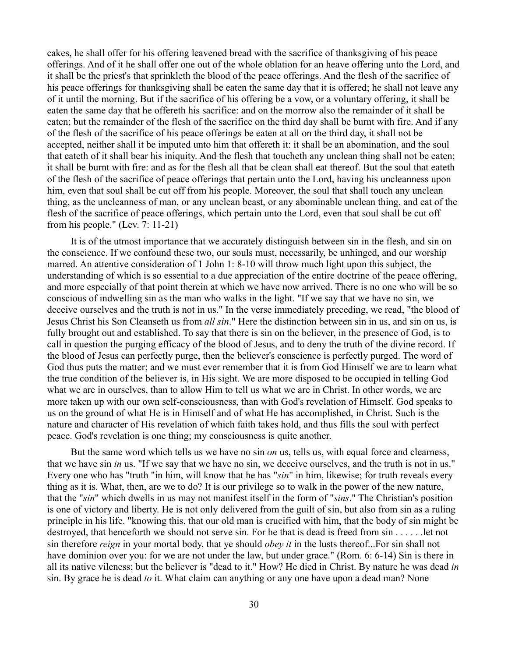cakes, he shall offer for his offering leavened bread with the sacrifice of thanksgiving of his peace offerings. And of it he shall offer one out of the whole oblation for an heave offering unto the Lord, and it shall be the priest's that sprinkleth the blood of the peace offerings. And the flesh of the sacrifice of his peace offerings for thanksgiving shall be eaten the same day that it is offered; he shall not leave any of it until the morning. But if the sacrifice of his offering be a vow, or a voluntary offering, it shall be eaten the same day that he offereth his sacrifice: and on the morrow also the remainder of it shall be eaten; but the remainder of the flesh of the sacrifice on the third day shall be burnt with fire. And if any of the flesh of the sacrifice of his peace offerings be eaten at all on the third day, it shall not be accepted, neither shall it be imputed unto him that offereth it: it shall be an abomination, and the soul that eateth of it shall bear his iniquity. And the flesh that toucheth any unclean thing shall not be eaten; it shall be burnt with fire: and as for the flesh all that be clean shall eat thereof. But the soul that eateth of the flesh of the sacrifice of peace offerings that pertain unto the Lord, having his uncleanness upon him, even that soul shall be cut off from his people. Moreover, the soul that shall touch any unclean thing, as the uncleanness of man, or any unclean beast, or any abominable unclean thing, and eat of the flesh of the sacrifice of peace offerings, which pertain unto the Lord, even that soul shall be cut off from his people." (Lev. 7: 11-21)

It is of the utmost importance that we accurately distinguish between sin in the flesh, and sin on the conscience. If we confound these two, our souls must, necessarily, be unhinged, and our worship marred. An attentive consideration of 1 John 1: 8-10 will throw much light upon this subject, the understanding of which is so essential to a due appreciation of the entire doctrine of the peace offering, and more especially of that point therein at which we have now arrived. There is no one who will be so conscious of indwelling sin as the man who walks in the light. "If we say that we have no sin, we deceive ourselves and the truth is not in us." In the verse immediately preceding, we read, "the blood of Jesus Christ his Son Cleanseth us from *all sin*." Here the distinction between sin in us, and sin on us, is fully brought out and established. To say that there is sin on the believer, in the presence of God, is to call in question the purging efficacy of the blood of Jesus, and to deny the truth of the divine record. If the blood of Jesus can perfectly purge, then the believer's conscience is perfectly purged. The word of God thus puts the matter; and we must ever remember that it is from God Himself we are to learn what the true condition of the believer is, in His sight. We are more disposed to be occupied in telling God what we are in ourselves, than to allow Him to tell us what we are in Christ. In other words, we are more taken up with our own self-consciousness, than with God's revelation of Himself. God speaks to us on the ground of what He is in Himself and of what He has accomplished, in Christ. Such is the nature and character of His revelation of which faith takes hold, and thus fills the soul with perfect peace. God's revelation is one thing; my consciousness is quite another.

But the same word which tells us we have no sin *on* us, tells us, with equal force and clearness, that we have sin *in* us. "If we say that we have no sin, we deceive ourselves, and the truth is not in us." Every one who has "truth "in him, will know that he has "*sin*" in him, likewise; for truth reveals every thing as it is. What, then, are we to do? It is our privilege so to walk in the power of the new nature, that the "*sin*" which dwells in us may not manifest itself in the form of "*sins*." The Christian's position is one of victory and liberty. He is not only delivered from the guilt of sin, but also from sin as a ruling principle in his life. "knowing this, that our old man is crucified with him, that the body of sin might be destroyed, that henceforth we should not serve sin. For he that is dead is freed from sin . . . . . .let not sin therefore *reign* in your mortal body, that ye should *obey it* in the lusts thereof...For sin shall not have dominion over you: for we are not under the law, but under grace." (Rom. 6: 6-14) Sin is there in all its native vileness; but the believer is "dead to it." How? He died in Christ. By nature he was dead *in* sin. By grace he is dead *to* it. What claim can anything or any one have upon a dead man? None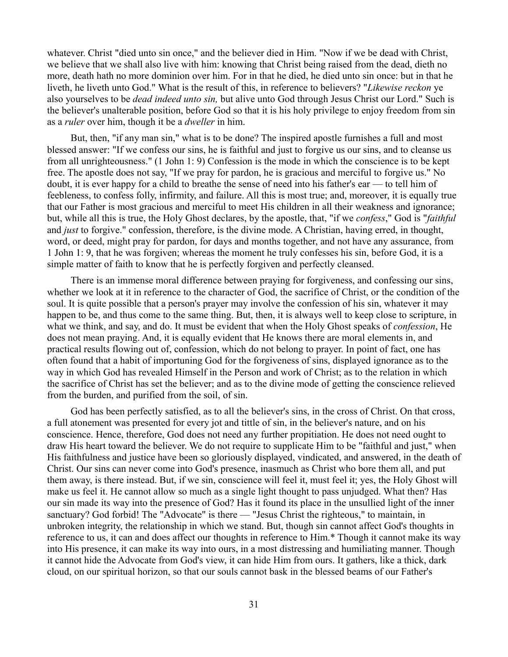whatever. Christ "died unto sin once," and the believer died in Him. "Now if we be dead with Christ, we believe that we shall also live with him: knowing that Christ being raised from the dead, dieth no more, death hath no more dominion over him. For in that he died, he died unto sin once: but in that he liveth, he liveth unto God." What is the result of this, in reference to believers? "*Likewise reckon* ye also yourselves to be *dead indeed unto sin,* but alive unto God through Jesus Christ our Lord." Such is the believer's unalterable position, before God so that it is his holy privilege to enjoy freedom from sin as a *ruler* over him, though it be a *dweller* in him.

But, then, "if any man sin," what is to be done? The inspired apostle furnishes a full and most blessed answer: "If we confess our sins, he is faithful and just to forgive us our sins, and to cleanse us from all unrighteousness." (1 John 1: 9) Confession is the mode in which the conscience is to be kept free. The apostle does not say, "If we pray for pardon, he is gracious and merciful to forgive us." No doubt, it is ever happy for a child to breathe the sense of need into his father's ear — to tell him of feebleness, to confess folly, infirmity, and failure. All this is most true; and, moreover, it is equally true that our Father is most gracious and merciful to meet His children in all their weakness and ignorance; but, while all this is true, the Holy Ghost declares, by the apostle, that, "if we *confess*," God is "*faithful* and *just* to forgive." confession, therefore, is the divine mode. A Christian, having erred, in thought, word, or deed, might pray for pardon, for days and months together, and not have any assurance, from 1 John 1: 9, that he was forgiven; whereas the moment he truly confesses his sin, before God, it is a simple matter of faith to know that he is perfectly forgiven and perfectly cleansed.

There is an immense moral difference between praying for forgiveness, and confessing our sins, whether we look at it in reference to the character of God, the sacrifice of Christ, or the condition of the soul. It is quite possible that a person's prayer may involve the confession of his sin, whatever it may happen to be, and thus come to the same thing. But, then, it is always well to keep close to scripture, in what we think, and say, and do. It must be evident that when the Holy Ghost speaks of *confession*, He does not mean praying. And, it is equally evident that He knows there are moral elements in, and practical results flowing out of, confession, which do not belong to prayer. In point of fact, one has often found that a habit of importuning God for the forgiveness of sins, displayed ignorance as to the way in which God has revealed Himself in the Person and work of Christ; as to the relation in which the sacrifice of Christ has set the believer; and as to the divine mode of getting the conscience relieved from the burden, and purified from the soil, of sin.

God has been perfectly satisfied, as to all the believer's sins, in the cross of Christ. On that cross, a full atonement was presented for every jot and tittle of sin, in the believer's nature, and on his conscience. Hence, therefore, God does not need any further propitiation. He does not need ought to draw His heart toward the believer. We do not require to supplicate Him to be "faithful and just," when His faithfulness and justice have been so gloriously displayed, vindicated, and answered, in the death of Christ. Our sins can never come into God's presence, inasmuch as Christ who bore them all, and put them away, is there instead. But, if we sin, conscience will feel it, must feel it; yes, the Holy Ghost will make us feel it. He cannot allow so much as a single light thought to pass unjudged. What then? Has our sin made its way into the presence of God? Has it found its place in the unsullied light of the inner sanctuary? God forbid! The "Advocate" is there — "Jesus Christ the righteous," to maintain, in unbroken integrity, the relationship in which we stand. But, though sin cannot affect God's thoughts in reference to us, it can and does affect our thoughts in reference to Him.\* Though it cannot make its way into His presence, it can make its way into ours, in a most distressing and humiliating manner. Though it cannot hide the Advocate from God's view, it can hide Him from ours. It gathers, like a thick, dark cloud, on our spiritual horizon, so that our souls cannot bask in the blessed beams of our Father's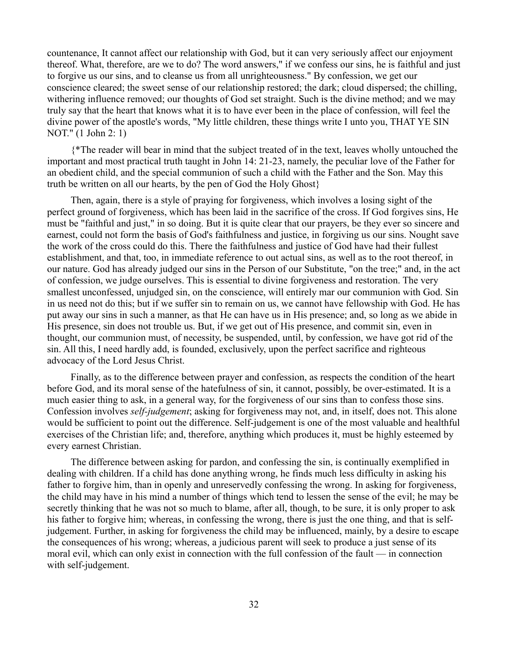countenance, It cannot affect our relationship with God, but it can very seriously affect our enjoyment thereof. What, therefore, are we to do? The word answers," if we confess our sins, he is faithful and just to forgive us our sins, and to cleanse us from all unrighteousness." By confession, we get our conscience cleared; the sweet sense of our relationship restored; the dark; cloud dispersed; the chilling, withering influence removed; our thoughts of God set straight. Such is the divine method; and we may truly say that the heart that knows what it is to have ever been in the place of confession, will feel the divine power of the apostle's words, "My little children, these things write I unto you, THAT YE SIN NOT." (1 John 2: 1)

{\*The reader will bear in mind that the subject treated of in the text, leaves wholly untouched the important and most practical truth taught in John 14: 21-23, namely, the peculiar love of the Father for an obedient child, and the special communion of such a child with the Father and the Son. May this truth be written on all our hearts, by the pen of God the Holy Ghost}

Then, again, there is a style of praying for forgiveness, which involves a losing sight of the perfect ground of forgiveness, which has been laid in the sacrifice of the cross. If God forgives sins, He must be "faithful and just," in so doing. But it is quite clear that our prayers, be they ever so sincere and earnest, could not form the basis of God's faithfulness and justice, in forgiving us our sins. Nought save the work of the cross could do this. There the faithfulness and justice of God have had their fullest establishment, and that, too, in immediate reference to out actual sins, as well as to the root thereof, in our nature. God has already judged our sins in the Person of our Substitute, "on the tree;" and, in the act of confession, we judge ourselves. This is essential to divine forgiveness and restoration. The very smallest unconfessed, unjudged sin, on the conscience, will entirely mar our communion with God. Sin in us need not do this; but if we suffer sin to remain on us, we cannot have fellowship with God. He has put away our sins in such a manner, as that He can have us in His presence; and, so long as we abide in His presence, sin does not trouble us. But, if we get out of His presence, and commit sin, even in thought, our communion must, of necessity, be suspended, until, by confession, we have got rid of the sin. All this, I need hardly add, is founded, exclusively, upon the perfect sacrifice and righteous advocacy of the Lord Jesus Christ.

Finally, as to the difference between prayer and confession, as respects the condition of the heart before God, and its moral sense of the hatefulness of sin, it cannot, possibly, be over-estimated. It is a much easier thing to ask, in a general way, for the forgiveness of our sins than to confess those sins. Confession involves *self-judgement*; asking for forgiveness may not, and, in itself, does not. This alone would be sufficient to point out the difference. Self-judgement is one of the most valuable and healthful exercises of the Christian life; and, therefore, anything which produces it, must be highly esteemed by every earnest Christian.

The difference between asking for pardon, and confessing the sin, is continually exemplified in dealing with children. If a child has done anything wrong, he finds much less difficulty in asking his father to forgive him, than in openly and unreservedly confessing the wrong. In asking for forgiveness, the child may have in his mind a number of things which tend to lessen the sense of the evil; he may be secretly thinking that he was not so much to blame, after all, though, to be sure, it is only proper to ask his father to forgive him; whereas, in confessing the wrong, there is just the one thing, and that is selfjudgement. Further, in asking for forgiveness the child may be influenced, mainly, by a desire to escape the consequences of his wrong; whereas, a judicious parent will seek to produce a just sense of its moral evil, which can only exist in connection with the full confession of the fault — in connection with self-judgement.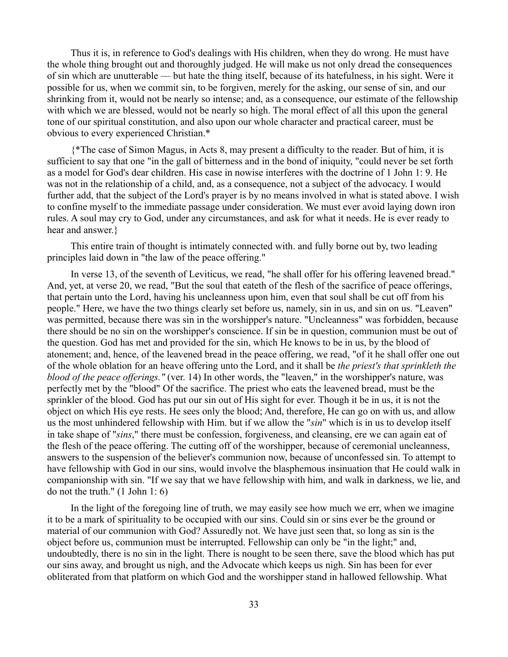Thus it is, in reference to God's dealings with His children, when they do wrong. He must have the whole thing brought out and thoroughly judged. He will make us not only dread the consequences of sin which are unutterable — but hate the thing itself, because of its hatefulness, in his sight. Were it possible for us, when we commit sin, to be forgiven, merely for the asking, our sense of sin, and our shrinking from it, would not be nearly so intense; and, as a consequence, our estimate of the fellowship with which we are blessed, would not be nearly so high. The moral effect of all this upon the general tone of our spiritual constitution, and also upon our whole character and practical career, must be obvious to every experienced Christian.\*

{\*The case of Simon Magus, in Acts 8, may present a difficulty to the reader. But of him, it is sufficient to say that one "in the gall of bitterness and in the bond of iniquity, "could never be set forth as a model for God's dear children. His case in nowise interferes with the doctrine of 1 John 1: 9. He was not in the relationship of a child, and, as a consequence, not a subject of the advocacy. I would further add, that the subject of the Lord's prayer is by no means involved in what is stated above. I wish to confine myself to the immediate passage under consideration. We must ever avoid laying down iron rules. A soul may cry to God, under any circumstances, and ask for what it needs. He is ever ready to hear and answer.}

This entire train of thought is intimately connected with. and fully borne out by, two leading principles laid down in "the law of the peace offering."

In verse 13, of the seventh of Leviticus, we read, "he shall offer for his offering leavened bread." And, yet, at verse 20, we read, "But the soul that eateth of the flesh of the sacrifice of peace offerings, that pertain unto the Lord, having his uncleanness upon him, even that soul shall be cut off from his people." Here, we have the two things clearly set before us, namely, sin in us, and sin on us. "Leaven" was permitted, because there was sin in the worshipper's nature. "Uncleanness" was forbidden, because there should be no sin on the worshipper's conscience. If sin be in question, communion must be out of the question. God has met and provided for the sin, which He knows to be in us, by the blood of atonement; and, hence, of the leavened bread in the peace offering, we read, "of it he shall offer one out of the whole oblation for an heave offering unto the Lord, and it shall be *the priest's that sprinkleth the blood of the peace offerings."* (ver. 14) In other words, the "leaven," in the worshipper's nature, was perfectly met by the "blood" Of the sacrifice. The priest who eats the leavened bread, must be the sprinkler of the blood. God has put our sin out of His sight for ever. Though it be in us, it is not the object on which His eye rests. He sees only the blood; And, therefore, He can go on with us, and allow us the most unhindered fellowship with Him. but if we allow the "*sin*" which is in us to develop itself in take shape of "*sins*," there must be confession, forgiveness, and cleansing, ere we can again eat of the flesh of the peace offering. The cutting off of the worshipper, because of ceremonial uncleanness, answers to the suspension of the believer's communion now, because of unconfessed sin. To attempt to have fellowship with God in our sins, would involve the blasphemous insinuation that He could walk in companionship with sin. "If we say that we have fellowship with him, and walk in darkness, we lie, and do not the truth." (1 John 1: 6)

In the light of the foregoing line of truth, we may easily see how much we err, when we imagine it to be a mark of spirituality to be occupied with our sins. Could sin or sins ever be the ground or material of our communion with God? Assuredly not. We have just seen that, so long as sin is the object before us, communion must be interrupted. Fellowship can only be "in the light;" and, undoubtedly, there is no sin in the light. There is nought to be seen there, save the blood which has put our sins away, and brought us nigh, and the Advocate which keeps us nigh. Sin has been for ever obliterated from that platform on which God and the worshipper stand in hallowed fellowship. What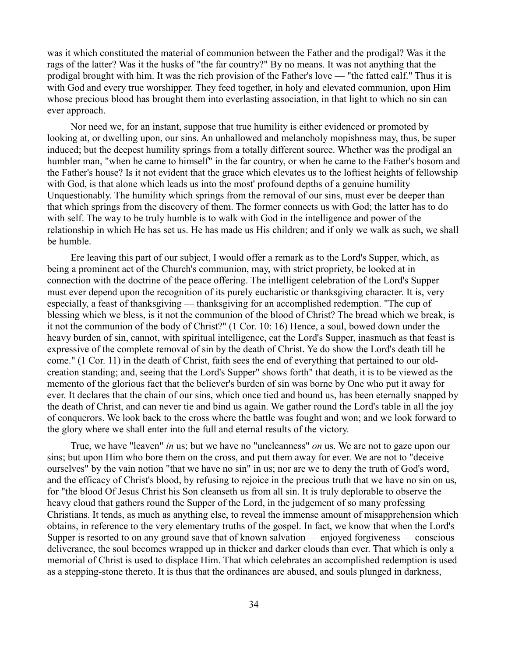was it which constituted the material of communion between the Father and the prodigal? Was it the rags of the latter? Was it the husks of "the far country?" By no means. It was not anything that the prodigal brought with him. It was the rich provision of the Father's love — "the fatted calf." Thus it is with God and every true worshipper. They feed together, in holy and elevated communion, upon Him whose precious blood has brought them into everlasting association, in that light to which no sin can ever approach.

Nor need we, for an instant, suppose that true humility is either evidenced or promoted by looking at, or dwelling upon, our sins. An unhallowed and melancholy mopishness may, thus, be super induced; but the deepest humility springs from a totally different source. Whether was the prodigal an humbler man, "when he came to himself" in the far country, or when he came to the Father's bosom and the Father's house? Is it not evident that the grace which elevates us to the loftiest heights of fellowship with God, is that alone which leads us into the most' profound depths of a genuine humility Unquestionably. The humility which springs from the removal of our sins, must ever be deeper than that which springs from the discovery of them. The former connects us with God; the latter has to do with self. The way to be truly humble is to walk with God in the intelligence and power of the relationship in which He has set us. He has made us His children; and if only we walk as such, we shall be humble.

Ere leaving this part of our subject, I would offer a remark as to the Lord's Supper, which, as being a prominent act of the Church's communion, may, with strict propriety, be looked at in connection with the doctrine of the peace offering. The intelligent celebration of the Lord's Supper must ever depend upon the recognition of its purely eucharistic or thanksgiving character. It is, very especially, a feast of thanksgiving — thanksgiving for an accomplished redemption. "The cup of blessing which we bless, is it not the communion of the blood of Christ? The bread which we break, is it not the communion of the body of Christ?" (1 Cor. 10: 16) Hence, a soul, bowed down under the heavy burden of sin, cannot, with spiritual intelligence, eat the Lord's Supper, inasmuch as that feast is expressive of the complete removal of sin by the death of Christ. Ye do show the Lord's death till he come." (1 Cor. 11) in the death of Christ, faith sees the end of everything that pertained to our oldcreation standing; and, seeing that the Lord's Supper" shows forth" that death, it is to be viewed as the memento of the glorious fact that the believer's burden of sin was borne by One who put it away for ever. It declares that the chain of our sins, which once tied and bound us, has been eternally snapped by the death of Christ, and can never tie and bind us again. We gather round the Lord's table in all the joy of conquerors. We look back to the cross where the battle was fought and won; and we look forward to the glory where we shall enter into the full and eternal results of the victory.

True, we have "leaven" *in* us; but we have no "uncleanness" *on* us. We are not to gaze upon our sins; but upon Him who bore them on the cross, and put them away for ever. We are not to "deceive ourselves" by the vain notion "that we have no sin" in us; nor are we to deny the truth of God's word, and the efficacy of Christ's blood, by refusing to rejoice in the precious truth that we have no sin on us, for "the blood Of Jesus Christ his Son cleanseth us from all sin. It is truly deplorable to observe the heavy cloud that gathers round the Supper of the Lord, in the judgement of so many professing Christians. It tends, as much as anything else, to reveal the immense amount of misapprehension which obtains, in reference to the very elementary truths of the gospel. In fact, we know that when the Lord's Supper is resorted to on any ground save that of known salvation — enjoyed forgiveness — conscious deliverance, the soul becomes wrapped up in thicker and darker clouds than ever. That which is only a memorial of Christ is used to displace Him. That which celebrates an accomplished redemption is used as a stepping-stone thereto. It is thus that the ordinances are abused, and souls plunged in darkness,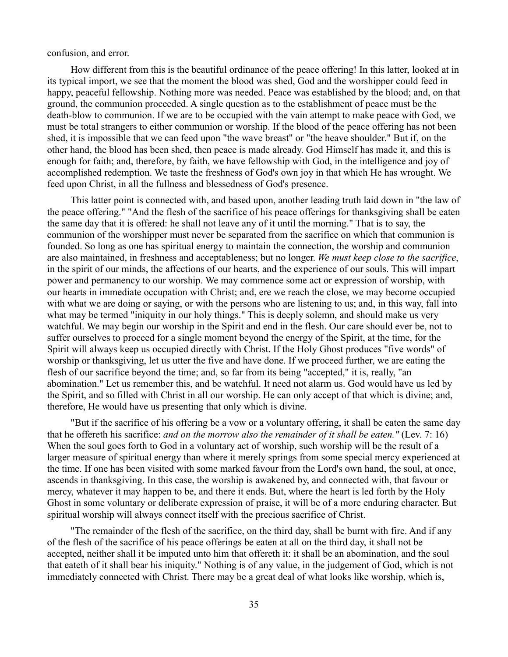confusion, and error.

How different from this is the beautiful ordinance of the peace offering! In this latter, looked at in its typical import, we see that the moment the blood was shed, God and the worshipper could feed in happy, peaceful fellowship. Nothing more was needed. Peace was established by the blood; and, on that ground, the communion proceeded. A single question as to the establishment of peace must be the death-blow to communion. If we are to be occupied with the vain attempt to make peace with God, we must be total strangers to either communion or worship. If the blood of the peace offering has not been shed, it is impossible that we can feed upon "the wave breast" or "the heave shoulder." But if, on the other hand, the blood has been shed, then peace is made already. God Himself has made it, and this is enough for faith; and, therefore, by faith, we have fellowship with God, in the intelligence and joy of accomplished redemption. We taste the freshness of God's own joy in that which He has wrought. We feed upon Christ, in all the fullness and blessedness of God's presence.

This latter point is connected with, and based upon, another leading truth laid down in "the law of the peace offering." "And the flesh of the sacrifice of his peace offerings for thanksgiving shall be eaten the same day that it is offered: he shall not leave any of it until the morning." That is to say, the communion of the worshipper must never be separated from the sacrifice on which that communion is founded. So long as one has spiritual energy to maintain the connection, the worship and communion are also maintained, in freshness and acceptableness; but no longer. *We must keep close to the sacrifice*, in the spirit of our minds, the affections of our hearts, and the experience of our souls. This will impart power and permanency to our worship. We may commence some act or expression of worship, with our hearts in immediate occupation with Christ; and, ere we reach the close, we may become occupied with what we are doing or saying, or with the persons who are listening to us; and, in this way, fall into what may be termed "iniquity in our holy things." This is deeply solemn, and should make us very watchful. We may begin our worship in the Spirit and end in the flesh. Our care should ever be, not to suffer ourselves to proceed for a single moment beyond the energy of the Spirit, at the time, for the Spirit will always keep us occupied directly with Christ. If the Holy Ghost produces "five words" of worship or thanksgiving, let us utter the five and have done. If we proceed further, we are eating the flesh of our sacrifice beyond the time; and, so far from its being "accepted," it is, really, "an abomination." Let us remember this, and be watchful. It need not alarm us. God would have us led by the Spirit, and so filled with Christ in all our worship. He can only accept of that which is divine; and, therefore, He would have us presenting that only which is divine.

"But if the sacrifice of his offering be a vow or a voluntary offering, it shall be eaten the same day that he offereth his sacrifice: *and on the morrow also the remainder of it shall be eaten."* (Lev. 7: 16) When the soul goes forth to God in a voluntary act of worship, such worship will be the result of a larger measure of spiritual energy than where it merely springs from some special mercy experienced at the time. If one has been visited with some marked favour from the Lord's own hand, the soul, at once, ascends in thanksgiving. In this case, the worship is awakened by, and connected with, that favour or mercy, whatever it may happen to be, and there it ends. But, where the heart is led forth by the Holy Ghost in some voluntary or deliberate expression of praise, it will be of a more enduring character. But spiritual worship will always connect itself with the precious sacrifice of Christ.

"The remainder of the flesh of the sacrifice, on the third day, shall be burnt with fire. And if any of the flesh of the sacrifice of his peace offerings be eaten at all on the third day, it shall not be accepted, neither shall it be imputed unto him that offereth it: it shall be an abomination, and the soul that eateth of it shall bear his iniquity." Nothing is of any value, in the judgement of God, which is not immediately connected with Christ. There may be a great deal of what looks like worship, which is,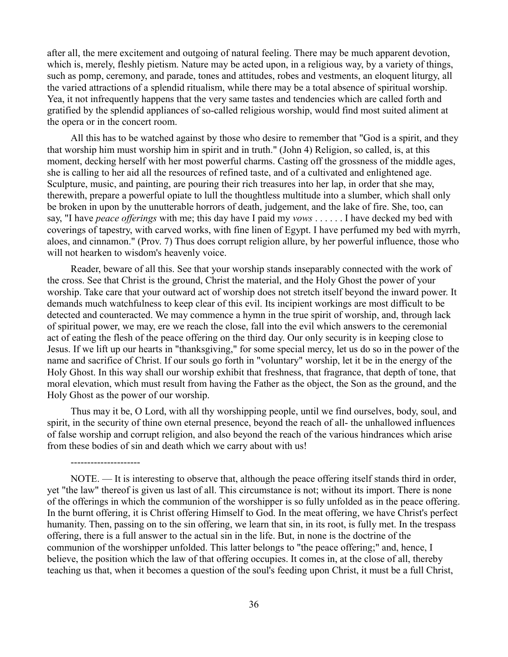after all, the mere excitement and outgoing of natural feeling. There may be much apparent devotion, which is, merely, fleshly pietism. Nature may be acted upon, in a religious way, by a variety of things, such as pomp, ceremony, and parade, tones and attitudes, robes and vestments, an eloquent liturgy, all the varied attractions of a splendid ritualism, while there may be a total absence of spiritual worship. Yea, it not infrequently happens that the very same tastes and tendencies which are called forth and gratified by the splendid appliances of so-called religious worship, would find most suited aliment at the opera or in the concert room.

All this has to be watched against by those who desire to remember that "God is a spirit, and they that worship him must worship him in spirit and in truth." (John 4) Religion, so called, is, at this moment, decking herself with her most powerful charms. Casting off the grossness of the middle ages, she is calling to her aid all the resources of refined taste, and of a cultivated and enlightened age. Sculpture, music, and painting, are pouring their rich treasures into her lap, in order that she may, therewith, prepare a powerful opiate to lull the thoughtless multitude into a slumber, which shall only be broken in upon by the unutterable horrors of death, judgement, and the lake of fire. She, too, can say, "I have *peace offerings* with me; this day have I paid my *vows* . . . . . . I have decked my bed with coverings of tapestry, with carved works, with fine linen of Egypt. I have perfumed my bed with myrrh, aloes, and cinnamon." (Prov. 7) Thus does corrupt religion allure, by her powerful influence, those who will not hearken to wisdom's heavenly voice.

Reader, beware of all this. See that your worship stands inseparably connected with the work of the cross. See that Christ is the ground, Christ the material, and the Holy Ghost the power of your worship. Take care that your outward act of worship does not stretch itself beyond the inward power. It demands much watchfulness to keep clear of this evil. Its incipient workings are most difficult to be detected and counteracted. We may commence a hymn in the true spirit of worship, and, through lack of spiritual power, we may, ere we reach the close, fall into the evil which answers to the ceremonial act of eating the flesh of the peace offering on the third day. Our only security is in keeping close to Jesus. If we lift up our hearts in "thanksgiving," for some special mercy, let us do so in the power of the name and sacrifice of Christ. If our souls go forth in "voluntary" worship, let it be in the energy of the Holy Ghost. In this way shall our worship exhibit that freshness, that fragrance, that depth of tone, that moral elevation, which must result from having the Father as the object, the Son as the ground, and the Holy Ghost as the power of our worship.

Thus may it be, O Lord, with all thy worshipping people, until we find ourselves, body, soul, and spirit, in the security of thine own eternal presence, beyond the reach of all- the unhallowed influences of false worship and corrupt religion, and also beyond the reach of the various hindrances which arise from these bodies of sin and death which we carry about with us!

---------------------

NOTE. — It is interesting to observe that, although the peace offering itself stands third in order, yet "the law" thereof is given us last of all. This circumstance is not; without its import. There is none of the offerings in which the communion of the worshipper is so fully unfolded as in the peace offering. In the burnt offering, it is Christ offering Himself to God. In the meat offering, we have Christ's perfect humanity. Then, passing on to the sin offering, we learn that sin, in its root, is fully met. In the trespass offering, there is a full answer to the actual sin in the life. But, in none is the doctrine of the communion of the worshipper unfolded. This latter belongs to "the peace offering;" and, hence, I believe, the position which the law of that offering occupies. It comes in, at the close of all, thereby teaching us that, when it becomes a question of the soul's feeding upon Christ, it must be a full Christ,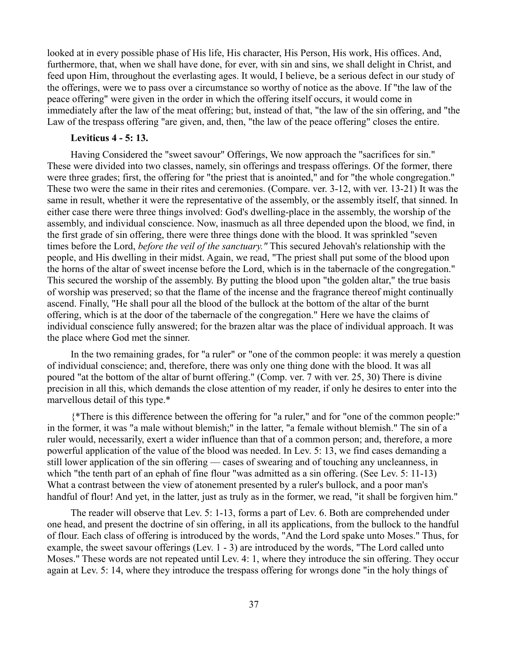looked at in every possible phase of His life, His character, His Person, His work, His offices. And, furthermore, that, when we shall have done, for ever, with sin and sins, we shall delight in Christ, and feed upon Him, throughout the everlasting ages. It would, I believe, be a serious defect in our study of the offerings, were we to pass over a circumstance so worthy of notice as the above. If "the law of the peace offering" were given in the order in which the offering itself occurs, it would come in immediately after the law of the meat offering; but, instead of that, "the law of the sin offering, and "the Law of the trespass offering "are given, and, then, "the law of the peace offering" closes the entire.

### **Leviticus 4 - 5: 13.**

Having Considered the "sweet savour" Offerings, We now approach the "sacrifices for sin." These were divided into two classes, namely, sin offerings and trespass offerings. Of the former, there were three grades; first, the offering for "the priest that is anointed," and for "the whole congregation." These two were the same in their rites and ceremonies. (Compare. ver. 3-12, with ver. 13-21) It was the same in result, whether it were the representative of the assembly, or the assembly itself, that sinned. In either case there were three things involved: God's dwelling-place in the assembly, the worship of the assembly, and individual conscience. Now, inasmuch as all three depended upon the blood, we find, in the first grade of sin offering, there were three things done with the blood. It was sprinkled "seven times before the Lord, *before the veil of the sanctuary."* This secured Jehovah's relationship with the people, and His dwelling in their midst. Again, we read, "The priest shall put some of the blood upon the horns of the altar of sweet incense before the Lord, which is in the tabernacle of the congregation." This secured the worship of the assembly. By putting the blood upon "the golden altar," the true basis of worship was preserved; so that the flame of the incense and the fragrance thereof might continually ascend. Finally, "He shall pour all the blood of the bullock at the bottom of the altar of the burnt offering, which is at the door of the tabernacle of the congregation." Here we have the claims of individual conscience fully answered; for the brazen altar was the place of individual approach. It was the place where God met the sinner.

In the two remaining grades, for "a ruler" or "one of the common people: it was merely a question of individual conscience; and, therefore, there was only one thing done with the blood. It was all poured "at the bottom of the altar of burnt offering." (Comp. ver. 7 with ver. 25, 30) There is divine precision in all this, which demands the close attention of my reader, if only he desires to enter into the marvellous detail of this type.\*

{\*There is this difference between the offering for "a ruler," and for "one of the common people:" in the former, it was "a male without blemish;" in the latter, "a female without blemish." The sin of a ruler would, necessarily, exert a wider influence than that of a common person; and, therefore, a more powerful application of the value of the blood was needed. In Lev. 5: 13, we find cases demanding a still lower application of the sin offering — cases of swearing and of touching any uncleanness, in which "the tenth part of an ephah of fine flour "was admitted as a sin offering. (See Lev. 5: 11-13) What a contrast between the view of atonement presented by a ruler's bullock, and a poor man's handful of flour! And yet, in the latter, just as truly as in the former, we read, "it shall be forgiven him."

The reader will observe that Lev. 5: 1-13, forms a part of Lev. 6. Both are comprehended under one head, and present the doctrine of sin offering, in all its applications, from the bullock to the handful of flour. Each class of offering is introduced by the words, "And the Lord spake unto Moses." Thus, for example, the sweet savour offerings (Lev. 1 - 3) are introduced by the words, "The Lord called unto Moses." These words are not repeated until Lev. 4: 1, where they introduce the sin offering. They occur again at Lev. 5: 14, where they introduce the trespass offering for wrongs done "in the holy things of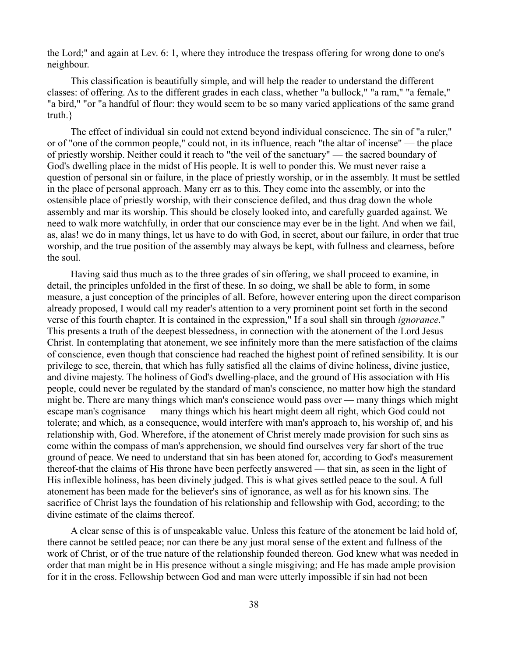the Lord;" and again at Lev. 6: 1, where they introduce the trespass offering for wrong done to one's neighbour.

This classification is beautifully simple, and will help the reader to understand the different classes: of offering. As to the different grades in each class, whether "a bullock," "a ram," "a female," "a bird," "or "a handful of flour: they would seem to be so many varied applications of the same grand truth.}

The effect of individual sin could not extend beyond individual conscience. The sin of "a ruler," or of "one of the common people," could not, in its influence, reach "the altar of incense" — the place of priestly worship. Neither could it reach to "the veil of the sanctuary" — the sacred boundary of God's dwelling place in the midst of His people. It is well to ponder this. We must never raise a question of personal sin or failure, in the place of priestly worship, or in the assembly. It must be settled in the place of personal approach. Many err as to this. They come into the assembly, or into the ostensible place of priestly worship, with their conscience defiled, and thus drag down the whole assembly and mar its worship. This should be closely looked into, and carefully guarded against. We need to walk more watchfully, in order that our conscience may ever be in the light. And when we fail, as, alas! we do in many things, let us have to do with God, in secret, about our failure, in order that true worship, and the true position of the assembly may always be kept, with fullness and clearness, before the soul.

Having said thus much as to the three grades of sin offering, we shall proceed to examine, in detail, the principles unfolded in the first of these. In so doing, we shall be able to form, in some measure, a just conception of the principles of all. Before, however entering upon the direct comparison already proposed, I would call my reader's attention to a very prominent point set forth in the second verse of this fourth chapter. It is contained in the expression," If a soul shall sin through *ignorance*." This presents a truth of the deepest blessedness, in connection with the atonement of the Lord Jesus Christ. In contemplating that atonement, we see infinitely more than the mere satisfaction of the claims of conscience, even though that conscience had reached the highest point of refined sensibility. It is our privilege to see, therein, that which has fully satisfied all the claims of divine holiness, divine justice, and divine majesty. The holiness of God's dwelling-place, and the ground of His association with His people, could never be regulated by the standard of man's conscience, no matter how high the standard might be. There are many things which man's conscience would pass over — many things which might escape man's cognisance — many things which his heart might deem all right, which God could not tolerate; and which, as a consequence, would interfere with man's approach to, his worship of, and his relationship with, God. Wherefore, if the atonement of Christ merely made provision for such sins as come within the compass of man's apprehension, we should find ourselves very far short of the true ground of peace. We need to understand that sin has been atoned for, according to God's measurement thereof-that the claims of His throne have been perfectly answered — that sin, as seen in the light of His inflexible holiness, has been divinely judged. This is what gives settled peace to the soul. A full atonement has been made for the believer's sins of ignorance, as well as for his known sins. The sacrifice of Christ lays the foundation of his relationship and fellowship with God, according; to the divine estimate of the claims thereof.

A clear sense of this is of unspeakable value. Unless this feature of the atonement be laid hold of, there cannot be settled peace; nor can there be any just moral sense of the extent and fullness of the work of Christ, or of the true nature of the relationship founded thereon. God knew what was needed in order that man might be in His presence without a single misgiving; and He has made ample provision for it in the cross. Fellowship between God and man were utterly impossible if sin had not been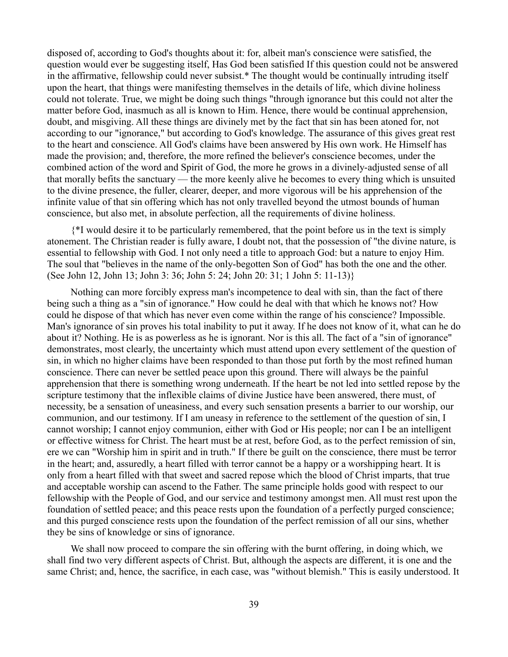disposed of, according to God's thoughts about it: for, albeit man's conscience were satisfied, the question would ever be suggesting itself, Has God been satisfied If this question could not be answered in the affirmative, fellowship could never subsist.\* The thought would be continually intruding itself upon the heart, that things were manifesting themselves in the details of life, which divine holiness could not tolerate. True, we might be doing such things "through ignorance but this could not alter the matter before God, inasmuch as all is known to Him. Hence, there would be continual apprehension, doubt, and misgiving. All these things are divinely met by the fact that sin has been atoned for, not according to our "ignorance," but according to God's knowledge. The assurance of this gives great rest to the heart and conscience. All God's claims have been answered by His own work. He Himself has made the provision; and, therefore, the more refined the believer's conscience becomes, under the combined action of the word and Spirit of God, the more he grows in a divinely-adjusted sense of all that morally befits the sanctuary — the more keenly alive he becomes to every thing which is unsuited to the divine presence, the fuller, clearer, deeper, and more vigorous will be his apprehension of the infinite value of that sin offering which has not only travelled beyond the utmost bounds of human conscience, but also met, in absolute perfection, all the requirements of divine holiness.

{\*I would desire it to be particularly remembered, that the point before us in the text is simply atonement. The Christian reader is fully aware, I doubt not, that the possession of "the divine nature, is essential to fellowship with God. I not only need a title to approach God: but a nature to enjoy Him. The soul that "believes in the name of the only-begotten Son of God" has both the one and the other. (See John 12, John 13; John 3: 36; John 5: 24; John 20: 31; 1 John 5: 11-13)}

Nothing can more forcibly express man's incompetence to deal with sin, than the fact of there being such a thing as a "sin of ignorance." How could he deal with that which he knows not? How could he dispose of that which has never even come within the range of his conscience? Impossible. Man's ignorance of sin proves his total inability to put it away. If he does not know of it, what can he do about it? Nothing. He is as powerless as he is ignorant. Nor is this all. The fact of a "sin of ignorance" demonstrates, most clearly, the uncertainty which must attend upon every settlement of the question of sin, in which no higher claims have been responded to than those put forth by the most refined human conscience. There can never be settled peace upon this ground. There will always be the painful apprehension that there is something wrong underneath. If the heart be not led into settled repose by the scripture testimony that the inflexible claims of divine Justice have been answered, there must, of necessity, be a sensation of uneasiness, and every such sensation presents a barrier to our worship, our communion, and our testimony. If I am uneasy in reference to the settlement of the question of sin, I cannot worship; I cannot enjoy communion, either with God or His people; nor can I be an intelligent or effective witness for Christ. The heart must be at rest, before God, as to the perfect remission of sin, ere we can "Worship him in spirit and in truth." If there be guilt on the conscience, there must be terror in the heart; and, assuredly, a heart filled with terror cannot be a happy or a worshipping heart. It is only from a heart filled with that sweet and sacred repose which the blood of Christ imparts, that true and acceptable worship can ascend to the Father. The same principle holds good with respect to our fellowship with the People of God, and our service and testimony amongst men. All must rest upon the foundation of settled peace; and this peace rests upon the foundation of a perfectly purged conscience; and this purged conscience rests upon the foundation of the perfect remission of all our sins, whether they be sins of knowledge or sins of ignorance.

We shall now proceed to compare the sin offering with the burnt offering, in doing which, we shall find two very different aspects of Christ. But, although the aspects are different, it is one and the same Christ; and, hence, the sacrifice, in each case, was "without blemish." This is easily understood. It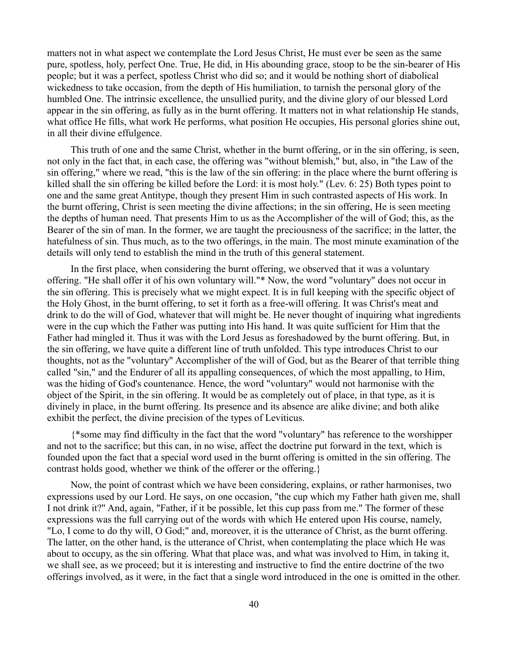matters not in what aspect we contemplate the Lord Jesus Christ, He must ever be seen as the same pure, spotless, holy, perfect One. True, He did, in His abounding grace, stoop to be the sin-bearer of His people; but it was a perfect, spotless Christ who did so; and it would be nothing short of diabolical wickedness to take occasion, from the depth of His humiliation, to tarnish the personal glory of the humbled One. The intrinsic excellence, the unsullied purity, and the divine glory of our blessed Lord appear in the sin offering, as fully as in the burnt offering. It matters not in what relationship He stands, what office He fills, what work He performs, what position He occupies, His personal glories shine out, in all their divine effulgence.

This truth of one and the same Christ, whether in the burnt offering, or in the sin offering, is seen, not only in the fact that, in each case, the offering was "without blemish," but, also, in "the Law of the sin offering," where we read, "this is the law of the sin offering: in the place where the burnt offering is killed shall the sin offering be killed before the Lord: it is most holy." (Lev. 6: 25) Both types point to one and the same great Antitype, though they present Him in such contrasted aspects of His work. In the burnt offering, Christ is seen meeting the divine affections; in the sin offering, He is seen meeting the depths of human need. That presents Him to us as the Accomplisher of the will of God; this, as the Bearer of the sin of man. In the former, we are taught the preciousness of the sacrifice; in the latter, the hatefulness of sin. Thus much, as to the two offerings, in the main. The most minute examination of the details will only tend to establish the mind in the truth of this general statement.

In the first place, when considering the burnt offering, we observed that it was a voluntary offering. "He shall offer it of his own voluntary will."\* Now, the word "voluntary" does not occur in the sin offering. This is precisely what we might expect. It is in full keeping with the specific object of the Holy Ghost, in the burnt offering, to set it forth as a free-will offering. It was Christ's meat and drink to do the will of God, whatever that will might be. He never thought of inquiring what ingredients were in the cup which the Father was putting into His hand. It was quite sufficient for Him that the Father had mingled it. Thus it was with the Lord Jesus as foreshadowed by the burnt offering. But, in the sin offering, we have quite a different line of truth unfolded. This type introduces Christ to our thoughts, not as the "voluntary" Accomplisher of the will of God, but as the Bearer of that terrible thing called "sin," and the Endurer of all its appalling consequences, of which the most appalling, to Him, was the hiding of God's countenance. Hence, the word "voluntary" would not harmonise with the object of the Spirit, in the sin offering. It would be as completely out of place, in that type, as it is divinely in place, in the burnt offering. Its presence and its absence are alike divine; and both alike exhibit the perfect, the divine precision of the types of Leviticus.

{\*some may find difficulty in the fact that the word "voluntary" has reference to the worshipper and not to the sacrifice; but this can, in no wise, affect the doctrine put forward in the text, which is founded upon the fact that a special word used in the burnt offering is omitted in the sin offering. The contrast holds good, whether we think of the offerer or the offering.}

Now, the point of contrast which we have been considering, explains, or rather harmonises, two expressions used by our Lord. He says, on one occasion, "the cup which my Father hath given me, shall I not drink it?" And, again, "Father, if it be possible, let this cup pass from me." The former of these expressions was the full carrying out of the words with which He entered upon His course, namely, "Lo, I come to do thy will, O God;" and, moreover, it is the utterance of Christ, as the burnt offering. The latter, on the other hand, is the utterance of Christ, when contemplating the place which He was about to occupy, as the sin offering. What that place was, and what was involved to Him, in taking it, we shall see, as we proceed; but it is interesting and instructive to find the entire doctrine of the two offerings involved, as it were, in the fact that a single word introduced in the one is omitted in the other.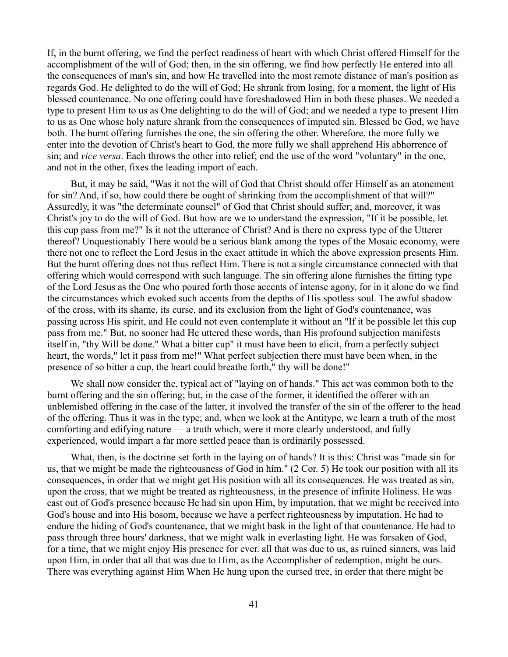If, in the burnt offering, we find the perfect readiness of heart with which Christ offered Himself for the accomplishment of the will of God; then, in the sin offering, we find how perfectly He entered into all the consequences of man's sin, and how He travelled into the most remote distance of man's position as regards God. He delighted to do the will of God; He shrank from losing, for a moment, the light of His blessed countenance. No one offering could have foreshadowed Him in both these phases. We needed a type to present Him to us as One delighting to do the will of God; and we needed a type to present Him to us as One whose holy nature shrank from the consequences of imputed sin. Blessed be God, we have both. The burnt offering furnishes the one, the sin offering the other. Wherefore, the more fully we enter into the devotion of Christ's heart to God, the more fully we shall apprehend His abhorrence of sin; and *vice versa*. Each throws the other into relief; end the use of the word "voluntary" in the one, and not in the other, fixes the leading import of each.

But, it may be said, "Was it not the will of God that Christ should offer Himself as an atonement for sin? And, if so, how could there be ought of shrinking from the accomplishment of that will?" Assuredly, it was "the determinate counsel" of God that Christ should suffer; and, moreover, it was Christ's joy to do the will of God. But how are we to understand the expression, "If it be possible, let this cup pass from me?" Is it not the utterance of Christ? And is there no express type of the Utterer thereof? Unquestionably There would be a serious blank among the types of the Mosaic economy, were there not one to reflect the Lord Jesus in the exact attitude in which the above expression presents Him. But the burnt offering does not thus reflect Him. There is not a single circumstance connected with that offering which would correspond with such language. The sin offering alone furnishes the fitting type of the Lord Jesus as the One who poured forth those accents of intense agony, for in it alone do we find the circumstances which evoked such accents from the depths of His spotless soul. The awful shadow of the cross, with its shame, its curse, and its exclusion from the light of God's countenance, was passing across His spirit, and He could not even contemplate it without an "If it be possible let this cup pass from me." But, no sooner had He uttered these words, than His profound subjection manifests itself in, "thy Will be done." What a bitter cup" it must have been to elicit, from a perfectly subject heart, the words," let it pass from me!" What perfect subjection there must have been when, in the presence of so bitter a cup, the heart could breathe forth," thy will be done!"

We shall now consider the, typical act of "laying on of hands." This act was common both to the burnt offering and the sin offering; but, in the case of the former, it identified the offerer with an unblemished offering in the case of the latter, it involved the transfer of the sin of the offerer to the head of the offering. Thus it was in the type; and, when we look at the Antitype, we learn a truth of the most comforting and edifying nature — a truth which, were it more clearly understood, and fully experienced, would impart a far more settled peace than is ordinarily possessed.

What, then, is the doctrine set forth in the laying on of hands? It is this: Christ was "made sin for us, that we might be made the righteousness of God in him." (2 Cor. 5) He took our position with all its consequences, in order that we might get His position with all its consequences. He was treated as sin, upon the cross, that we might be treated as righteousness, in the presence of infinite Holiness. He was cast out of God's presence because He had sin upon Him, by imputation, that we might be received into God's house and into His bosom, because we have a perfect righteousness by imputation. He had to endure the hiding of God's countenance, that we might bask in the light of that countenance. He had to pass through three hours' darkness, that we might walk in everlasting light. He was forsaken of God, for a time, that we might enjoy His presence for ever. all that was due to us, as ruined sinners, was laid upon Him, in order that all that was due to Him, as the Accomplisher of redemption, might be ours. There was everything against Him When He hung upon the cursed tree, in order that there might be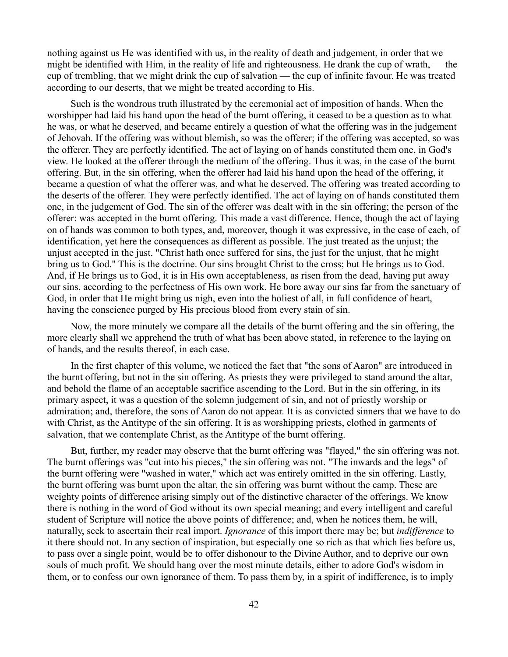nothing against us He was identified with us, in the reality of death and judgement, in order that we might be identified with Him, in the reality of life and righteousness. He drank the cup of wrath, — the cup of trembling, that we might drink the cup of salvation — the cup of infinite favour. He was treated according to our deserts, that we might be treated according to His.

Such is the wondrous truth illustrated by the ceremonial act of imposition of hands. When the worshipper had laid his hand upon the head of the burnt offering, it ceased to be a question as to what he was, or what he deserved, and became entirely a question of what the offering was in the judgement of Jehovah. If the offering was without blemish, so was the offerer; if the offering was accepted, so was the offerer. They are perfectly identified. The act of laying on of hands constituted them one, in God's view. He looked at the offerer through the medium of the offering. Thus it was, in the case of the burnt offering. But, in the sin offering, when the offerer had laid his hand upon the head of the offering, it became a question of what the offerer was, and what he deserved. The offering was treated according to the deserts of the offerer. They were perfectly identified. The act of laying on of hands constituted them one, in the judgement of God. The sin of the offerer was dealt with in the sin offering; the person of the offerer: was accepted in the burnt offering. This made a vast difference. Hence, though the act of laying on of hands was common to both types, and, moreover, though it was expressive, in the case of each, of identification, yet here the consequences as different as possible. The just treated as the unjust; the unjust accepted in the just. "Christ hath once suffered for sins, the just for the unjust, that he might bring us to God." This is the doctrine. Our sins brought Christ to the cross; but He brings us to God. And, if He brings us to God, it is in His own acceptableness, as risen from the dead, having put away our sins, according to the perfectness of His own work. He bore away our sins far from the sanctuary of God, in order that He might bring us nigh, even into the holiest of all, in full confidence of heart, having the conscience purged by His precious blood from every stain of sin.

Now, the more minutely we compare all the details of the burnt offering and the sin offering, the more clearly shall we apprehend the truth of what has been above stated, in reference to the laying on of hands, and the results thereof, in each case.

In the first chapter of this volume, we noticed the fact that "the sons of Aaron" are introduced in the burnt offering, but not in the sin offering. As priests they were privileged to stand around the altar, and behold the flame of an acceptable sacrifice ascending to the Lord. But in the sin offering, in its primary aspect, it was a question of the solemn judgement of sin, and not of priestly worship or admiration; and, therefore, the sons of Aaron do not appear. It is as convicted sinners that we have to do with Christ, as the Antitype of the sin offering. It is as worshipping priests, clothed in garments of salvation, that we contemplate Christ, as the Antitype of the burnt offering.

But, further, my reader may observe that the burnt offering was "flayed," the sin offering was not. The burnt offerings was "cut into his pieces," the sin offering was not. "The inwards and the legs" of the burnt offering were "washed in water," which act was entirely omitted in the sin offering. Lastly, the burnt offering was burnt upon the altar, the sin offering was burnt without the camp. These are weighty points of difference arising simply out of the distinctive character of the offerings. We know there is nothing in the word of God without its own special meaning; and every intelligent and careful student of Scripture will notice the above points of difference; and, when he notices them, he will, naturally, seek to ascertain their real import. *Ignorance* of this import there may be; but *indifference* to it there should not. In any section of inspiration, but especially one so rich as that which lies before us, to pass over a single point, would be to offer dishonour to the Divine Author, and to deprive our own souls of much profit. We should hang over the most minute details, either to adore God's wisdom in them, or to confess our own ignorance of them. To pass them by, in a spirit of indifference, is to imply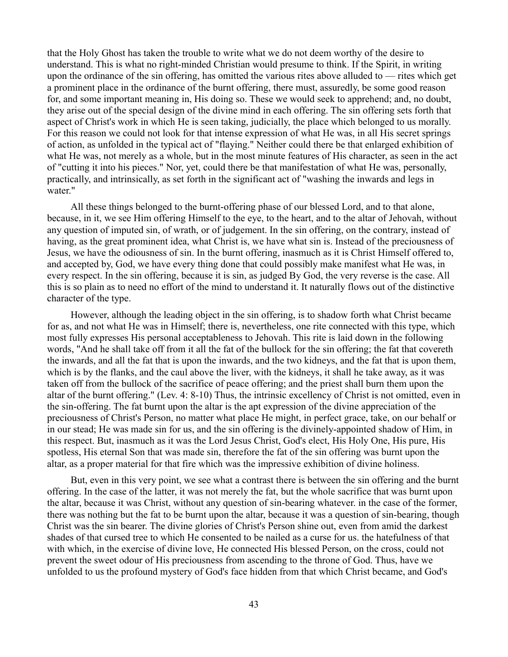that the Holy Ghost has taken the trouble to write what we do not deem worthy of the desire to understand. This is what no right-minded Christian would presume to think. If the Spirit, in writing upon the ordinance of the sin offering, has omitted the various rites above alluded to — rites which get a prominent place in the ordinance of the burnt offering, there must, assuredly, be some good reason for, and some important meaning in, His doing so. These we would seek to apprehend; and, no doubt, they arise out of the special design of the divine mind in each offering. The sin offering sets forth that aspect of Christ's work in which He is seen taking, judicially, the place which belonged to us morally. For this reason we could not look for that intense expression of what He was, in all His secret springs of action, as unfolded in the typical act of "flaying." Neither could there be that enlarged exhibition of what He was, not merely as a whole, but in the most minute features of His character, as seen in the act of "cutting it into his pieces." Nor, yet, could there be that manifestation of what He was, personally, practically, and intrinsically, as set forth in the significant act of "washing the inwards and legs in water."

All these things belonged to the burnt-offering phase of our blessed Lord, and to that alone, because, in it, we see Him offering Himself to the eye, to the heart, and to the altar of Jehovah, without any question of imputed sin, of wrath, or of judgement. In the sin offering, on the contrary, instead of having, as the great prominent idea, what Christ is, we have what sin is. Instead of the preciousness of Jesus, we have the odiousness of sin. In the burnt offering, inasmuch as it is Christ Himself offered to, and accepted by, God, we have every thing done that could possibly make manifest what He was, in every respect. In the sin offering, because it is sin, as judged By God, the very reverse is the case. All this is so plain as to need no effort of the mind to understand it. It naturally flows out of the distinctive character of the type.

However, although the leading object in the sin offering, is to shadow forth what Christ became for as, and not what He was in Himself; there is, nevertheless, one rite connected with this type, which most fully expresses His personal acceptableness to Jehovah. This rite is laid down in the following words, "And he shall take off from it all the fat of the bullock for the sin offering; the fat that covereth the inwards, and all the fat that is upon the inwards, and the two kidneys, and the fat that is upon them, which is by the flanks, and the caul above the liver, with the kidneys, it shall he take away, as it was taken off from the bullock of the sacrifice of peace offering; and the priest shall burn them upon the altar of the burnt offering." (Lev. 4: 8-10) Thus, the intrinsic excellency of Christ is not omitted, even in the sin-offering. The fat burnt upon the altar is the apt expression of the divine appreciation of the preciousness of Christ's Person, no matter what place He might, in perfect grace, take, on our behalf or in our stead; He was made sin for us, and the sin offering is the divinely-appointed shadow of Him, in this respect. But, inasmuch as it was the Lord Jesus Christ, God's elect, His Holy One, His pure, His spotless, His eternal Son that was made sin, therefore the fat of the sin offering was burnt upon the altar, as a proper material for that fire which was the impressive exhibition of divine holiness.

But, even in this very point, we see what a contrast there is between the sin offering and the burnt offering. In the case of the latter, it was not merely the fat, but the whole sacrifice that was burnt upon the altar, because it was Christ, without any question of sin-bearing whatever. in the case of the former, there was nothing but the fat to be burnt upon the altar, because it was a question of sin-bearing, though Christ was the sin bearer. The divine glories of Christ's Person shine out, even from amid the darkest shades of that cursed tree to which He consented to be nailed as a curse for us. the hatefulness of that with which, in the exercise of divine love, He connected His blessed Person, on the cross, could not prevent the sweet odour of His preciousness from ascending to the throne of God. Thus, have we unfolded to us the profound mystery of God's face hidden from that which Christ became, and God's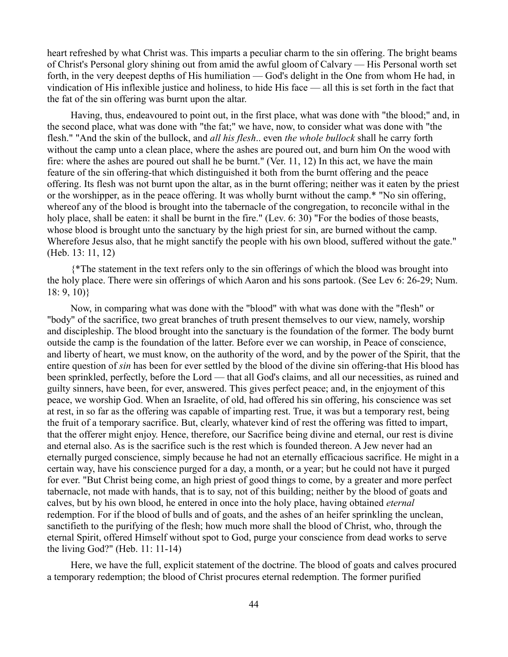heart refreshed by what Christ was. This imparts a peculiar charm to the sin offering. The bright beams of Christ's Personal glory shining out from amid the awful gloom of Calvary — His Personal worth set forth, in the very deepest depths of His humiliation — God's delight in the One from whom He had, in vindication of His inflexible justice and holiness, to hide His face — all this is set forth in the fact that the fat of the sin offering was burnt upon the altar.

Having, thus, endeavoured to point out, in the first place, what was done with "the blood;" and, in the second place, what was done with "the fat;" we have, now, to consider what was done with "the flesh." "And the skin of the bullock, and *all his flesh*.. even *the whole bullock* shall he carry forth without the camp unto a clean place, where the ashes are poured out, and burn him On the wood with fire: where the ashes are poured out shall he be burnt." (Ver. 11, 12) In this act, we have the main feature of the sin offering-that which distinguished it both from the burnt offering and the peace offering. Its flesh was not burnt upon the altar, as in the burnt offering; neither was it eaten by the priest or the worshipper, as in the peace offering. It was wholly burnt without the camp.\* "No sin offering, whereof any of the blood is brought into the tabernacle of the congregation, to reconcile withal in the holy place, shall be eaten: it shall be burnt in the fire." (Lev. 6: 30) "For the bodies of those beasts, whose blood is brought unto the sanctuary by the high priest for sin, are burned without the camp. Wherefore Jesus also, that he might sanctify the people with his own blood, suffered without the gate." (Heb. 13: 11, 12)

{\*The statement in the text refers only to the sin offerings of which the blood was brought into the holy place. There were sin offerings of which Aaron and his sons partook. (See Lev 6: 26-29; Num. 18: 9, 10)}

Now, in comparing what was done with the "blood" with what was done with the "flesh" or "body" of the sacrifice, two great branches of truth present themselves to our view, namely, worship and discipleship. The blood brought into the sanctuary is the foundation of the former. The body burnt outside the camp is the foundation of the latter. Before ever we can worship, in Peace of conscience, and liberty of heart, we must know, on the authority of the word, and by the power of the Spirit, that the entire question of *sin* has been for ever settled by the blood of the divine sin offering-that His blood has been sprinkled, perfectly, before the Lord — that all God's claims, and all our necessities, as ruined and guilty sinners, have been, for ever, answered. This gives perfect peace; and, in the enjoyment of this peace, we worship God. When an Israelite, of old, had offered his sin offering, his conscience was set at rest, in so far as the offering was capable of imparting rest. True, it was but a temporary rest, being the fruit of a temporary sacrifice. But, clearly, whatever kind of rest the offering was fitted to impart, that the offerer might enjoy. Hence, therefore, our Sacrifice being divine and eternal, our rest is divine and eternal also. As is the sacrifice such is the rest which is founded thereon. A Jew never had an eternally purged conscience, simply because he had not an eternally efficacious sacrifice. He might in a certain way, have his conscience purged for a day, a month, or a year; but he could not have it purged for ever. "But Christ being come, an high priest of good things to come, by a greater and more perfect tabernacle, not made with hands, that is to say, not of this building; neither by the blood of goats and calves, but by his own blood, he entered in once into the holy place, having obtained *eternal* redemption. For if the blood of bulls and of goats, and the ashes of an heifer sprinkling the unclean, sanctifieth to the purifying of the flesh; how much more shall the blood of Christ, who, through the eternal Spirit, offered Himself without spot to God, purge your conscience from dead works to serve the living God?" (Heb. 11: 11-14)

Here, we have the full, explicit statement of the doctrine. The blood of goats and calves procured a temporary redemption; the blood of Christ procures eternal redemption. The former purified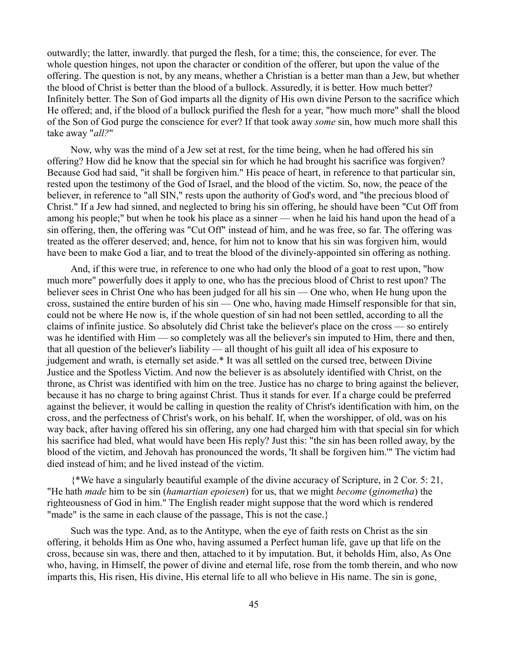outwardly; the latter, inwardly. that purged the flesh, for a time; this, the conscience, for ever. The whole question hinges, not upon the character or condition of the offerer, but upon the value of the offering. The question is not, by any means, whether a Christian is a better man than a Jew, but whether the blood of Christ is better than the blood of a bullock. Assuredly, it is better. How much better? Infinitely better. The Son of God imparts all the dignity of His own divine Person to the sacrifice which He offered; and, if the blood of a bullock purified the flesh for a year, "how much more" shall the blood of the Son of God purge the conscience for ever? If that took away *some* sin, how much more shall this take away "*all?*"

Now, why was the mind of a Jew set at rest, for the time being, when he had offered his sin offering? How did he know that the special sin for which he had brought his sacrifice was forgiven? Because God had said, "it shall be forgiven him." His peace of heart, in reference to that particular sin, rested upon the testimony of the God of Israel, and the blood of the victim. So, now, the peace of the believer, in reference to "all SIN," rests upon the authority of God's word, and "the precious blood of Christ." If a Jew had sinned, and neglected to bring his sin offering, he should have been "Cut Off from among his people;" but when he took his place as a sinner — when he laid his hand upon the head of a sin offering, then, the offering was "Cut Off" instead of him, and he was free, so far. The offering was treated as the offerer deserved; and, hence, for him not to know that his sin was forgiven him, would have been to make God a liar, and to treat the blood of the divinely-appointed sin offering as nothing.

And, if this were true, in reference to one who had only the blood of a goat to rest upon, "how much more" powerfully does it apply to one, who has the precious blood of Christ to rest upon? The believer sees in Christ One who has been judged for all his sin — One who, when He hung upon the cross, sustained the entire burden of his sin — One who, having made Himself responsible for that sin, could not be where He now is, if the whole question of sin had not been settled, according to all the claims of infinite justice. So absolutely did Christ take the believer's place on the cross — so entirely was he identified with Him — so completely was all the believer's sin imputed to Him, there and then, that all question of the believer's liability — all thought of his guilt all idea of his exposure to judgement and wrath, is eternally set aside.\* It was all settled on the cursed tree, between Divine Justice and the Spotless Victim. And now the believer is as absolutely identified with Christ, on the throne, as Christ was identified with him on the tree. Justice has no charge to bring against the believer, because it has no charge to bring against Christ. Thus it stands for ever. If a charge could be preferred against the believer, it would be calling in question the reality of Christ's identification with him, on the cross, and the perfectness of Christ's work, on his behalf. If, when the worshipper, of old, was on his way back, after having offered his sin offering, any one had charged him with that special sin for which his sacrifice had bled, what would have been His reply? Just this: "the sin has been rolled away, by the blood of the victim, and Jehovah has pronounced the words, 'It shall be forgiven him.'" The victim had died instead of him; and he lived instead of the victim.

{\*We have a singularly beautiful example of the divine accuracy of Scripture, in 2 Cor. 5: 21, "He hath *made* him to be sin (*hamartian epoiesen*) for us, that we might *become* (*ginometha*) the righteousness of God in him." The English reader might suppose that the word which is rendered "made" is the same in each clause of the passage. This is not the case.

Such was the type. And, as to the Antitype, when the eye of faith rests on Christ as the sin offering, it beholds Him as One who, having assumed a Perfect human life, gave up that life on the cross, because sin was, there and then, attached to it by imputation. But, it beholds Him, also, As One who, having, in Himself, the power of divine and eternal life, rose from the tomb therein, and who now imparts this, His risen, His divine, His eternal life to all who believe in His name. The sin is gone,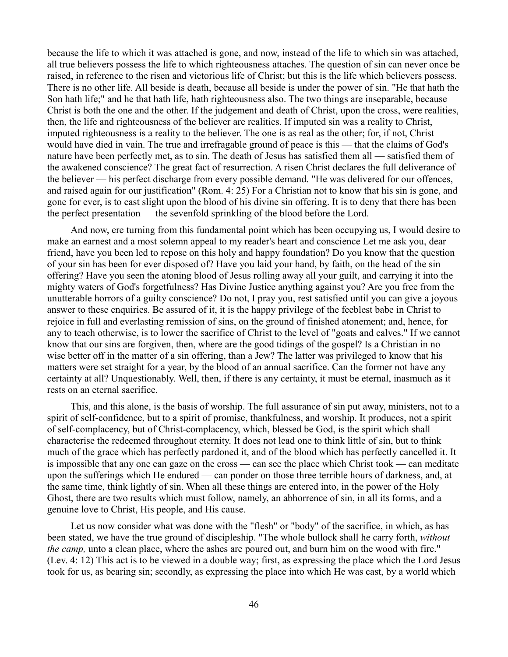because the life to which it was attached is gone, and now, instead of the life to which sin was attached, all true believers possess the life to which righteousness attaches. The question of sin can never once be raised, in reference to the risen and victorious life of Christ; but this is the life which believers possess. There is no other life. All beside is death, because all beside is under the power of sin. "He that hath the Son hath life;" and he that hath life, hath righteousness also. The two things are inseparable, because Christ is both the one and the other. If the judgement and death of Christ, upon the cross, were realities, then, the life and righteousness of the believer are realities. If imputed sin was a reality to Christ, imputed righteousness is a reality to the believer. The one is as real as the other; for, if not, Christ would have died in vain. The true and irrefragable ground of peace is this — that the claims of God's nature have been perfectly met, as to sin. The death of Jesus has satisfied them all — satisfied them of the awakened conscience? The great fact of resurrection. A risen Christ declares the full deliverance of the believer — his perfect discharge from every possible demand. "He was delivered for our offences, and raised again for our justification" (Rom. 4: 25) For a Christian not to know that his sin is gone, and gone for ever, is to cast slight upon the blood of his divine sin offering. It is to deny that there has been the perfect presentation — the sevenfold sprinkling of the blood before the Lord.

And now, ere turning from this fundamental point which has been occupying us, I would desire to make an earnest and a most solemn appeal to my reader's heart and conscience Let me ask you, dear friend, have you been led to repose on this holy and happy foundation? Do you know that the question of your sin has been for ever disposed of? Have you laid your hand, by faith, on the head of the sin offering? Have you seen the atoning blood of Jesus rolling away all your guilt, and carrying it into the mighty waters of God's forgetfulness? Has Divine Justice anything against you? Are you free from the unutterable horrors of a guilty conscience? Do not, I pray you, rest satisfied until you can give a joyous answer to these enquiries. Be assured of it, it is the happy privilege of the feeblest babe in Christ to rejoice in full and everlasting remission of sins, on the ground of finished atonement; and, hence, for any to teach otherwise, is to lower the sacrifice of Christ to the level of "goats and calves." If we cannot know that our sins are forgiven, then, where are the good tidings of the gospel? Is a Christian in no wise better off in the matter of a sin offering, than a Jew? The latter was privileged to know that his matters were set straight for a year, by the blood of an annual sacrifice. Can the former not have any certainty at all? Unquestionably. Well, then, if there is any certainty, it must be eternal, inasmuch as it rests on an eternal sacrifice.

This, and this alone, is the basis of worship. The full assurance of sin put away, ministers, not to a spirit of self-confidence, but to a spirit of promise, thankfulness, and worship. It produces, not a spirit of self-complacency, but of Christ-complacency, which, blessed be God, is the spirit which shall characterise the redeemed throughout eternity. It does not lead one to think little of sin, but to think much of the grace which has perfectly pardoned it, and of the blood which has perfectly cancelled it. It is impossible that any one can gaze on the cross — can see the place which Christ took — can meditate upon the sufferings which He endured — can ponder on those three terrible hours of darkness, and, at the same time, think lightly of sin. When all these things are entered into, in the power of the Holy Ghost, there are two results which must follow, namely, an abhorrence of sin, in all its forms, and a genuine love to Christ, His people, and His cause.

Let us now consider what was done with the "flesh" or "body" of the sacrifice, in which, as has been stated, we have the true ground of discipleship. "The whole bullock shall he carry forth, *without the camp,* unto a clean place, where the ashes are poured out, and burn him on the wood with fire." (Lev. 4: 12) This act is to be viewed in a double way; first, as expressing the place which the Lord Jesus took for us, as bearing sin; secondly, as expressing the place into which He was cast, by a world which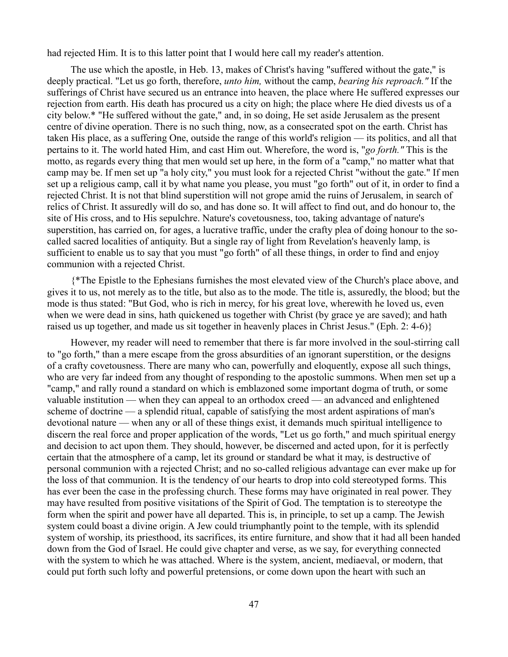had rejected Him. It is to this latter point that I would here call my reader's attention.

The use which the apostle, in Heb. 13, makes of Christ's having "suffered without the gate," is deeply practical. "Let us go forth, therefore, *unto him,* without the camp, *bearing his reproach."* If the sufferings of Christ have secured us an entrance into heaven, the place where He suffered expresses our rejection from earth. His death has procured us a city on high; the place where He died divests us of a city below.\* "He suffered without the gate," and, in so doing, He set aside Jerusalem as the present centre of divine operation. There is no such thing, now, as a consecrated spot on the earth. Christ has taken His place, as a suffering One, outside the range of this world's religion — its politics, and all that pertains to it. The world hated Him, and cast Him out. Wherefore, the word is, "*go forth."* This is the motto, as regards every thing that men would set up here, in the form of a "camp," no matter what that camp may be. If men set up "a holy city," you must look for a rejected Christ "without the gate." If men set up a religious camp, call it by what name you please, you must "go forth" out of it, in order to find a rejected Christ. It is not that blind superstition will not grope amid the ruins of Jerusalem, in search of relics of Christ. It assuredly will do so, and has done so. It will affect to find out, and do honour to, the site of His cross, and to His sepulchre. Nature's covetousness, too, taking advantage of nature's superstition, has carried on, for ages, a lucrative traffic, under the crafty plea of doing honour to the socalled sacred localities of antiquity. But a single ray of light from Revelation's heavenly lamp, is sufficient to enable us to say that you must "go forth" of all these things, in order to find and enjoy communion with a rejected Christ.

{\*The Epistle to the Ephesians furnishes the most elevated view of the Church's place above, and gives it to us, not merely as to the title, but also as to the mode. The title is, assuredly, the blood; but the mode is thus stated: "But God, who is rich in mercy, for his great love, wherewith he loved us, even when we were dead in sins, hath quickened us together with Christ (by grace ye are saved); and hath raised us up together, and made us sit together in heavenly places in Christ Jesus." (Eph. 2: 4-6)}

However, my reader will need to remember that there is far more involved in the soul-stirring call to "go forth," than a mere escape from the gross absurdities of an ignorant superstition, or the designs of a crafty covetousness. There are many who can, powerfully and eloquently, expose all such things, who are very far indeed from any thought of responding to the apostolic summons. When men set up a "camp," and rally round a standard on which is emblazoned some important dogma of truth, or some valuable institution — when they can appeal to an orthodox creed — an advanced and enlightened scheme of doctrine — a splendid ritual, capable of satisfying the most ardent aspirations of man's devotional nature — when any or all of these things exist, it demands much spiritual intelligence to discern the real force and proper application of the words, "Let us go forth," and much spiritual energy and decision to act upon them. They should, however, be discerned and acted upon, for it is perfectly certain that the atmosphere of a camp, let its ground or standard be what it may, is destructive of personal communion with a rejected Christ; and no so-called religious advantage can ever make up for the loss of that communion. It is the tendency of our hearts to drop into cold stereotyped forms. This has ever been the case in the professing church. These forms may have originated in real power. They may have resulted from positive visitations of the Spirit of God. The temptation is to stereotype the form when the spirit and power have all departed. This is, in principle, to set up a camp. The Jewish system could boast a divine origin. A Jew could triumphantly point to the temple, with its splendid system of worship, its priesthood, its sacrifices, its entire furniture, and show that it had all been handed down from the God of Israel. He could give chapter and verse, as we say, for everything connected with the system to which he was attached. Where is the system, ancient, mediaeval, or modern, that could put forth such lofty and powerful pretensions, or come down upon the heart with such an